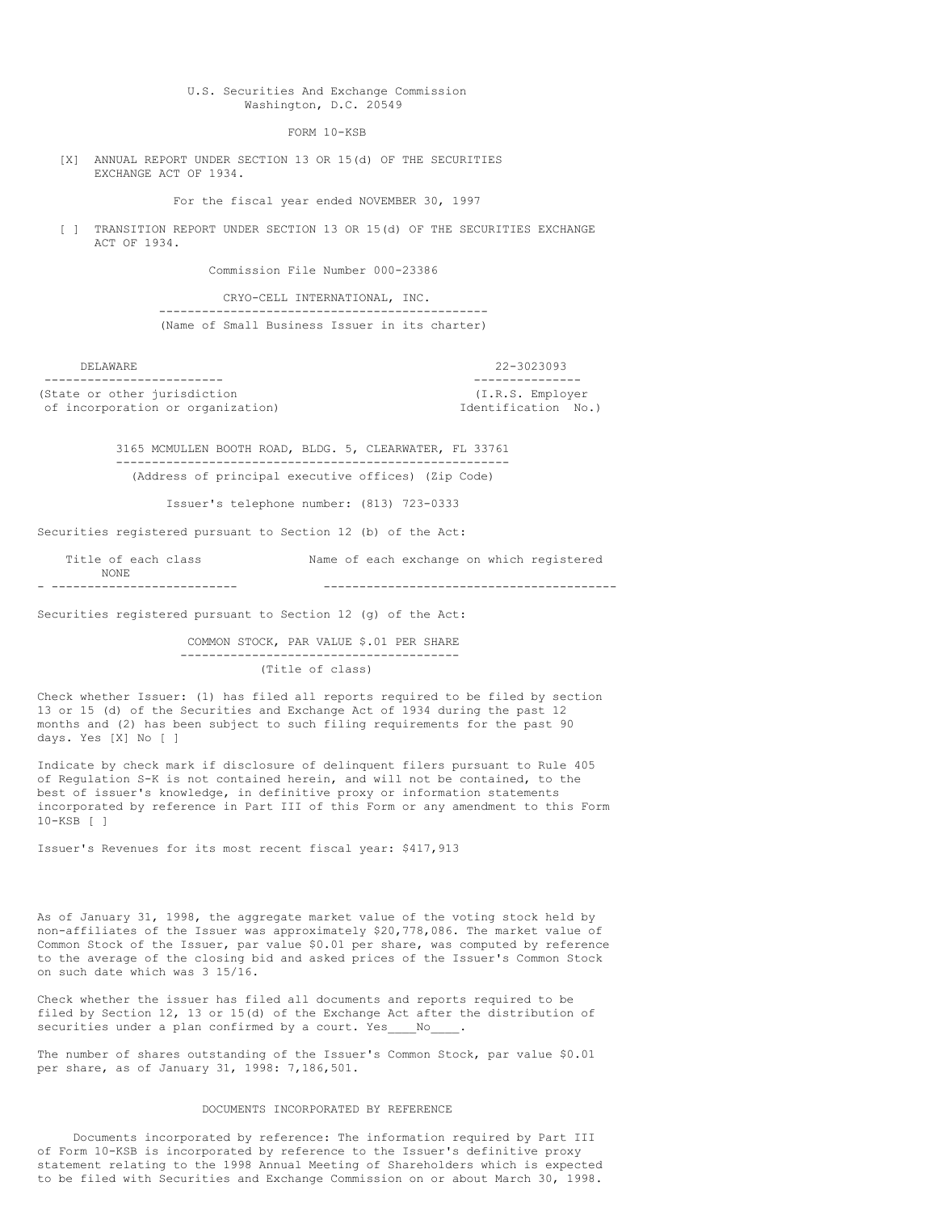## U.S. Securities And Exchange Commission Washington, D.C. 20549

FORM 10-KSB

[X] ANNUAL REPORT UNDER SECTION 13 OR 15(d) OF THE SECURITIES EXCHANGE ACT OF 1934.

For the fiscal year ended NOVEMBER 30, 1997

[ ] TRANSITION REPORT UNDER SECTION 13 OR 15(d) OF THE SECURITIES EXCHANGE ACT OF 1934.

Commission File Number 000-23386

CRYO-CELL INTERNATIONAL, INC. ---------------------------------------------- (Name of Small Business Issuer in its charter)

| DELAWARE.                         | 22-3023093          |  |
|-----------------------------------|---------------------|--|
|                                   |                     |  |
| (State or other jurisdiction      | (I.R.S. Employer)   |  |
| of incorporation or organization) | Identification No.) |  |

3165 MCMULLEN BOOTH ROAD, BLDG. 5, CLEARWATER, FL 33761 ------------------------------------------------------- (Address of principal executive offices) (Zip Code)

Issuer's telephone number: (813) 723-0333

Securities registered pursuant to Section 12 (b) of the Act:

| NONE.               |                                           |
|---------------------|-------------------------------------------|
| Title of each class | Name of each exchange on which registered |

Securities registered pursuant to Section 12 (g) of the Act:

COMMON STOCK, PAR VALUE \$.01 PER SHARE --------------------------------------- (Title of class)

Check whether Issuer: (1) has filed all reports required to be filed by section 13 or 15 (d) of the Securities and Exchange Act of 1934 during the past 12 months and (2) has been subject to such filing requirements for the past 90 days. Yes [X] No [ ]

Indicate by check mark if disclosure of delinquent filers pursuant to Rule 405 of Regulation S-K is not contained herein, and will not be contained, to the best of issuer's knowledge, in definitive proxy or information statements incorporated by reference in Part III of this Form or any amendment to this Form 10-KSB [ ]

Issuer's Revenues for its most recent fiscal year: \$417,913

As of January 31, 1998, the aggregate market value of the voting stock held by non-affiliates of the Issuer was approximately \$20,778,086. The market value of Common Stock of the Issuer, par value \$0.01 per share, was computed by reference to the average of the closing bid and asked prices of the Issuer's Common Stock on such date which was 3 15/16.

Check whether the issuer has filed all documents and reports required to be filed by Section 12, 13 or 15(d) of the Exchange Act after the distribution of securities under a plan confirmed by a court. Yes\_\_\_\_No\_

The number of shares outstanding of the Issuer's Common Stock, par value \$0.01 per share, as of January 31, 1998: 7,186,501.

### DOCUMENTS INCORPORATED BY REFERENCE

Documents incorporated by reference: The information required by Part III of Form 10-KSB is incorporated by reference to the Issuer's definitive proxy statement relating to the 1998 Annual Meeting of Shareholders which is expected to be filed with Securities and Exchange Commission on or about March 30, 1998.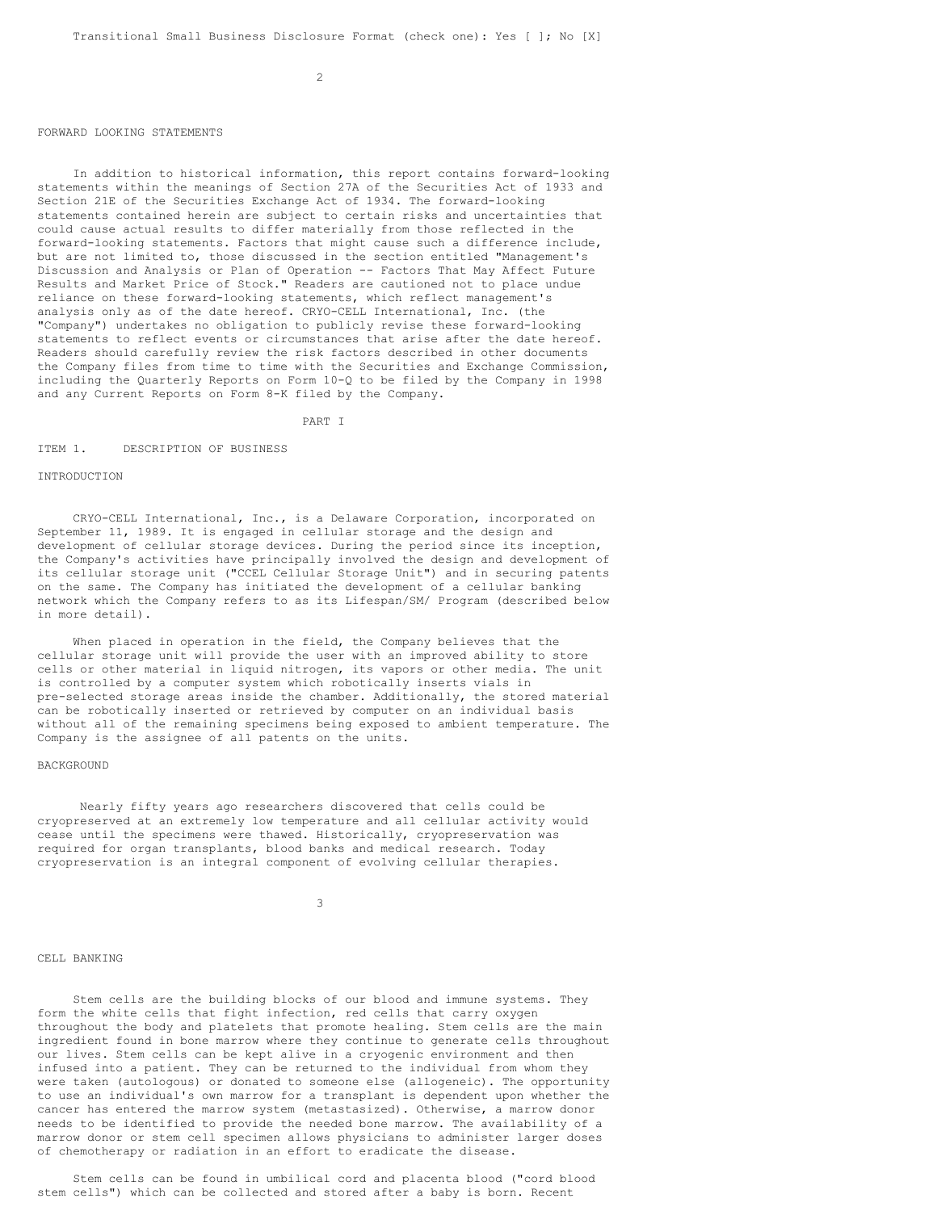## FORWARD LOOKING STATEMENTS

In addition to historical information, this report contains forward-looking statements within the meanings of Section 27A of the Securities Act of 1933 and Section 21E of the Securities Exchange Act of 1934. The forward-looking statements contained herein are subject to certain risks and uncertainties that could cause actual results to differ materially from those reflected in the forward-looking statements. Factors that might cause such a difference include, but are not limited to, those discussed in the section entitled "Management's Discussion and Analysis or Plan of Operation -- Factors That May Affect Future Results and Market Price of Stock." Readers are cautioned not to place undue reliance on these forward-looking statements, which reflect management's analysis only as of the date hereof. CRYO-CELL International, Inc. (the "Company") undertakes no obligation to publicly revise these forward-looking statements to reflect events or circumstances that arise after the date hereof. Readers should carefully review the risk factors described in other documents the Company files from time to time with the Securities and Exchange Commission, including the Quarterly Reports on Form 10-Q to be filed by the Company in 1998 and any Current Reports on Form 8-K filed by the Company.

PART I

#### ITEM 1. DESCRIPTION OF BUSINESS

# INTRODUCTION

CRYO-CELL International, Inc., is a Delaware Corporation, incorporated on September 11, 1989. It is engaged in cellular storage and the design and development of cellular storage devices. During the period since its inception, the Company's activities have principally involved the design and development of its cellular storage unit ("CCEL Cellular Storage Unit") and in securing patents on the same. The Company has initiated the development of a cellular banking network which the Company refers to as its Lifespan/SM/ Program (described below in more detail).

When placed in operation in the field, the Company believes that the cellular storage unit will provide the user with an improved ability to store cells or other material in liquid nitrogen, its vapors or other media. The unit is controlled by a computer system which robotically inserts vials in pre-selected storage areas inside the chamber. Additionally, the stored material can be robotically inserted or retrieved by computer on an individual basis without all of the remaining specimens being exposed to ambient temperature. The Company is the assignee of all patents on the units.

#### **BACKGROUND**

Nearly fifty years ago researchers discovered that cells could be cryopreserved at an extremely low temperature and all cellular activity would cease until the specimens were thawed. Historically, cryopreservation was required for organ transplants, blood banks and medical research. Today cryopreservation is an integral component of evolving cellular therapies.

3

# CELL BANKING

Stem cells are the building blocks of our blood and immune systems. They form the white cells that fight infection, red cells that carry oxygen throughout the body and platelets that promote healing. Stem cells are the main ingredient found in bone marrow where they continue to generate cells throughout our lives. Stem cells can be kept alive in a cryogenic environment and then infused into a patient. They can be returned to the individual from whom they were taken (autologous) or donated to someone else (allogeneic). The opportunity to use an individual's own marrow for a transplant is dependent upon whether the cancer has entered the marrow system (metastasized). Otherwise, a marrow donor needs to be identified to provide the needed bone marrow. The availability of a marrow donor or stem cell specimen allows physicians to administer larger doses of chemotherapy or radiation in an effort to eradicate the disease.

Stem cells can be found in umbilical cord and placenta blood ("cord blood stem cells") which can be collected and stored after a baby is born. Recent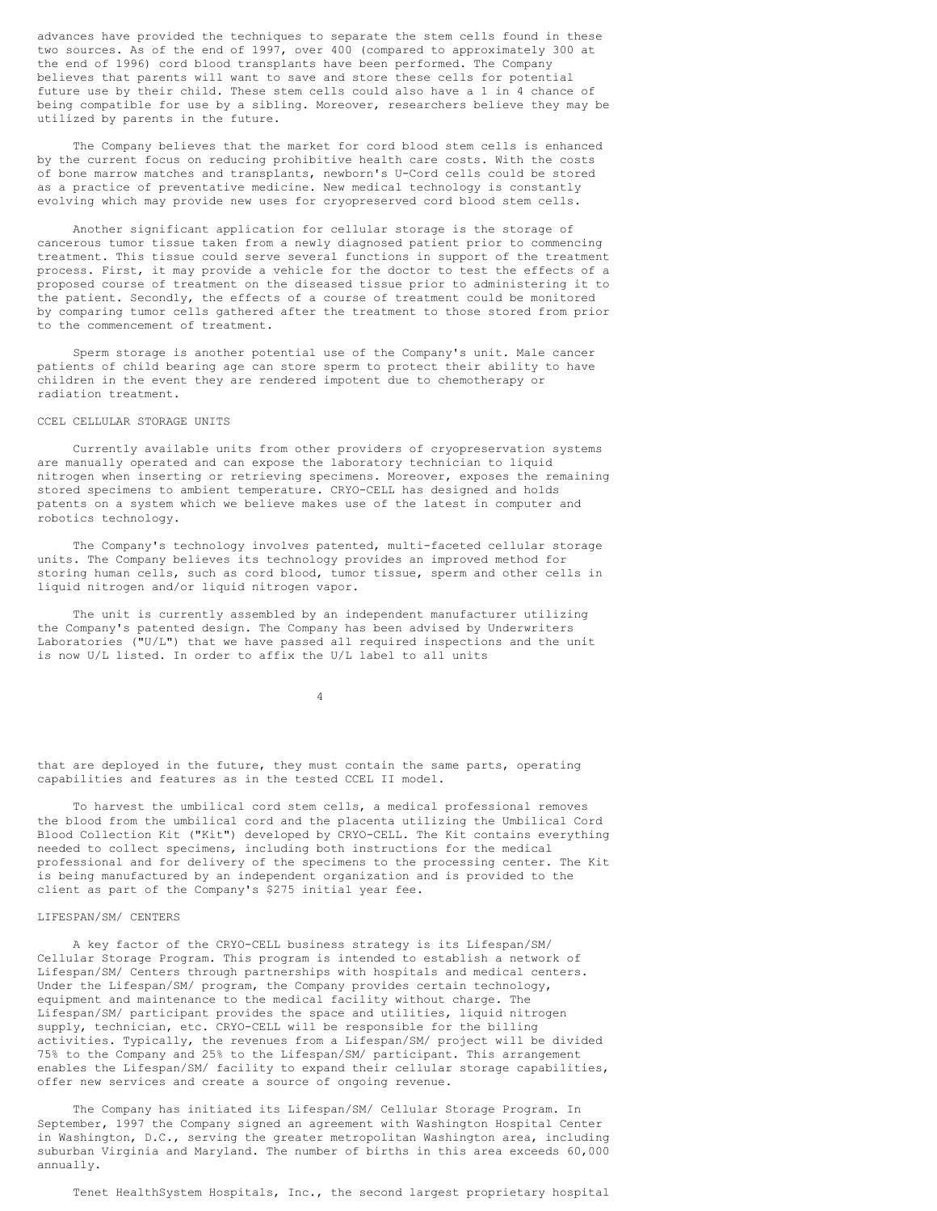advances have provided the techniques to separate the stem cells found in these two sources. As of the end of 1997, over 400 (compared to approximately 300 at the end of 1996) cord blood transplants have been performed. The Company believes that parents will want to save and store these cells for potential future use by their child. These stem cells could also have a 1 in 4 chance of being compatible for use by a sibling. Moreover, researchers believe they may be utilized by parents in the future.

The Company believes that the market for cord blood stem cells is enhanced by the current focus on reducing prohibitive health care costs. With the costs of bone marrow matches and transplants, newborn's U-Cord cells could be stored as a practice of preventative medicine. New medical technology is constantly evolving which may provide new uses for cryopreserved cord blood stem cells.

Another significant application for cellular storage is the storage of cancerous tumor tissue taken from a newly diagnosed patient prior to commencing treatment. This tissue could serve several functions in support of the treatment process. First, it may provide a vehicle for the doctor to test the effects of a proposed course of treatment on the diseased tissue prior to administering it to the patient. Secondly, the effects of a course of treatment could be monitored by comparing tumor cells gathered after the treatment to those stored from prior to the commencement of treatment.

Sperm storage is another potential use of the Company's unit. Male cancer patients of child bearing age can store sperm to protect their ability to have children in the event they are rendered impotent due to chemotherapy or radiation treatment.

## CCEL CELLULAR STORAGE UNITS

Currently available units from other providers of cryopreservation systems are manually operated and can expose the laboratory technician to liquid nitrogen when inserting or retrieving specimens. Moreover, exposes the remaining stored specimens to ambient temperature. CRYO-CELL has designed and holds patents on a system which we believe makes use of the latest in computer and robotics technology.

The Company's technology involves patented, multi-faceted cellular storage units. The Company believes its technology provides an improved method for storing human cells, such as cord blood, tumor tissue, sperm and other cells in liquid nitrogen and/or liquid nitrogen vapor.

The unit is currently assembled by an independent manufacturer utilizing the Company's patented design. The Company has been advised by Underwriters Laboratories ("U/L") that we have passed all required inspections and the unit is now U/L listed. In order to affix the U/L label to all units

4

that are deployed in the future, they must contain the same parts, operating capabilities and features as in the tested CCEL II model.

To harvest the umbilical cord stem cells, a medical professional removes the blood from the umbilical cord and the placenta utilizing the Umbilical Cord Blood Collection Kit ("Kit") developed by CRYO-CELL. The Kit contains everything needed to collect specimens, including both instructions for the medical professional and for delivery of the specimens to the processing center. The Kit is being manufactured by an independent organization and is provided to the client as part of the Company's \$275 initial year fee.

# LIFESPAN/SM/ CENTERS

A key factor of the CRYO-CELL business strategy is its Lifespan/SM/ Cellular Storage Program. This program is intended to establish a network of Lifespan/SM/ Centers through partnerships with hospitals and medical centers. Under the Lifespan/SM/ program, the Company provides certain technology, equipment and maintenance to the medical facility without charge. The Lifespan/SM/ participant provides the space and utilities, liquid nitrogen supply, technician, etc. CRYO-CELL will be responsible for the billing activities. Typically, the revenues from a Lifespan/SM/ project will be divided 75% to the Company and 25% to the Lifespan/SM/ participant. This arrangement enables the Lifespan/SM/ facility to expand their cellular storage capabilities, offer new services and create a source of ongoing revenue.

The Company has initiated its Lifespan/SM/ Cellular Storage Program. In September, 1997 the Company signed an agreement with Washington Hospital Center in Washington, D.C., serving the greater metropolitan Washington area, including suburban Virginia and Maryland. The number of births in this area exceeds 60,000 annually.

Tenet HealthSystem Hospitals, Inc., the second largest proprietary hospital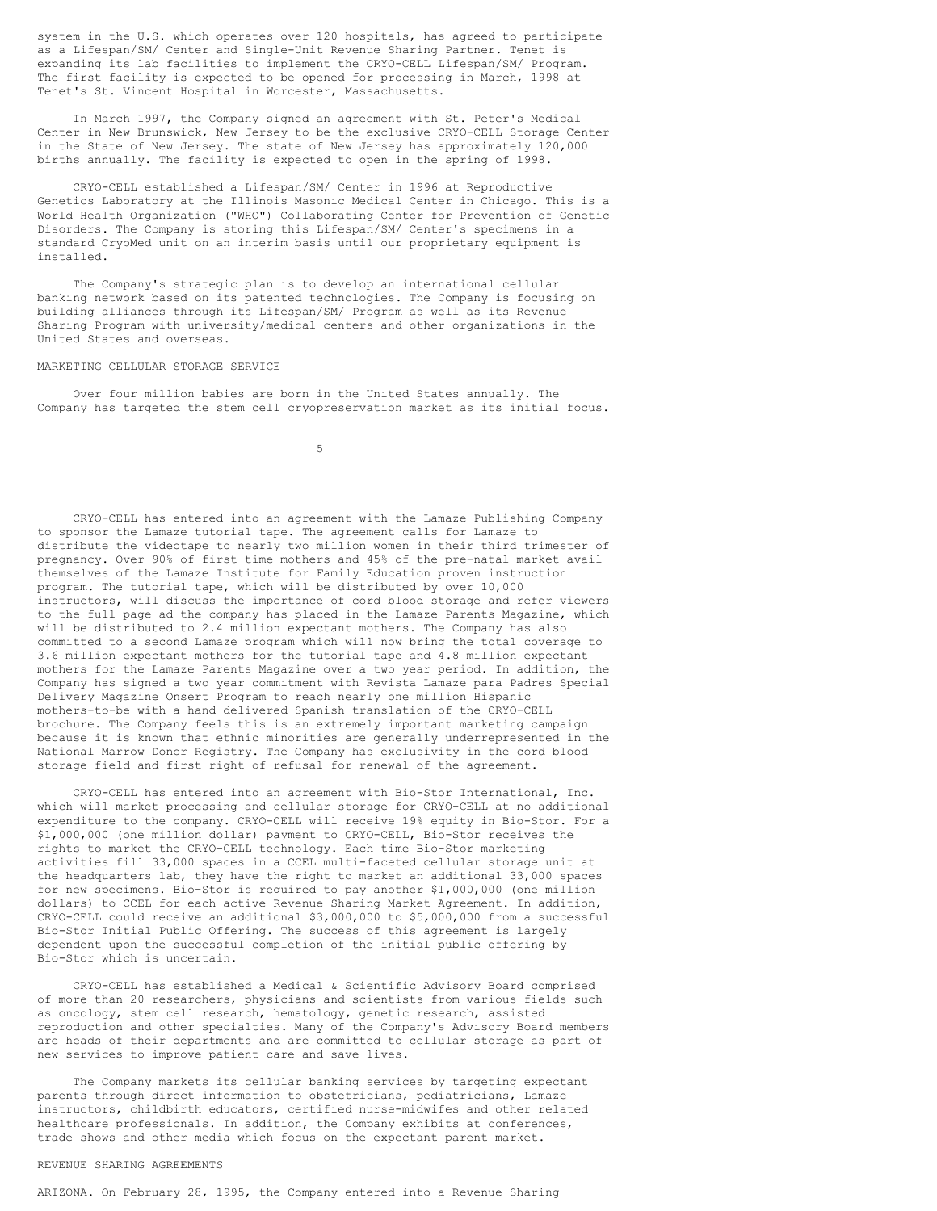system in the U.S. which operates over 120 hospitals, has agreed to participate as a Lifespan/SM/ Center and Single-Unit Revenue Sharing Partner. Tenet is expanding its lab facilities to implement the CRYO-CELL Lifespan/SM/ Program. The first facility is expected to be opened for processing in March, 1998 at Tenet's St. Vincent Hospital in Worcester, Massachusetts.

In March 1997, the Company signed an agreement with St. Peter's Medical Center in New Brunswick, New Jersey to be the exclusive CRYO-CELL Storage Center in the State of New Jersey. The state of New Jersey has approximately 120,000 births annually. The facility is expected to open in the spring of 1998.

CRYO-CELL established a Lifespan/SM/ Center in 1996 at Reproductive Genetics Laboratory at the Illinois Masonic Medical Center in Chicago. This is a World Health Organization ("WHO") Collaborating Center for Prevention of Genetic Disorders. The Company is storing this Lifespan/SM/ Center's specimens in a standard CryoMed unit on an interim basis until our proprietary equipment is installed.

The Company's strategic plan is to develop an international cellular banking network based on its patented technologies. The Company is focusing on building alliances through its Lifespan/SM/ Program as well as its Revenue Sharing Program with university/medical centers and other organizations in the United States and overseas.

#### MARKETING CELLULAR STORAGE SERVICE

Over four million babies are born in the United States annually. The Company has targeted the stem cell cryopreservation market as its initial focus.

5

CRYO-CELL has entered into an agreement with the Lamaze Publishing Company to sponsor the Lamaze tutorial tape. The agreement calls for Lamaze to distribute the videotape to nearly two million women in their third trimester of pregnancy. Over 90% of first time mothers and 45% of the pre-natal market avail themselves of the Lamaze Institute for Family Education proven instruction program. The tutorial tape, which will be distributed by over 10,000 instructors, will discuss the importance of cord blood storage and refer viewers to the full page ad the company has placed in the Lamaze Parents Magazine, which will be distributed to 2.4 million expectant mothers. The Company has also committed to a second Lamaze program which will now bring the total coverage to 3.6 million expectant mothers for the tutorial tape and 4.8 million expectant mothers for the Lamaze Parents Magazine over a two year period. In addition, the Company has signed a two year commitment with Revista Lamaze para Padres Special Delivery Magazine Onsert Program to reach nearly one million Hispanic mothers-to-be with a hand delivered Spanish translation of the CRYO-CELL brochure. The Company feels this is an extremely important marketing campaign because it is known that ethnic minorities are generally underrepresented in the National Marrow Donor Registry. The Company has exclusivity in the cord blood storage field and first right of refusal for renewal of the agreement.

CRYO-CELL has entered into an agreement with Bio-Stor International, Inc. which will market processing and cellular storage for CRYO-CELL at no additional expenditure to the company. CRYO-CELL will receive 19% equity in Bio-Stor. For a \$1,000,000 (one million dollar) payment to CRYO-CELL, Bio-Stor receives the rights to market the CRYO-CELL technology. Each time Bio-Stor marketing activities fill 33,000 spaces in a CCEL multi-faceted cellular storage unit at the headquarters lab, they have the right to market an additional 33,000 spaces for new specimens. Bio-Stor is required to pay another \$1,000,000 (one million dollars) to CCEL for each active Revenue Sharing Market Agreement. In addition, CRYO-CELL could receive an additional \$3,000,000 to \$5,000,000 from a successful Bio-Stor Initial Public Offering. The success of this agreement is largely dependent upon the successful completion of the initial public offering by Bio-Stor which is uncertain.

CRYO-CELL has established a Medical & Scientific Advisory Board comprised of more than 20 researchers, physicians and scientists from various fields such as oncology, stem cell research, hematology, genetic research, assisted reproduction and other specialties. Many of the Company's Advisory Board members are heads of their departments and are committed to cellular storage as part of new services to improve patient care and save lives.

The Company markets its cellular banking services by targeting expectant parents through direct information to obstetricians, pediatricians, Lamaze instructors, childbirth educators, certified nurse-midwifes and other related healthcare professionals. In addition, the Company exhibits at conferences, trade shows and other media which focus on the expectant parent market.

### REVENUE SHARING AGREEMENTS

ARIZONA. On February 28, 1995, the Company entered into a Revenue Sharing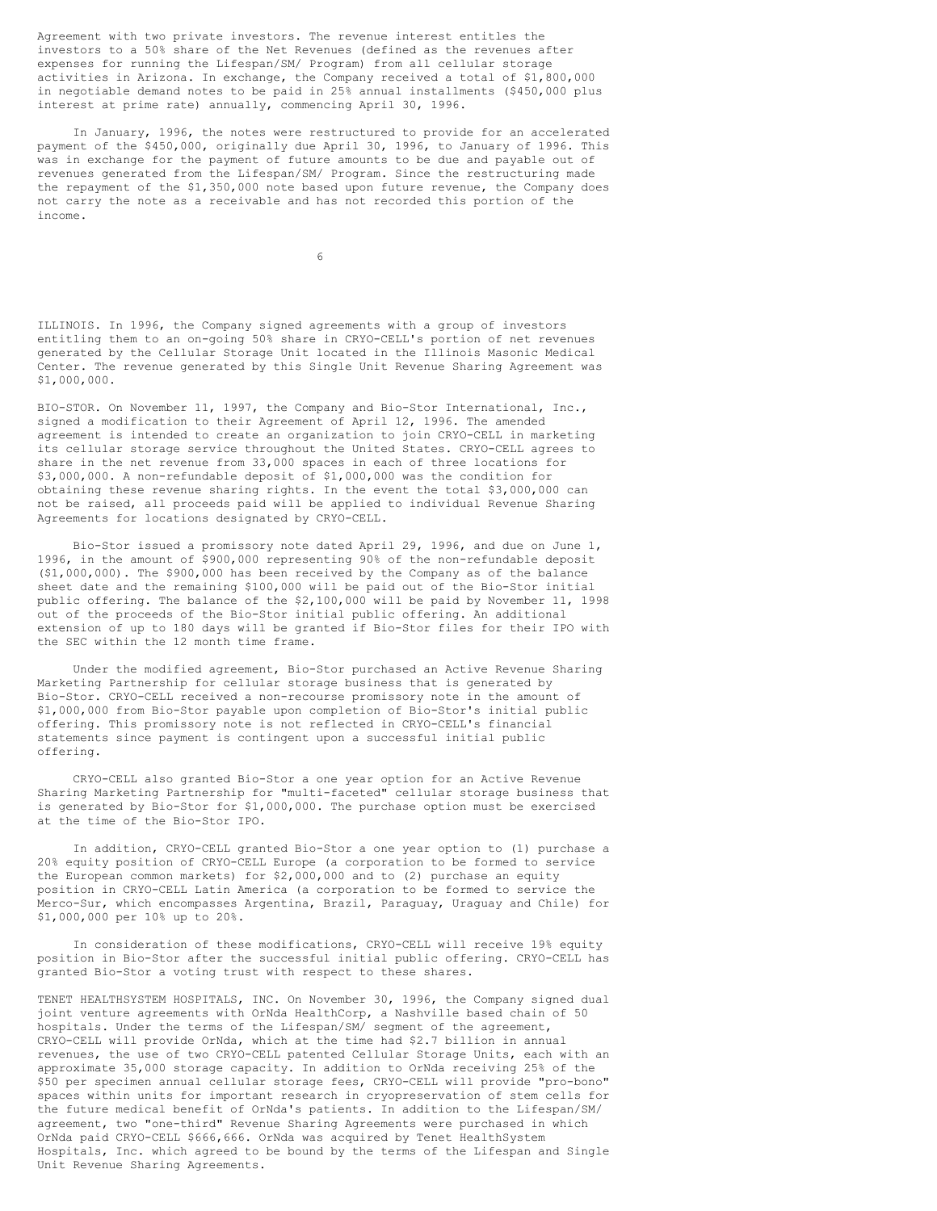Agreement with two private investors. The revenue interest entitles the investors to a 50% share of the Net Revenues (defined as the revenues after expenses for running the Lifespan/SM/ Program) from all cellular storage activities in Arizona. In exchange, the Company received a total of \$1,800,000 in negotiable demand notes to be paid in 25% annual installments (\$450,000 plus interest at prime rate) annually, commencing April 30, 1996.

In January, 1996, the notes were restructured to provide for an accelerated payment of the \$450,000, originally due April 30, 1996, to January of 1996. This was in exchange for the payment of future amounts to be due and payable out of revenues generated from the Lifespan/SM/ Program. Since the restructuring made the repayment of the \$1,350,000 note based upon future revenue, the Company does not carry the note as a receivable and has not recorded this portion of the income.

6

ILLINOIS. In 1996, the Company signed agreements with a group of investors entitling them to an on-going 50% share in CRYO-CELL's portion of net revenues generated by the Cellular Storage Unit located in the Illinois Masonic Medical Center. The revenue generated by this Single Unit Revenue Sharing Agreement was \$1,000,000.

BIO-STOR. On November 11, 1997, the Company and Bio-Stor International, Inc., signed a modification to their Agreement of April 12, 1996. The amended agreement is intended to create an organization to join CRYO-CELL in marketing its cellular storage service throughout the United States. CRYO-CELL agrees to share in the net revenue from 33,000 spaces in each of three locations for \$3,000,000. A non-refundable deposit of \$1,000,000 was the condition for obtaining these revenue sharing rights. In the event the total \$3,000,000 can not be raised, all proceeds paid will be applied to individual Revenue Sharing Agreements for locations designated by CRYO-CELL.

Bio-Stor issued a promissory note dated April 29, 1996, and due on June 1, 1996, in the amount of \$900,000 representing 90% of the non-refundable deposit (\$1,000,000). The \$900,000 has been received by the Company as of the balance sheet date and the remaining \$100,000 will be paid out of the Bio-Stor initial public offering. The balance of the \$2,100,000 will be paid by November 11, 1998 out of the proceeds of the Bio-Stor initial public offering. An additional extension of up to 180 days will be granted if Bio-Stor files for their IPO with the SEC within the 12 month time frame.

Under the modified agreement, Bio-Stor purchased an Active Revenue Sharing Marketing Partnership for cellular storage business that is generated by Bio-Stor. CRYO-CELL received a non-recourse promissory note in the amount of \$1,000,000 from Bio-Stor payable upon completion of Bio-Stor's initial public offering. This promissory note is not reflected in CRYO-CELL's financial statements since payment is contingent upon a successful initial public offering.

CRYO-CELL also granted Bio-Stor a one year option for an Active Revenue Sharing Marketing Partnership for "multi-faceted" cellular storage business that is generated by Bio-Stor for \$1,000,000. The purchase option must be exercised at the time of the Bio-Stor IPO.

In addition, CRYO-CELL granted Bio-Stor a one year option to (1) purchase a 20% equity position of CRYO-CELL Europe (a corporation to be formed to service the European common markets) for \$2,000,000 and to (2) purchase an equity position in CRYO-CELL Latin America (a corporation to be formed to service the Merco-Sur, which encompasses Argentina, Brazil, Paraguay, Uraguay and Chile) for \$1,000,000 per 10% up to 20%.

In consideration of these modifications, CRYO-CELL will receive 19% equity position in Bio-Stor after the successful initial public offering. CRYO-CELL has granted Bio-Stor a voting trust with respect to these shares.

TENET HEALTHSYSTEM HOSPITALS, INC. On November 30, 1996, the Company signed dual joint venture agreements with OrNda HealthCorp, a Nashville based chain of 50 hospitals. Under the terms of the Lifespan/SM/ segment of the agreement, CRYO-CELL will provide OrNda, which at the time had \$2.7 billion in annual revenues, the use of two CRYO-CELL patented Cellular Storage Units, each with an approximate 35,000 storage capacity. In addition to OrNda receiving 25% of the \$50 per specimen annual cellular storage fees, CRYO-CELL will provide "pro-bono" spaces within units for important research in cryopreservation of stem cells for the future medical benefit of OrNda's patients. In addition to the Lifespan/SM/ agreement, two "one-third" Revenue Sharing Agreements were purchased in which OrNda paid CRYO-CELL \$666,666. OrNda was acquired by Tenet HealthSystem Hospitals, Inc. which agreed to be bound by the terms of the Lifespan and Single Unit Revenue Sharing Agreements.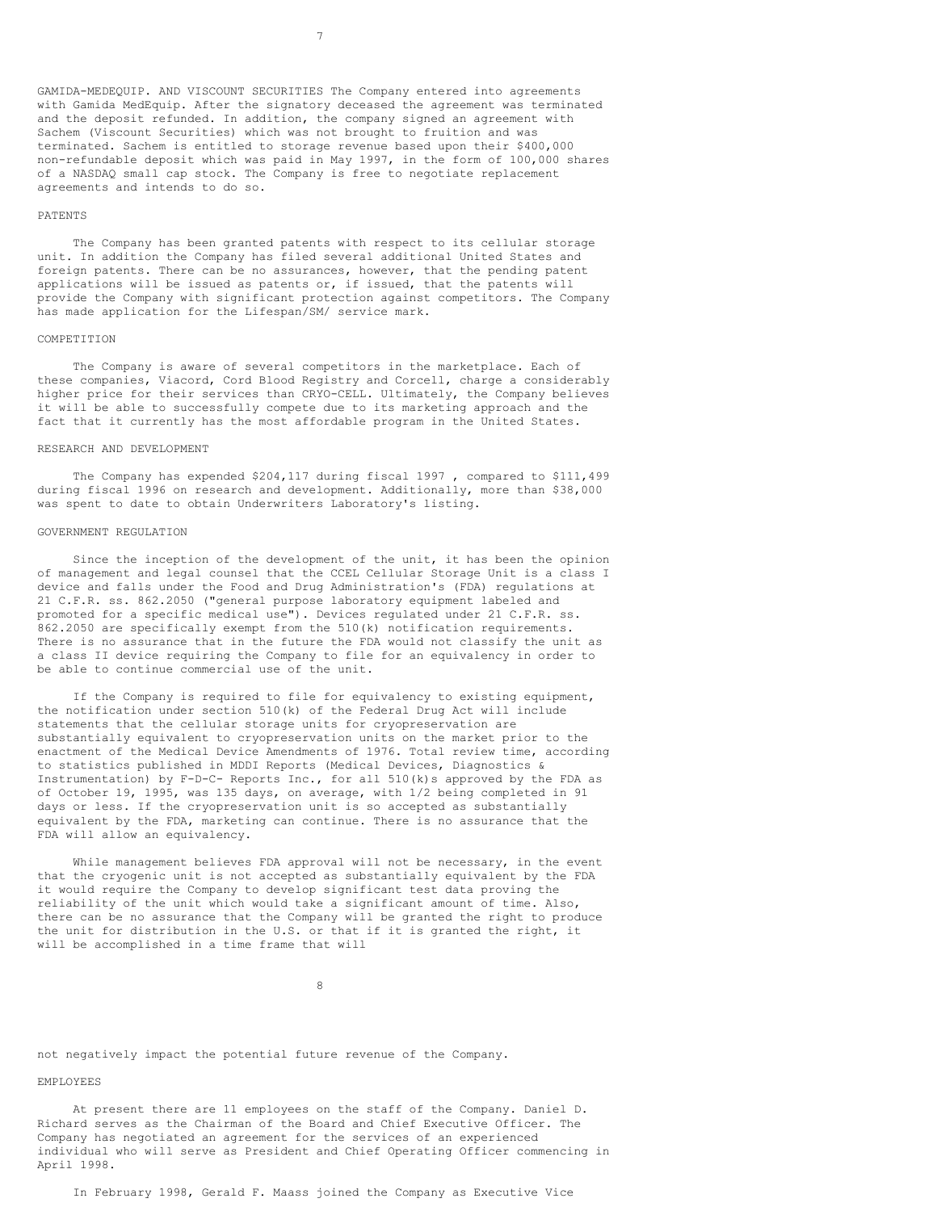GAMIDA-MEDEQUIP. AND VISCOUNT SECURITIES The Company entered into agreements with Gamida MedEquip. After the signatory deceased the agreement was terminated and the deposit refunded. In addition, the company signed an agreement with Sachem (Viscount Securities) which was not brought to fruition and was terminated. Sachem is entitled to storage revenue based upon their \$400,000 non-refundable deposit which was paid in May 1997, in the form of 100,000 shares of a NASDAQ small cap stock. The Company is free to negotiate replacement agreements and intends to do so.

#### PATENTS

The Company has been granted patents with respect to its cellular storage unit. In addition the Company has filed several additional United States and foreign patents. There can be no assurances, however, that the pending patent applications will be issued as patents or, if issued, that the patents will provide the Company with significant protection against competitors. The Company has made application for the Lifespan/SM/ service mark.

#### COMPETITION

The Company is aware of several competitors in the marketplace. Each of these companies, Viacord, Cord Blood Registry and Corcell, charge a considerably higher price for their services than CRYO-CELL. Ultimately, the Company believes it will be able to successfully compete due to its marketing approach and the fact that it currently has the most affordable program in the United States.

#### RESEARCH AND DEVELOPMENT

The Company has expended \$204,117 during fiscal 1997 , compared to \$111,499 during fiscal 1996 on research and development. Additionally, more than \$38,000 was spent to date to obtain Underwriters Laboratory's listing.

### GOVERNMENT REGULATION

Since the inception of the development of the unit, it has been the opinion of management and legal counsel that the CCEL Cellular Storage Unit is a class I device and falls under the Food and Drug Administration's (FDA) regulations at 21 C.F.R. ss. 862.2050 ("general purpose laboratory equipment labeled and promoted for a specific medical use"). Devices regulated under 21 C.F.R. ss. 862.2050 are specifically exempt from the 510(k) notification requirements. There is no assurance that in the future the FDA would not classify the unit as a class II device requiring the Company to file for an equivalency in order to be able to continue commercial use of the unit.

If the Company is required to file for equivalency to existing equipment, the notification under section 510(k) of the Federal Drug Act will include statements that the cellular storage units for cryopreservation are substantially equivalent to cryopreservation units on the market prior to the enactment of the Medical Device Amendments of 1976. Total review time, according to statistics published in MDDI Reports (Medical Devices, Diagnostics & Instrumentation) by F-D-C- Reports Inc., for all  $510(k)$ s approved by the FDA as of October 19, 1995, was 135 days, on average, with 1/2 being completed in 91 days or less. If the cryopreservation unit is so accepted as substantially equivalent by the FDA, marketing can continue. There is no assurance that the FDA will allow an equivalency.

While management believes FDA approval will not be necessary, in the event that the cryogenic unit is not accepted as substantially equivalent by the FDA it would require the Company to develop significant test data proving the reliability of the unit which would take a significant amount of time. Also, there can be no assurance that the Company will be granted the right to produce the unit for distribution in the U.S. or that if it is granted the right, it will be accomplished in a time frame that will

8

not negatively impact the potential future revenue of the Company.

#### EMPLOYEES

At present there are 11 employees on the staff of the Company. Daniel D. Richard serves as the Chairman of the Board and Chief Executive Officer. The Company has negotiated an agreement for the services of an experienced individual who will serve as President and Chief Operating Officer commencing in April 1998.

In February 1998, Gerald F. Maass joined the Company as Executive Vice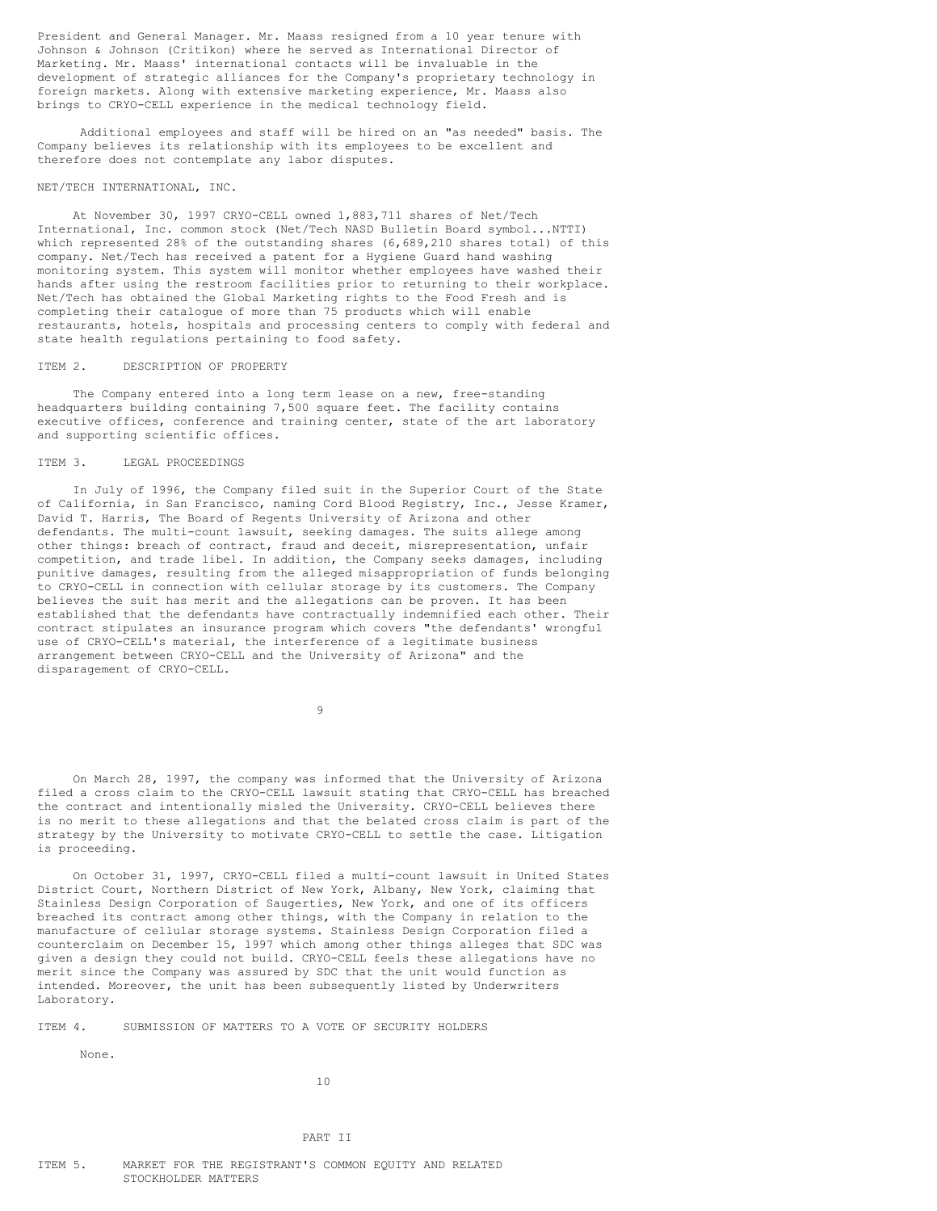President and General Manager. Mr. Maass resigned from a 10 year tenure with Johnson & Johnson (Critikon) where he served as International Director of Marketing. Mr. Maass' international contacts will be invaluable in the development of strategic alliances for the Company's proprietary technology in foreign markets. Along with extensive marketing experience, Mr. Maass also brings to CRYO-CELL experience in the medical technology field.

Additional employees and staff will be hired on an "as needed" basis. The Company believes its relationship with its employees to be excellent and therefore does not contemplate any labor disputes.

## NET/TECH INTERNATIONAL, INC.

At November 30, 1997 CRYO-CELL owned 1,883,711 shares of Net/Tech International, Inc. common stock (Net/Tech NASD Bulletin Board symbol...NTTI) which represented 28% of the outstanding shares (6,689,210 shares total) of this company. Net/Tech has received a patent for a Hygiene Guard hand washing monitoring system. This system will monitor whether employees have washed their hands after using the restroom facilities prior to returning to their workplace. Net/Tech has obtained the Global Marketing rights to the Food Fresh and is completing their catalogue of more than 75 products which will enable restaurants, hotels, hospitals and processing centers to comply with federal and state health regulations pertaining to food safety.

#### ITEM 2. DESCRIPTION OF PROPERTY

The Company entered into a long term lease on a new, free-standing headquarters building containing 7,500 square feet. The facility contains executive offices, conference and training center, state of the art laboratory and supporting scientific offices.

# ITEM 3. LEGAL PROCEEDINGS

In July of 1996, the Company filed suit in the Superior Court of the State of California, in San Francisco, naming Cord Blood Registry, Inc., Jesse Kramer, David T. Harris, The Board of Regents University of Arizona and other defendants. The multi-count lawsuit, seeking damages. The suits allege among other things: breach of contract, fraud and deceit, misrepresentation, unfair competition, and trade libel. In addition, the Company seeks damages, including punitive damages, resulting from the alleged misappropriation of funds belonging to CRYO-CELL in connection with cellular storage by its customers. The Company believes the suit has merit and the allegations can be proven. It has been established that the defendants have contractually indemnified each other. Their contract stipulates an insurance program which covers "the defendants' wrongful use of CRYO-CELL's material, the interference of a legitimate business arrangement between CRYO-CELL and the University of Arizona" and the disparagement of CRYO-CELL.

9

On March 28, 1997, the company was informed that the University of Arizona filed a cross claim to the CRYO-CELL lawsuit stating that CRYO-CELL has breached the contract and intentionally misled the University. CRYO-CELL believes there is no merit to these allegations and that the belated cross claim is part of the strategy by the University to motivate CRYO-CELL to settle the case. Litigation is proceeding.

On October 31, 1997, CRYO-CELL filed a multi-count lawsuit in United States District Court, Northern District of New York, Albany, New York, claiming that Stainless Design Corporation of Saugerties, New York, and one of its officers breached its contract among other things, with the Company in relation to the manufacture of cellular storage systems. Stainless Design Corporation filed a counterclaim on December 15, 1997 which among other things alleges that SDC was given a design they could not build. CRYO-CELL feels these allegations have no merit since the Company was assured by SDC that the unit would function as intended. Moreover, the unit has been subsequently listed by Underwriters Laboratory.

# ITEM 4. SUBMISSION OF MATTERS TO A VOTE OF SECURITY HOLDERS

None.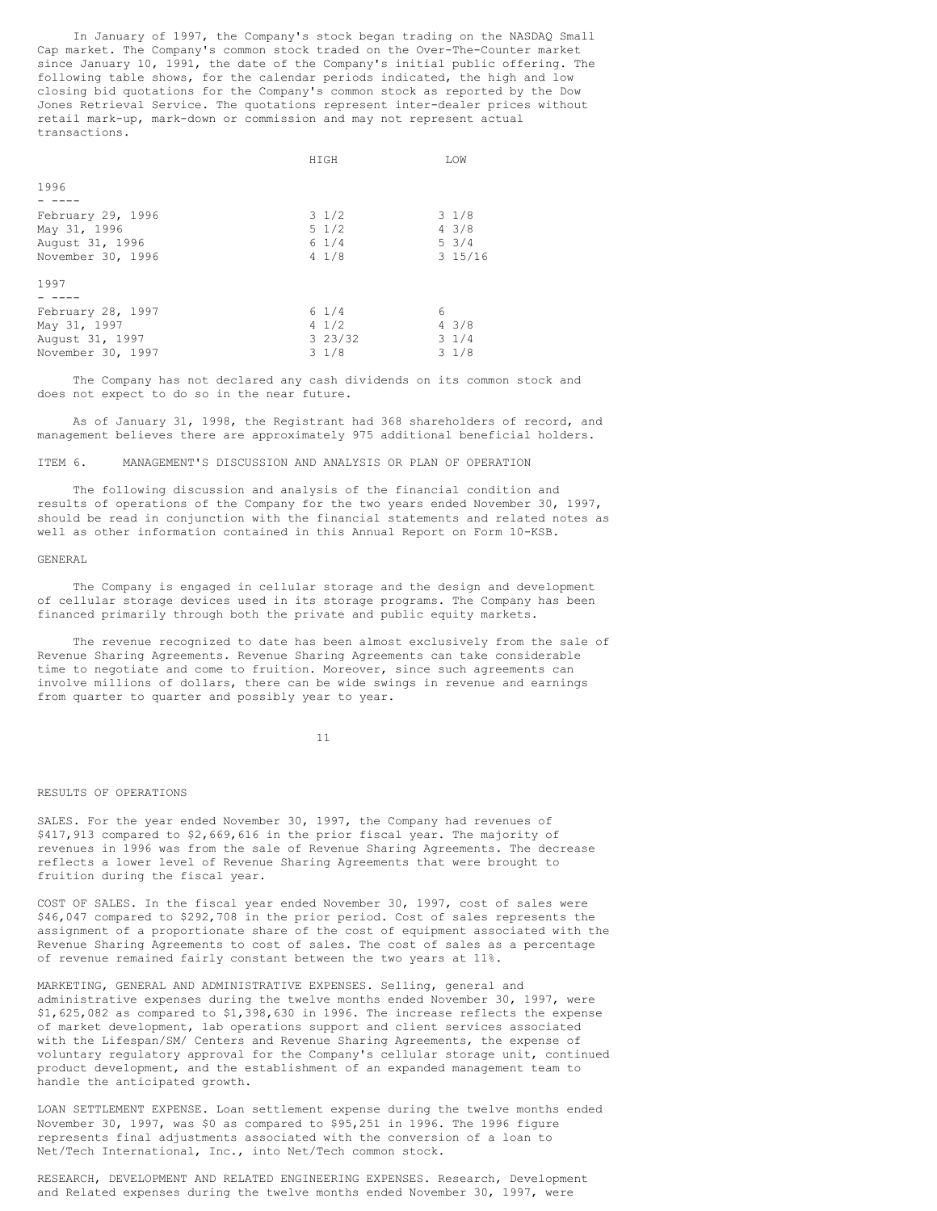In January of 1997, the Company's stock began trading on the NASDAQ Small Cap market. The Company's common stock traded on the Over-The-Counter market since January 10, 1991, the date of the Company's initial public offering. The following table shows, for the calendar periods indicated, the high and low closing bid quotations for the Company's common stock as reported by the Dow Jones Retrieval Service. The quotations represent inter-dealer prices without retail mark-up, mark-down or commission and may not represent actual transactions.

|                   | HIGH            | LOW             |
|-------------------|-----------------|-----------------|
|                   |                 |                 |
| 1996              |                 |                 |
|                   |                 |                 |
| February 29, 1996 | $3 \frac{1}{2}$ | $3 \frac{1}{8}$ |
| May 31, 1996      | $5 \frac{1}{2}$ | $4 \frac{3}{8}$ |
| August 31, 1996   | $6 \frac{1}{4}$ | $5 \frac{3}{4}$ |
| November 30, 1996 | 41/8            | 315/16          |
| 1997              |                 |                 |
|                   |                 |                 |
| February 28, 1997 | $6 \frac{1}{4}$ | 6               |
| May 31, 1997      | $4 \frac{1}{2}$ | $4 \frac{3}{8}$ |
| August 31, 1997   | 323/32          | $3 \frac{1}{4}$ |
| November 30, 1997 | $3 \frac{1}{8}$ | $3 \frac{1}{8}$ |

The Company has not declared any cash dividends on its common stock and does not expect to do so in the near future.

As of January 31, 1998, the Registrant had 368 shareholders of record, and management believes there are approximately 975 additional beneficial holders.

# ITEM 6. MANAGEMENT'S DISCUSSION AND ANALYSIS OR PLAN OF OPERATION

The following discussion and analysis of the financial condition and results of operations of the Company for the two years ended November 30, 1997, should be read in conjunction with the financial statements and related notes as well as other information contained in this Annual Report on Form 10-KSB.

#### GENERAL

The Company is engaged in cellular storage and the design and development of cellular storage devices used in its storage programs. The Company has been financed primarily through both the private and public equity markets.

The revenue recognized to date has been almost exclusively from the sale of Revenue Sharing Agreements. Revenue Sharing Agreements can take considerable time to negotiate and come to fruition. Moreover, since such agreements can involve millions of dollars, there can be wide swings in revenue and earnings from quarter to quarter and possibly year to year.

11

#### RESULTS OF OPERATIONS

SALES. For the year ended November 30, 1997, the Company had revenues of \$417,913 compared to \$2,669,616 in the prior fiscal year. The majority of revenues in 1996 was from the sale of Revenue Sharing Agreements. The decrease reflects a lower level of Revenue Sharing Agreements that were brought to fruition during the fiscal year.

COST OF SALES. In the fiscal year ended November 30, 1997, cost of sales were \$46,047 compared to \$292,708 in the prior period. Cost of sales represents the assignment of a proportionate share of the cost of equipment associated with the Revenue Sharing Agreements to cost of sales. The cost of sales as a percentage of revenue remained fairly constant between the two years at 11%.

MARKETING, GENERAL AND ADMINISTRATIVE EXPENSES. Selling, general and administrative expenses during the twelve months ended November 30, 1997, were \$1,625,082 as compared to \$1,398,630 in 1996. The increase reflects the expense of market development, lab operations support and client services associated with the Lifespan/SM/ Centers and Revenue Sharing Agreements, the expense of voluntary regulatory approval for the Company's cellular storage unit, continued product development, and the establishment of an expanded management team to handle the anticipated growth.

LOAN SETTLEMENT EXPENSE. Loan settlement expense during the twelve months ended November 30, 1997, was \$0 as compared to \$95,251 in 1996. The 1996 figure represents final adjustments associated with the conversion of a loan to Net/Tech International, Inc., into Net/Tech common stock.

RESEARCH, DEVELOPMENT AND RELATED ENGINEERING EXPENSES. Research, Development and Related expenses during the twelve months ended November 30, 1997, were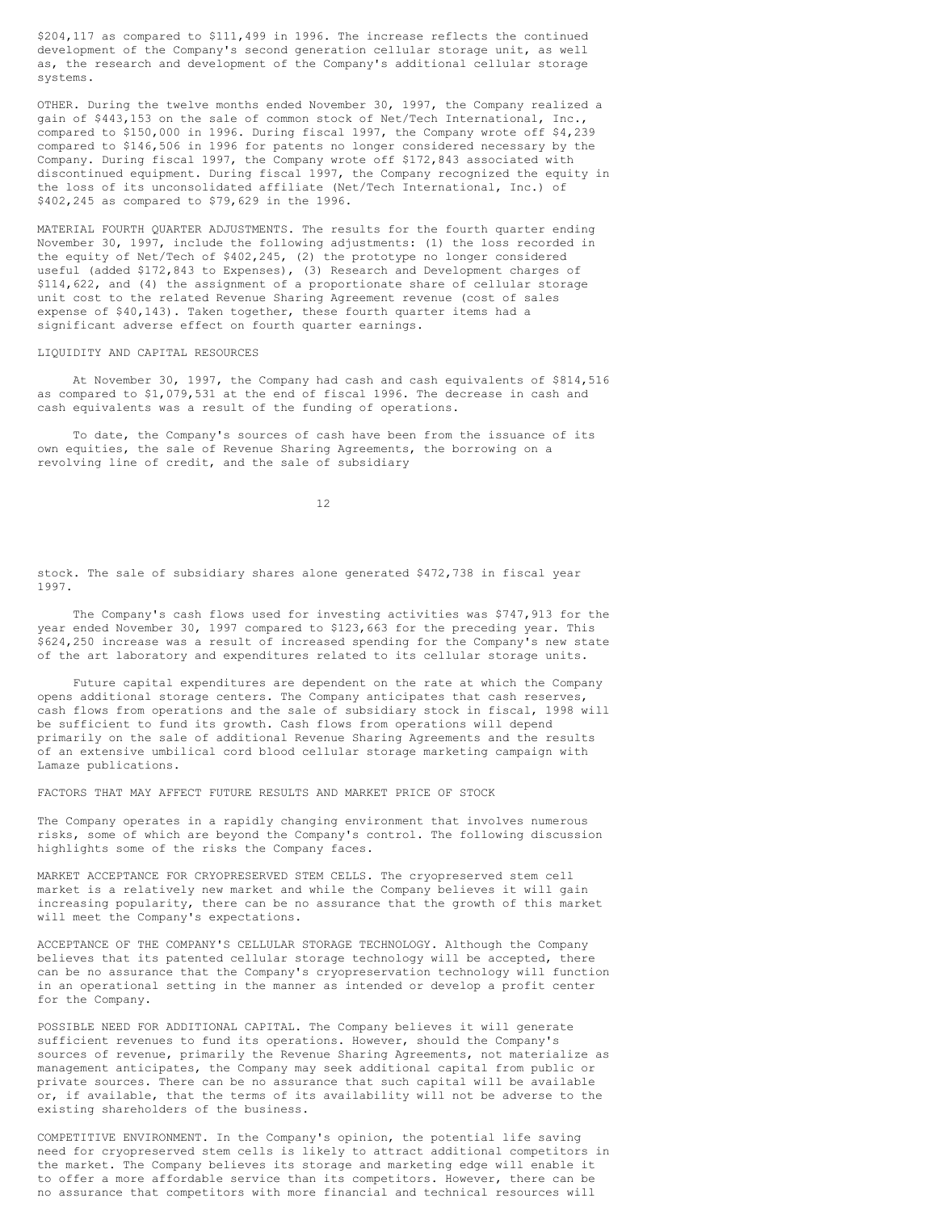\$204,117 as compared to \$111,499 in 1996. The increase reflects the continued development of the Company's second generation cellular storage unit, as well as, the research and development of the Company's additional cellular storage systems.

OTHER. During the twelve months ended November 30, 1997, the Company realized a gain of \$443,153 on the sale of common stock of Net/Tech International, Inc., compared to \$150,000 in 1996. During fiscal 1997, the Company wrote off \$4,239 compared to \$146,506 in 1996 for patents no longer considered necessary by the Company. During fiscal 1997, the Company wrote off \$172,843 associated with discontinued equipment. During fiscal 1997, the Company recognized the equity in the loss of its unconsolidated affiliate (Net/Tech International, Inc.) of \$402,245 as compared to \$79,629 in the 1996.

MATERIAL FOURTH QUARTER ADJUSTMENTS. The results for the fourth quarter ending November 30, 1997, include the following adjustments: (1) the loss recorded in the equity of Net/Tech of \$402,245, (2) the prototype no longer considered useful (added \$172,843 to Expenses), (3) Research and Development charges of \$114,622, and (4) the assignment of a proportionate share of cellular storage unit cost to the related Revenue Sharing Agreement revenue (cost of sales expense of \$40,143). Taken together, these fourth quarter items had a significant adverse effect on fourth quarter earnings.

#### LIQUIDITY AND CAPITAL RESOURCES

At November 30, 1997, the Company had cash and cash equivalents of \$814,516 as compared to \$1,079,531 at the end of fiscal 1996. The decrease in cash and cash equivalents was a result of the funding of operations.

To date, the Company's sources of cash have been from the issuance of its own equities, the sale of Revenue Sharing Agreements, the borrowing on a revolving line of credit, and the sale of subsidiary

12

stock. The sale of subsidiary shares alone generated \$472,738 in fiscal year 1997.

The Company's cash flows used for investing activities was \$747,913 for the year ended November 30, 1997 compared to \$123,663 for the preceding year. This \$624,250 increase was a result of increased spending for the Company's new state of the art laboratory and expenditures related to its cellular storage units.

Future capital expenditures are dependent on the rate at which the Company opens additional storage centers. The Company anticipates that cash reserves, cash flows from operations and the sale of subsidiary stock in fiscal, 1998 will be sufficient to fund its growth. Cash flows from operations will depend primarily on the sale of additional Revenue Sharing Agreements and the results of an extensive umbilical cord blood cellular storage marketing campaign with Lamaze publications.

FACTORS THAT MAY AFFECT FUTURE RESULTS AND MARKET PRICE OF STOCK

The Company operates in a rapidly changing environment that involves numerous risks, some of which are beyond the Company's control. The following discussion highlights some of the risks the Company faces.

MARKET ACCEPTANCE FOR CRYOPRESERVED STEM CELLS. The cryopreserved stem cell market is a relatively new market and while the Company believes it will gain increasing popularity, there can be no assurance that the growth of this market will meet the Company's expectations.

ACCEPTANCE OF THE COMPANY'S CELLULAR STORAGE TECHNOLOGY. Although the Company believes that its patented cellular storage technology will be accepted, there can be no assurance that the Company's cryopreservation technology will function in an operational setting in the manner as intended or develop a profit center for the Company.

POSSIBLE NEED FOR ADDITIONAL CAPITAL. The Company believes it will generate sufficient revenues to fund its operations. However, should the Company's sources of revenue, primarily the Revenue Sharing Agreements, not materialize as management anticipates, the Company may seek additional capital from public or private sources. There can be no assurance that such capital will be available or, if available, that the terms of its availability will not be adverse to the existing shareholders of the business.

COMPETITIVE ENVIRONMENT. In the Company's opinion, the potential life saving need for cryopreserved stem cells is likely to attract additional competitors in the market. The Company believes its storage and marketing edge will enable it to offer a more affordable service than its competitors. However, there can be no assurance that competitors with more financial and technical resources will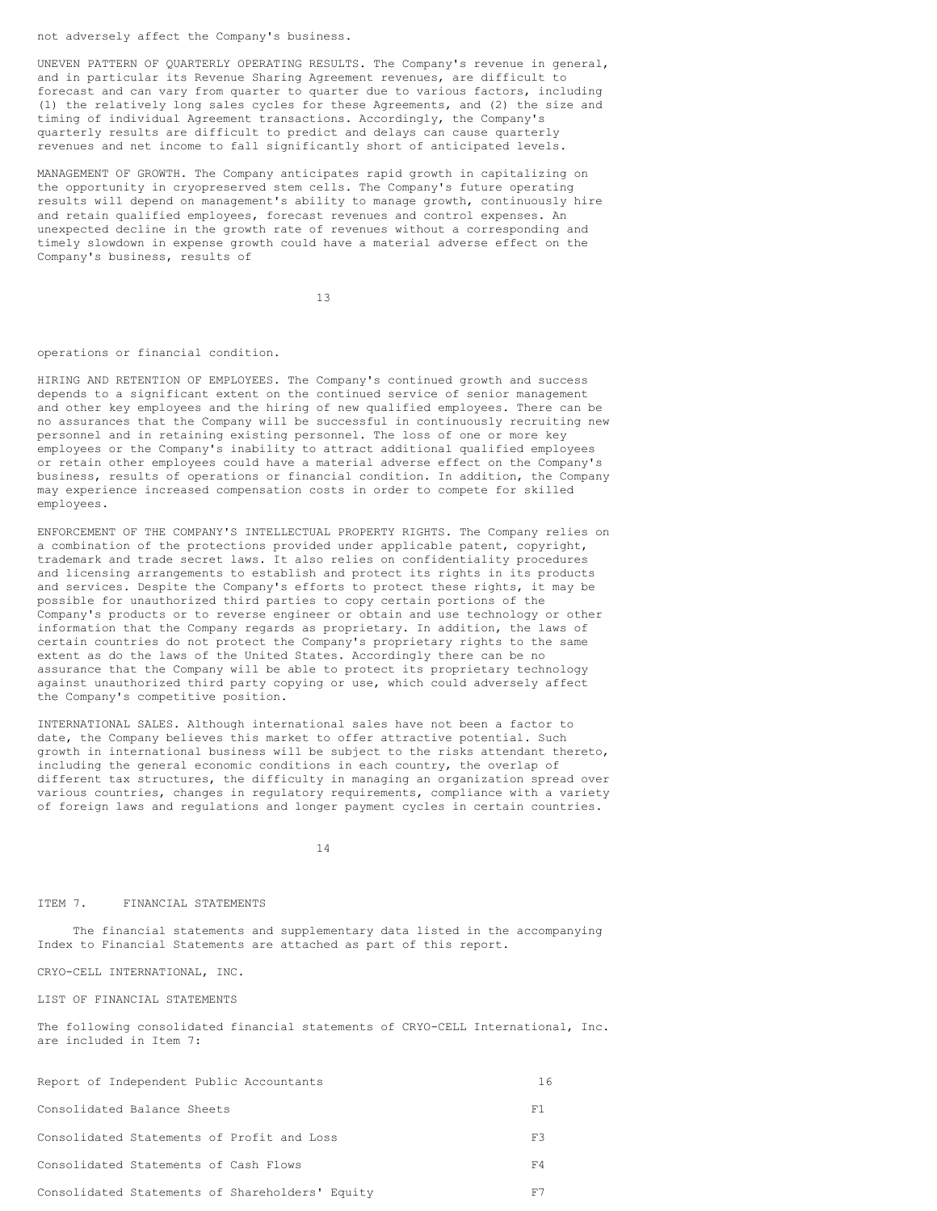not adversely affect the Company's business.

UNEVEN PATTERN OF QUARTERLY OPERATING RESULTS. The Company's revenue in general, and in particular its Revenue Sharing Agreement revenues, are difficult to forecast and can vary from quarter to quarter due to various factors, including (1) the relatively long sales cycles for these Agreements, and (2) the size and timing of individual Agreement transactions. Accordingly, the Company's quarterly results are difficult to predict and delays can cause quarterly revenues and net income to fall significantly short of anticipated levels.

MANAGEMENT OF GROWTH. The Company anticipates rapid growth in capitalizing on the opportunity in cryopreserved stem cells. The Company's future operating results will depend on management's ability to manage growth, continuously hire and retain qualified employees, forecast revenues and control expenses. An unexpected decline in the growth rate of revenues without a corresponding and timely slowdown in expense growth could have a material adverse effect on the Company's business, results of

13

## operations or financial condition.

HIRING AND RETENTION OF EMPLOYEES. The Company's continued growth and success depends to a significant extent on the continued service of senior management and other key employees and the hiring of new qualified employees. There can be no assurances that the Company will be successful in continuously recruiting new personnel and in retaining existing personnel. The loss of one or more key employees or the Company's inability to attract additional qualified employees or retain other employees could have a material adverse effect on the Company's business, results of operations or financial condition. In addition, the Company may experience increased compensation costs in order to compete for skilled employees.

ENFORCEMENT OF THE COMPANY'S INTELLECTUAL PROPERTY RIGHTS. The Company relies on a combination of the protections provided under applicable patent, copyright, trademark and trade secret laws. It also relies on confidentiality procedures and licensing arrangements to establish and protect its rights in its products and services. Despite the Company's efforts to protect these rights, it may be possible for unauthorized third parties to copy certain portions of the Company's products or to reverse engineer or obtain and use technology or other information that the Company regards as proprietary. In addition, the laws of certain countries do not protect the Company's proprietary rights to the same extent as do the laws of the United States. Accordingly there can be no assurance that the Company will be able to protect its proprietary technology against unauthorized third party copying or use, which could adversely affect the Company's competitive position.

INTERNATIONAL SALES. Although international sales have not been a factor to date, the Company believes this market to offer attractive potential. Such growth in international business will be subject to the risks attendant thereto, including the general economic conditions in each country, the overlap of different tax structures, the difficulty in managing an organization spread over various countries, changes in regulatory requirements, compliance with a variety of foreign laws and regulations and longer payment cycles in certain countries.

14

# ITEM 7. FINANCIAL STATEMENTS

The financial statements and supplementary data listed in the accompanying Index to Financial Statements are attached as part of this report.

CRYO-CELL INTERNATIONAL, INC.

LIST OF FINANCIAL STATEMENTS

The following consolidated financial statements of CRYO-CELL International, Inc. are included in Item 7:

| Report of Independent Public Accountants        | 16 |
|-------------------------------------------------|----|
| Consolidated Balance Sheets                     | F1 |
| Consolidated Statements of Profit and Loss      | FЗ |
| Consolidated Statements of Cash Flows           | F4 |
| Consolidated Statements of Shareholders' Equity |    |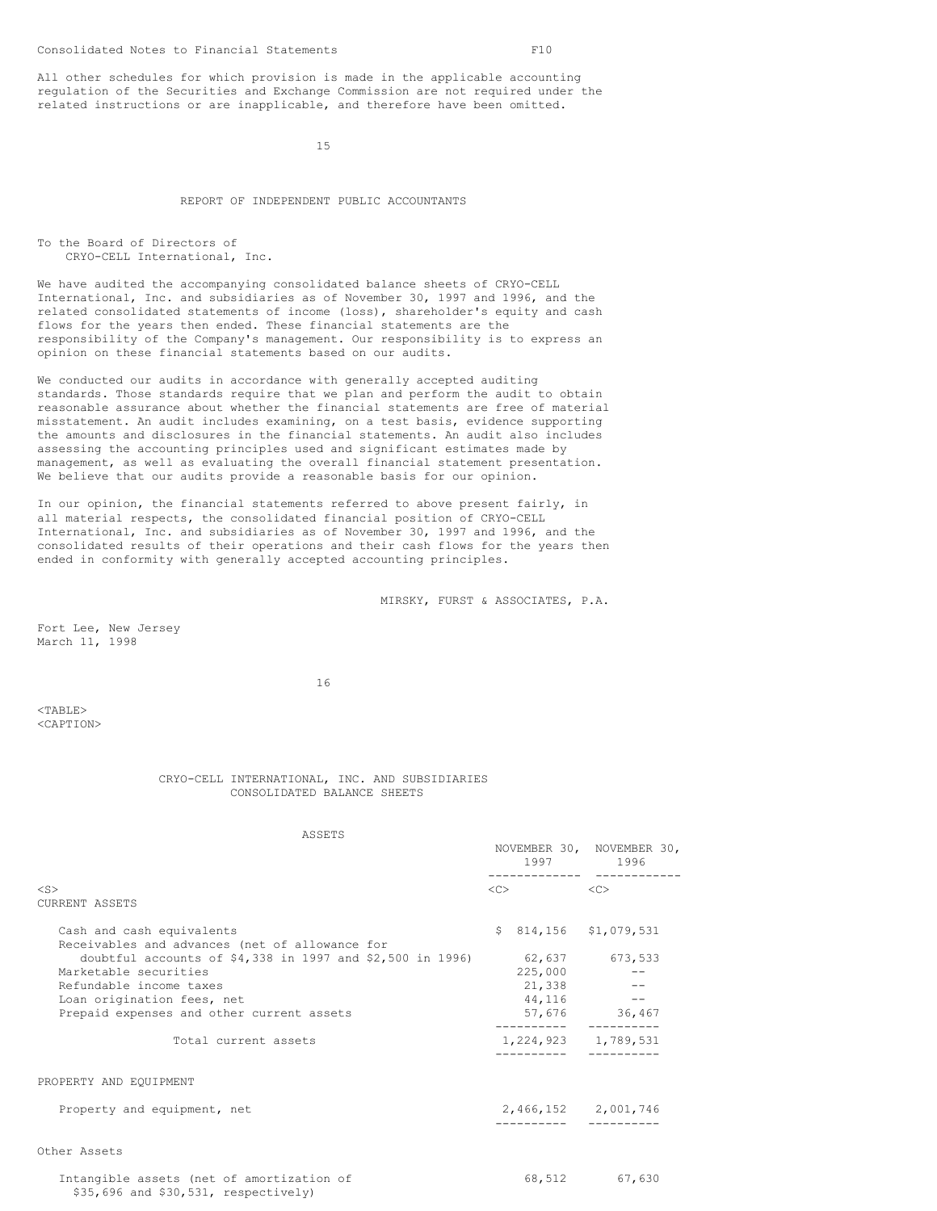All other schedules for which provision is made in the applicable accounting regulation of the Securities and Exchange Commission are not required under the related instructions or are inapplicable, and therefore have been omitted.

15

# REPORT OF INDEPENDENT PUBLIC ACCOUNTANTS

```
To the Board of Directors of
CRYO-CELL International, Inc.
```
We have audited the accompanying consolidated balance sheets of CRYO-CELL International, Inc. and subsidiaries as of November 30, 1997 and 1996, and the related consolidated statements of income (loss), shareholder's equity and cash flows for the years then ended. These financial statements are the responsibility of the Company's management. Our responsibility is to express an opinion on these financial statements based on our audits.

We conducted our audits in accordance with generally accepted auditing standards. Those standards require that we plan and perform the audit to obtain reasonable assurance about whether the financial statements are free of material misstatement. An audit includes examining, on a test basis, evidence supporting the amounts and disclosures in the financial statements. An audit also includes assessing the accounting principles used and significant estimates made by management, as well as evaluating the overall financial statement presentation. We believe that our audits provide a reasonable basis for our opinion.

In our opinion, the financial statements referred to above present fairly, in all material respects, the consolidated financial position of CRYO-CELL International, Inc. and subsidiaries as of November 30, 1997 and 1996, and the consolidated results of their operations and their cash flows for the years then ended in conformity with generally accepted accounting principles.

MIRSKY, FURST & ASSOCIATES, P.A.

Fort Lee, New Jersey March 11, 1998

16

<TABLE> <CAPTION>

## CRYO-CELL INTERNATIONAL, INC. AND SUBSIDIARIES CONSOLIDATED BALANCE SHEETS

ASSETS

|                                                                                      |                                  | NOVEMBER 30, NOVEMBER 30,<br>1997 1996 |
|--------------------------------------------------------------------------------------|----------------------------------|----------------------------------------|
| $<$ S $>$                                                                            | $\langle C \rangle$<br>< <c></c> |                                        |
| <b>CURRENT ASSETS</b>                                                                |                                  |                                        |
| Cash and cash equivalents<br>Receivables and advances (net of allowance for          | $$814,156$ $$1,079,531$          |                                        |
| doubtful accounts of $$4,338$ in 1997 and $$2,500$ in 1996)<br>Marketable securities | 225,000                          | 62,637 673,533                         |
| Refundable income taxes                                                              |                                  | $21,338$ --                            |
| Loan origination fees, net                                                           |                                  | $44,116$ --                            |
| Prepaid expenses and other current assets                                            | -----------                      | 57,676 36,467                          |
| Total current assets                                                                 | 1,224,923 1,789,531              |                                        |
| PROPERTY AND EOUIPMENT                                                               |                                  |                                        |
| Property and equipment, net                                                          |                                  | 2,466,152 2,001,746                    |
| Other Assets                                                                         |                                  |                                        |
| Intangible assets (net of amortization of<br>\$35,696 and \$30,531, respectively)    |                                  | 68,512 67,630                          |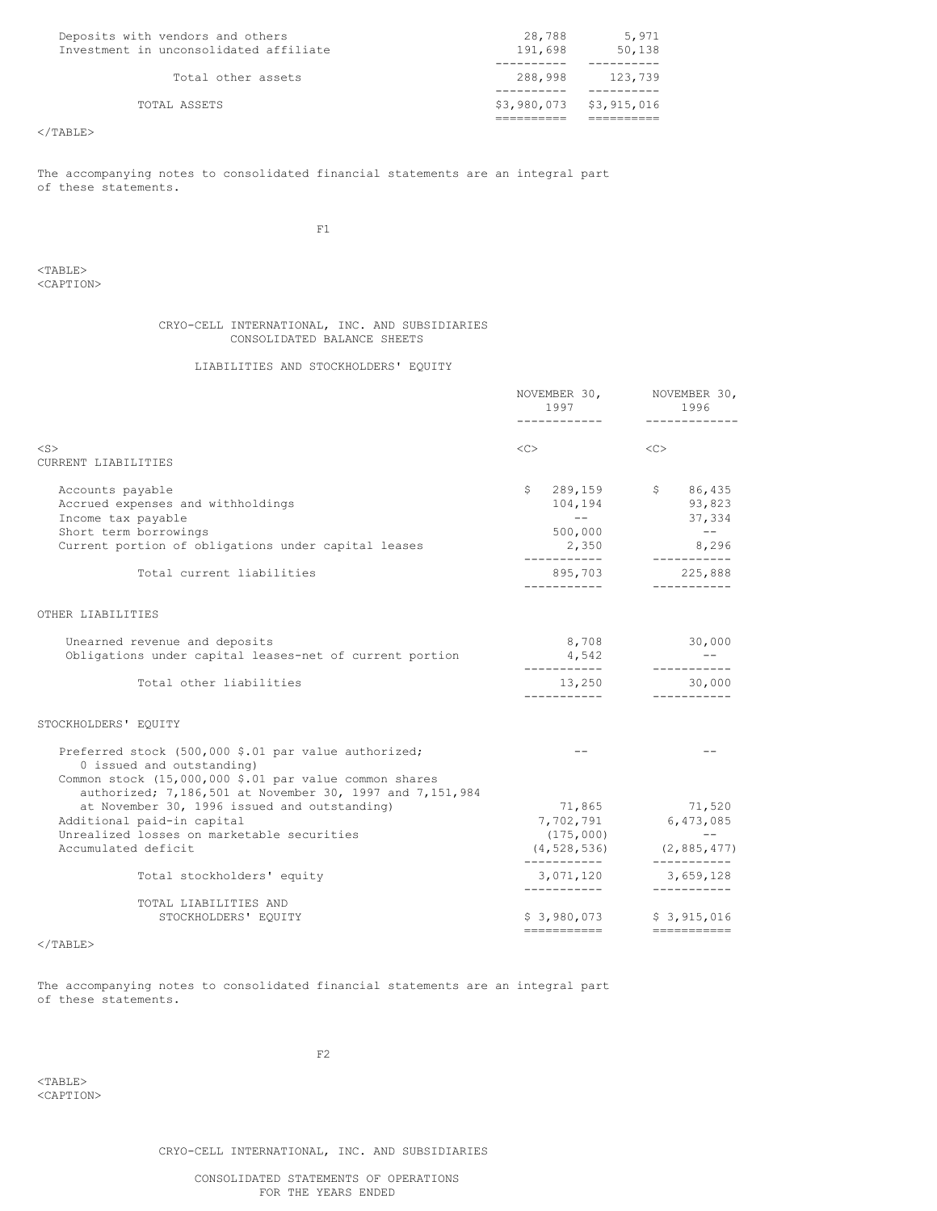| Deposits with vendors and others<br>Investment in unconsolidated affiliate | 28,788<br>191,698       | 5,971<br>50,138 |
|----------------------------------------------------------------------------|-------------------------|-----------------|
|                                                                            |                         |                 |
| Total other assets                                                         | 288,998                 | 123,739         |
|                                                                            |                         |                 |
| TOTAL ASSETS                                                               | \$3,980,073 \$3,915,016 |                 |
|                                                                            |                         |                 |

The accompanying notes to consolidated financial statements are an integral part of these statements.

 $\rm F1$ 

<TABLE> <CAPTION>

## CRYO-CELL INTERNATIONAL, INC. AND SUBSIDIARIES CONSOLIDATED BALANCE SHEETS

# LIABILITIES AND STOCKHOLDERS' EQUITY

|                                                                                                                                                                                                             | NOVEMBER 30,<br>1997<br>-------------                     | NOVEMBER 30,<br>1996<br>-------------                                                       |
|-------------------------------------------------------------------------------------------------------------------------------------------------------------------------------------------------------------|-----------------------------------------------------------|---------------------------------------------------------------------------------------------|
| $<$ S $>$<br>CURRENT LIABILITIES                                                                                                                                                                            | $\langle C \rangle$                                       | $<<$ $C>$                                                                                   |
| Accounts payable<br>Accrued expenses and withholdings<br>Income tax payable<br>Short term borrowings<br>Current portion of obligations under capital leases                                                 | 104,194<br>$\sim$ $ -$<br>500,000<br>2,350<br>----------- | $$289,159$ $$86,435$<br>93,823<br>37,334<br>$\sim$ $ -$<br>8,296<br>-----------             |
| Total current liabilities                                                                                                                                                                                   | 895,703<br>___________                                    | 225,888                                                                                     |
| OTHER LIABILITIES                                                                                                                                                                                           |                                                           |                                                                                             |
| Unearned revenue and deposits<br>Obligations under capital leases-net of current portion                                                                                                                    | 8,708<br>4,542<br>-----------                             | 30,000<br>------------                                                                      |
| Total other liabilities                                                                                                                                                                                     | 13,250<br>___________                                     | 30,000<br>------------                                                                      |
| STOCKHOLDERS' EQUITY                                                                                                                                                                                        |                                                           |                                                                                             |
| Preferred stock (500,000 \$.01 par value authorized;<br>0 issued and outstanding)<br>Common stock (15,000,000 \$.01 par value common shares                                                                 | $- -$                                                     | $ -$                                                                                        |
| authorized; 7,186,501 at November 30, 1997 and 7,151,984<br>at November 30, 1996 issued and outstanding)<br>Additional paid-in capital<br>Unrealized losses on marketable securities<br>Accumulated deficit | (175,000)<br>-----------                                  | 71,865 71,520<br>7,702,791 6,473,085<br>and a strong for<br>$(4, 528, 536)$ $(2, 885, 477)$ |
| Total stockholders' equity                                                                                                                                                                                  | 3,071,120<br>____________                                 | 3,659,128<br>------------                                                                   |
| TOTAL LIABILITIES AND<br>STOCKHOLDERS' EQUITY                                                                                                                                                               |                                                           | $$3,980,073$ $$3,915,016$<br>=========================                                      |
| $2$ / m n n $\tau$ m $\sim$                                                                                                                                                                                 |                                                           |                                                                                             |

 $<$ /TABLE>

The accompanying notes to consolidated financial statements are an integral part of these statements.

F2

<TABLE> <CAPTION>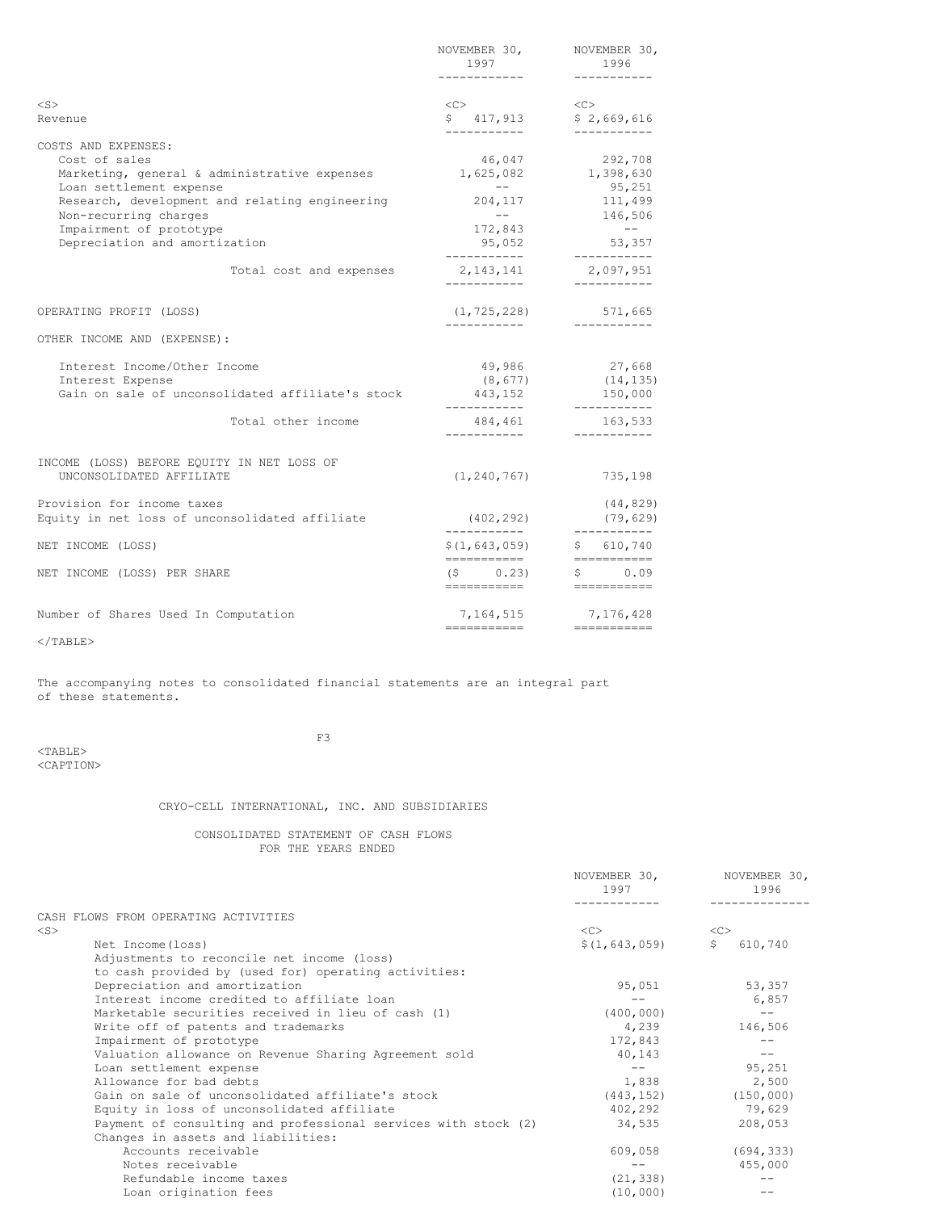|                                                                  | NOVEMBER 30,<br>1997<br>------------         | NOVEMBER 30,<br>1996<br>-----------       |
|------------------------------------------------------------------|----------------------------------------------|-------------------------------------------|
| $<$ S $>$                                                        | $<<$ $C>$                                    | $<<$ $C>$                                 |
| Revenue                                                          | \$417,913                                    | \$2,669,616<br>------------               |
| COSTS AND EXPENSES:                                              |                                              |                                           |
| Cost of sales                                                    | 46,047                                       | 292,708                                   |
| Marketing, general & administrative expenses 1,625,082 1,398,630 |                                              |                                           |
| Loan settlement expense                                          | $\sim$ $  -$                                 |                                           |
| Research, development and relating engineering                   | 204,117                                      | 95,251<br>111,499                         |
| Non-recurring charges                                            | $  -$                                        | 146,506                                   |
| Impairment of prototype                                          | 172,843                                      | $- -$                                     |
| Depreciation and amortization                                    | 95,052<br>------------                       | 53,357<br>-----------                     |
| Total cost and expenses                                          | 2,143,141<br>___________                     | 2,097,951<br>------------                 |
| OPERATING PROFIT (LOSS)                                          | (1, 725, 228)                                | 571,665                                   |
| OTHER INCOME AND (EXPENSE):                                      | ------------                                 | -----------                               |
| Interest Income/Other Income                                     | 49,986                                       | 27,668                                    |
| Interest Expense                                                 | (8, 677)                                     | (14, 135)                                 |
| Gain on sale of unconsolidated affiliate's stock                 | 443,152                                      | 150,000                                   |
| Total other income                                               | -----------<br>484,461<br>------------       | -----------<br>163,533<br>-----------     |
| INCOME (LOSS) BEFORE EQUITY IN NET LOSS OF                       |                                              |                                           |
| UNCONSOLIDATED AFFILIATE                                         |                                              | $(1, 240, 767)$ 735, 198                  |
| Provision for income taxes                                       |                                              | (44, 829)                                 |
| Equity in net loss of unconsolidated affiliate                   | (402, 292)                                   | (79, 629)                                 |
| NET INCOME (LOSS)                                                | \$(1, 643, 059)<br>===========               | ------------<br>\$610,740<br>------------ |
| NET INCOME (LOSS) PER SHARE                                      | $(5 \t 0.23)$<br>=========================== | \$0.09                                    |
| Number of Shares Used In Computation                             |                                              | 7, 164, 515 7, 176, 428                   |
|                                                                  | ==========================                   |                                           |

The accompanying notes to consolidated financial statements are an integral part of these statements.

<TABLE> <CAPTION>  $F3$ 

# CRYO-CELL INTERNATIONAL, INC. AND SUBSIDIARIES

CONSOLIDATED STATEMENT OF CASH FLOWS FOR THE YEARS ENDED

|                                                                | NOVEMBER 30,<br>1997 | NOVEMBER 30,<br>1996      |
|----------------------------------------------------------------|----------------------|---------------------------|
| CASH FLOWS FROM OPERATING ACTIVITIES                           |                      |                           |
| $<$ S $>$                                                      | $<<$ $>>$            | <<                        |
| Net Income (loss)                                              | \$(1, 643, 059)      | $\mathsf{S}^-$<br>610,740 |
| Adjustments to reconcile net income (loss)                     |                      |                           |
| to cash provided by (used for) operating activities:           |                      |                           |
| Depreciation and amortization                                  | 95,051               | 53,357                    |
| Interest income credited to affiliate loan                     |                      | 6,857                     |
| Marketable securities received in lieu of cash (1)             | (400, 000)           |                           |
| Write off of patents and trademarks                            | 4,239                | 146,506                   |
| Impairment of prototype                                        | 172,843              |                           |
| Valuation allowance on Revenue Sharing Agreement sold          | 40,143               | $- -$                     |
| Loan settlement expense                                        | $- -$                | 95,251                    |
| Allowance for bad debts                                        | 1,838                | 2,500                     |
| Gain on sale of unconsolidated affiliate's stock               | (443, 152)           | (150, 000)                |
| Equity in loss of unconsolidated affiliate                     | 402,292              | 79,629                    |
| Payment of consulting and professional services with stock (2) | 34,535               | 208,053                   |
| Changes in assets and liabilities:                             |                      |                           |
| Accounts receivable                                            | 609,058              | (694, 333)                |
| Notes receivable                                               | $- -$                | 455,000                   |
| Refundable income taxes                                        | (21, 338)            |                           |
| Loan origination fees                                          | (10,000)             |                           |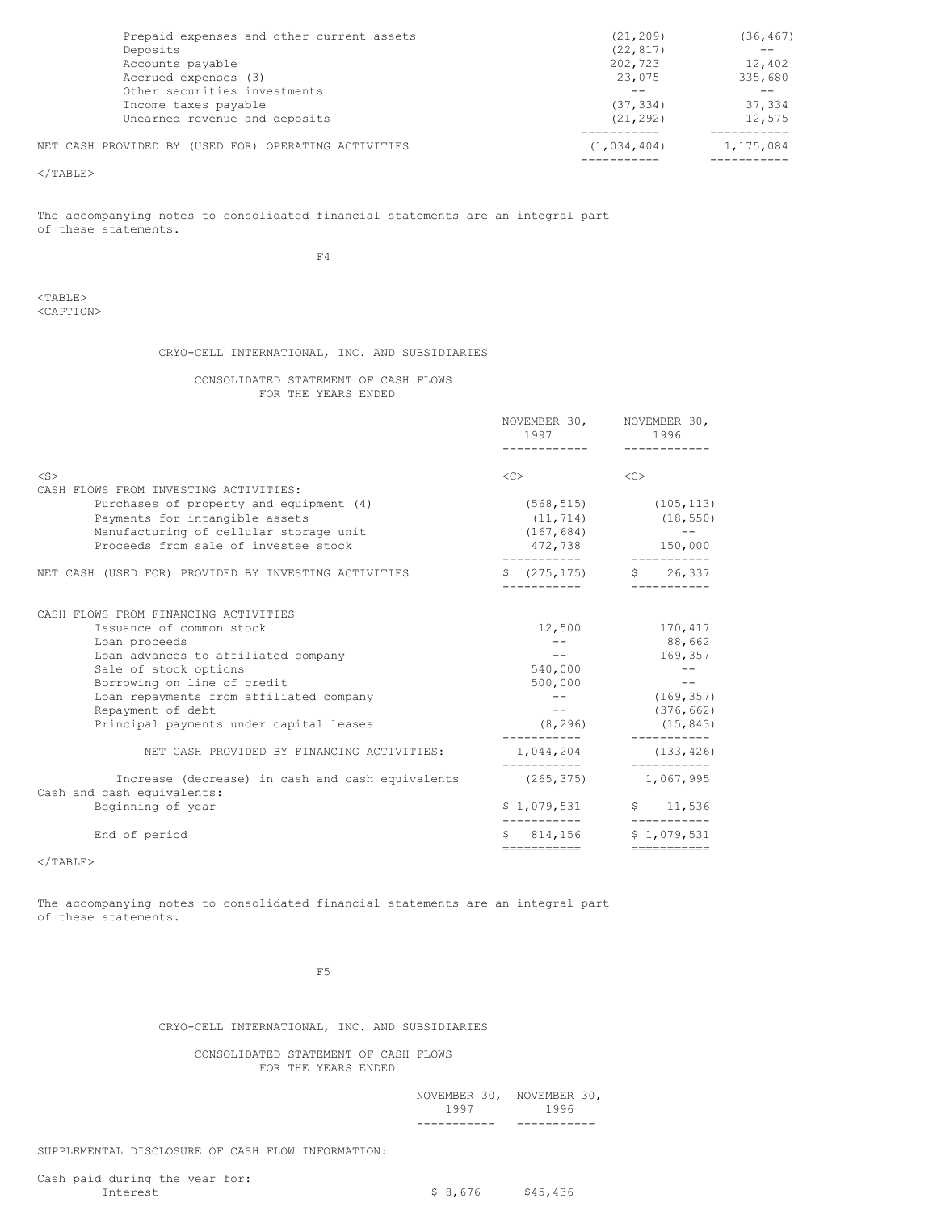| NET CASH PROVIDED BY (USED FOR) OPERATING ACTIVITIES | (1, 034, 404) | 1,175,084 |
|------------------------------------------------------|---------------|-----------|
|                                                      |               |           |
| Unearned revenue and deposits                        | (21, 292)     | 12,575    |
| Income taxes payable                                 | (37, 334)     | 37,334    |
| Other securities investments                         |               |           |
| Accrued expenses (3)                                 | 23,075        | 335,680   |
| Accounts payable                                     | 202,723       | 12,402    |
| Deposits                                             | (22, 817)     |           |
| Prepaid expenses and other current assets            | (21, 209)     | (36, 467) |

The accompanying notes to consolidated financial statements are an integral part of these statements.

 $F<sub>4</sub>$ 

<TABLE> <CAPTION>

# CRYO-CELL INTERNATIONAL, INC. AND SUBSIDIARIES

# CONSOLIDATED STATEMENT OF CASH FLOWS FOR THE YEARS ENDED

|                                                                                                                                                                                                                                                                                             | 1997<br>-----------                                       | NOVEMBER 30, NOVEMBER 30,<br>1996<br>------------                             |
|---------------------------------------------------------------------------------------------------------------------------------------------------------------------------------------------------------------------------------------------------------------------------------------------|-----------------------------------------------------------|-------------------------------------------------------------------------------|
| $<$ S $>$<br>CASH FLOWS FROM INVESTING ACTIVITIES:                                                                                                                                                                                                                                          | <<                                                        | <<                                                                            |
| Purchases of property and equipment (4)<br>Payments for intangible assets<br>Manufacturing of cellular storage unit<br>Proceeds from sale of investee stock                                                                                                                                 | (167, 684)<br>472,738                                     | $(568, 515)$ $(105, 113)$<br>$(11, 714)$ $(18, 550)$<br>$- -$<br>150,000      |
| NET CASH (USED FOR) PROVIDED BY INVESTING ACTIVITIES                                                                                                                                                                                                                                        |                                                           | $\frac{1}{2}$ (275,175) $\frac{1}{2}$ 26,337                                  |
| CASH FLOWS FROM FINANCING ACTIVITIES<br>Issuance of common stock<br>Loan proceeds<br>Loan advances to affiliated company<br>Sale of stock options<br>Borrowing on line of credit<br>Loan repayments from affiliated company<br>Repayment of debt<br>Principal payments under capital leases | 12,500<br>$--$<br>540,000<br>500,000<br>$- -$<br>(8, 296) | 170,417<br>88,662<br>169,357<br>$--$<br>(169, 357)<br>(376, 662)<br>(15, 843) |
| NET CASH PROVIDED BY FINANCING ACTIVITIES:                                                                                                                                                                                                                                                  | 1,044,204                                                 | (133, 426)<br>----------                                                      |
| Increase (decrease) in cash and cash equivalents<br>Cash and cash equivalents:<br>Beginning of year                                                                                                                                                                                         | (265, 375)                                                | 1,067,995<br>$$1,079,531$ $$1,536$                                            |
| End of period                                                                                                                                                                                                                                                                               | ============                                              | \$ 814,156 \$ 1,079,531<br>------------                                       |

 $<$ /TABLE $>$ 

The accompanying notes to consolidated financial statements are an integral part of these statements.

 $F5$ 

CRYO-CELL INTERNATIONAL, INC. AND SUBSIDIARIES

CONSOLIDATED STATEMENT OF CASH FLOWS FOR THE YEARS ENDED

> NOVEMBER 30, NOVEMBER 30, 1997 1996 ----------- -----------

SUPPLEMENTAL DISCLOSURE OF CASH FLOW INFORMATION:

 $$8,676$   $$45,436$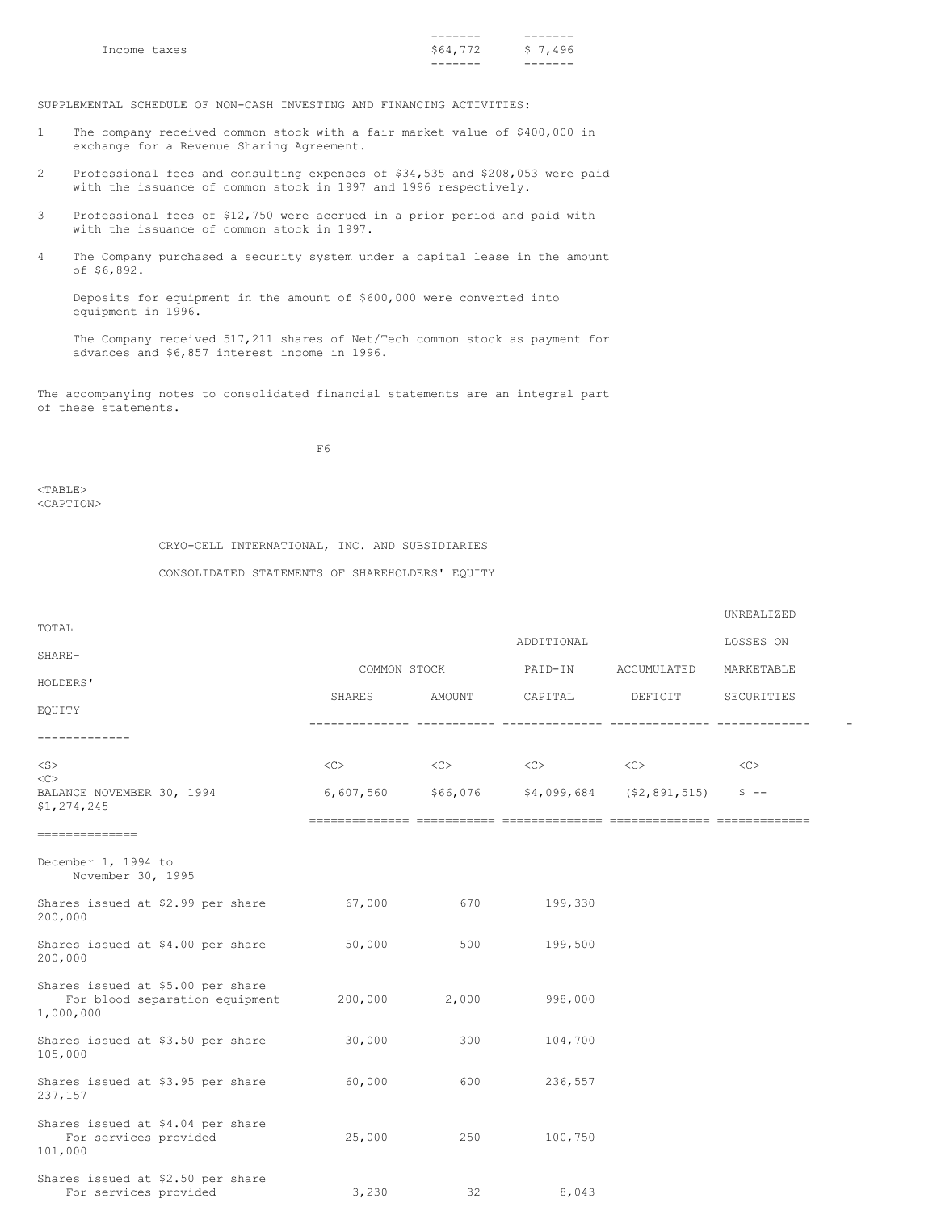|              | -------  |         |
|--------------|----------|---------|
| Income taxes | \$64,772 | \$7,496 |
|              | -------  | -----   |

SUPPLEMENTAL SCHEDULE OF NON-CASH INVESTING AND FINANCING ACTIVITIES:

- 1 The company received common stock with a fair market value of \$400,000 in exchange for a Revenue Sharing Agreement.
- 2 Professional fees and consulting expenses of \$34,535 and \$208,053 were paid with the issuance of common stock in 1997 and 1996 respectively.
- 3 Professional fees of \$12,750 were accrued in a prior period and paid with with the issuance of common stock in 1997.
- 4 The Company purchased a security system under a capital lease in the amount of \$6,892.

Deposits for equipment in the amount of \$600,000 were converted into equipment in 1996.

The Company received 517,211 shares of Net/Tech common stock as payment for advances and \$6,857 interest income in 1996.

The accompanying notes to consolidated financial statements are an integral part of these statements.

F6

 $<$ TABLE> <CAPTION>

# CRYO-CELL INTERNATIONAL, INC. AND SUBSIDIARIES

CONSOLIDATED STATEMENTS OF SHAREHOLDERS' EQUITY

|                                                                                  |              |                  |                                         |                                                 | UNREALIZED |  |
|----------------------------------------------------------------------------------|--------------|------------------|-----------------------------------------|-------------------------------------------------|------------|--|
| TOTAL                                                                            |              |                  | ADDITIONAL                              |                                                 | LOSSES ON  |  |
| SHARE-                                                                           | COMMON STOCK |                  | PAID-IN                                 | ACCUMULATED                                     | MARKETABLE |  |
| HOLDERS'                                                                         |              |                  |                                         |                                                 |            |  |
| EQUITY                                                                           | SHARES       | AMOUNT           | CAPITAL                                 | DEFICIT                                         | SECURITIES |  |
| -------------                                                                    |              |                  |                                         |                                                 |            |  |
| $<$ S $>$                                                                        | <<>          | $<<$ $<$ $<$ $>$ | $\langle C \rangle$ $\langle C \rangle$ |                                                 | <<         |  |
| $<\infty$<br>BALANCE NOVEMBER 30, 1994<br>\$1,274,245                            |              |                  |                                         | $6,607,560$ $$66,076$ $$4,099,684$ $$2,891,515$ | $5 - -$    |  |
| ==============                                                                   |              |                  |                                         |                                                 |            |  |
| December 1, 1994 to<br>November 30, 1995                                         |              |                  |                                         |                                                 |            |  |
| Shares issued at \$2.99 per share<br>200,000                                     | 67,000       | 670              | 199,330                                 |                                                 |            |  |
| Shares issued at \$4.00 per share<br>200,000                                     | 50,000       | 500              | 199,500                                 |                                                 |            |  |
| Shares issued at \$5.00 per share<br>For blood separation equipment<br>1,000,000 |              | 200,000 2,000    | 998,000                                 |                                                 |            |  |
| Shares issued at \$3.50 per share<br>105,000                                     | 30,000       | 300              | 104,700                                 |                                                 |            |  |
| Shares issued at \$3.95 per share<br>237,157                                     | 60,000       | 600              | 236,557                                 |                                                 |            |  |
| Shares issued at \$4.04 per share<br>For services provided<br>101,000            | 25,000       | 250              | 100,750                                 |                                                 |            |  |
| Shares issued at \$2.50 per share<br>For services provided                       | 3,230        | 32               | 8,043                                   |                                                 |            |  |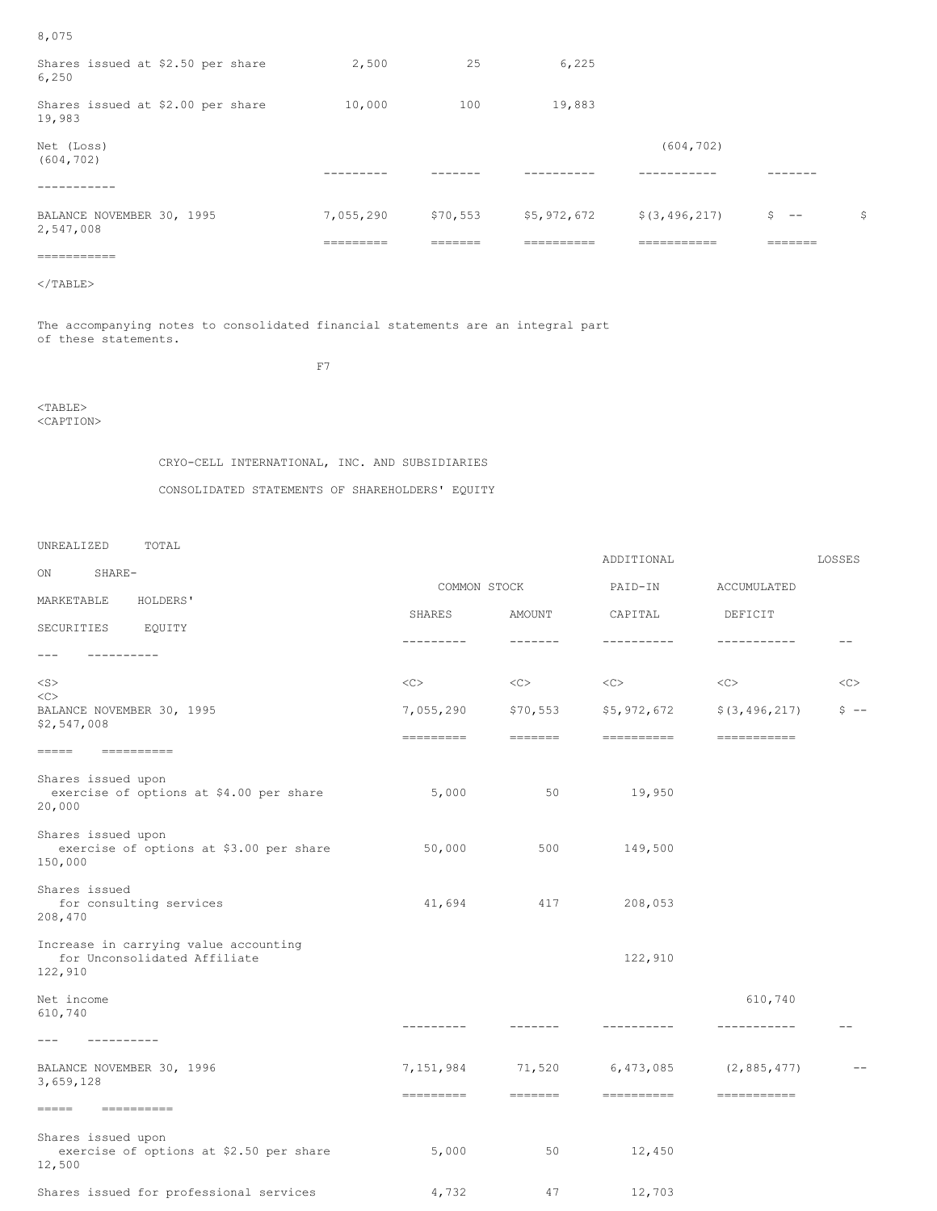| 2,547,008                                   | 7,055,290 | \$70,553 |        | $$5,972,672$ $$(3,496,217)$ | $S = -$ | \$ |
|---------------------------------------------|-----------|----------|--------|-----------------------------|---------|----|
| BALANCE NOVEMBER 30, 1995                   |           |          |        |                             |         |    |
|                                             |           |          |        |                             |         |    |
| Net (Loss)<br>(604, 702)                    |           |          |        | (604, 702)                  |         |    |
| Shares issued at \$2.00 per share<br>19,983 | 10,000    | 100      | 19,883 |                             |         |    |
| Shares issued at \$2.50 per share<br>6,250  | 2,500     | 25       | 6,225  |                             |         |    |

8,075

The accompanying notes to consolidated financial statements are an integral part of these statements.

F7

<TABLE> <CAPTION>

# CRYO-CELL INTERNATIONAL, INC. AND SUBSIDIARIES

CONSOLIDATED STATEMENTS OF SHAREHOLDERS' EQUITY

UNREALIZED TOTAL

|                                                                                  |                                                                                                                                                                                                                                                                                                                                                                                                                                                                                  |                                                                                                                                                                                                                                                                                                                                                                                                                                                                                                                                                                                                                                                                                                                                          | ADDITIONAL       |                                                                                                                                                                                                                                                                                                                                                                                                                                                                                   | LOSSES  |
|----------------------------------------------------------------------------------|----------------------------------------------------------------------------------------------------------------------------------------------------------------------------------------------------------------------------------------------------------------------------------------------------------------------------------------------------------------------------------------------------------------------------------------------------------------------------------|------------------------------------------------------------------------------------------------------------------------------------------------------------------------------------------------------------------------------------------------------------------------------------------------------------------------------------------------------------------------------------------------------------------------------------------------------------------------------------------------------------------------------------------------------------------------------------------------------------------------------------------------------------------------------------------------------------------------------------------|------------------|-----------------------------------------------------------------------------------------------------------------------------------------------------------------------------------------------------------------------------------------------------------------------------------------------------------------------------------------------------------------------------------------------------------------------------------------------------------------------------------|---------|
| ON<br>SHARE-                                                                     | COMMON STOCK                                                                                                                                                                                                                                                                                                                                                                                                                                                                     |                                                                                                                                                                                                                                                                                                                                                                                                                                                                                                                                                                                                                                                                                                                                          | PAID-IN          | ACCUMULATED                                                                                                                                                                                                                                                                                                                                                                                                                                                                       |         |
| MARKETABLE<br>HOLDERS'                                                           | SHARES                                                                                                                                                                                                                                                                                                                                                                                                                                                                           | AMOUNT                                                                                                                                                                                                                                                                                                                                                                                                                                                                                                                                                                                                                                                                                                                                   | CAPITAL          | DEFICIT                                                                                                                                                                                                                                                                                                                                                                                                                                                                           |         |
| SECURITIES<br>EQUITY                                                             | ---------                                                                                                                                                                                                                                                                                                                                                                                                                                                                        | $- - - - - - -$                                                                                                                                                                                                                                                                                                                                                                                                                                                                                                                                                                                                                                                                                                                          | ----------       | -----------                                                                                                                                                                                                                                                                                                                                                                                                                                                                       | $- -$   |
| ----------<br>$---$                                                              |                                                                                                                                                                                                                                                                                                                                                                                                                                                                                  |                                                                                                                                                                                                                                                                                                                                                                                                                                                                                                                                                                                                                                                                                                                                          |                  |                                                                                                                                                                                                                                                                                                                                                                                                                                                                                   |         |
| $<$ S $>$                                                                        | <<                                                                                                                                                                                                                                                                                                                                                                                                                                                                               | <<                                                                                                                                                                                                                                                                                                                                                                                                                                                                                                                                                                                                                                                                                                                                       | $<<$ $<$ $<$ $>$ | <<                                                                                                                                                                                                                                                                                                                                                                                                                                                                                | <<      |
| <<<br>BALANCE NOVEMBER 30, 1995                                                  | 7,055,290                                                                                                                                                                                                                                                                                                                                                                                                                                                                        | \$70,553                                                                                                                                                                                                                                                                                                                                                                                                                                                                                                                                                                                                                                                                                                                                 | \$5,972,672      | \$ (3, 496, 217)                                                                                                                                                                                                                                                                                                                                                                                                                                                                  | $S = -$ |
| \$2,547,008                                                                      | $\begin{tabular}{lllllllllllll} \multicolumn{3}{l}{} & \multicolumn{3}{l}{} & \multicolumn{3}{l}{} & \multicolumn{3}{l}{} & \multicolumn{3}{l}{} & \multicolumn{3}{l}{} & \multicolumn{3}{l}{} & \multicolumn{3}{l}{} & \multicolumn{3}{l}{} & \multicolumn{3}{l}{} & \multicolumn{3}{l}{} & \multicolumn{3}{l}{} & \multicolumn{3}{l}{} & \multicolumn{3}{l}{} & \multicolumn{3}{l}{} & \multicolumn{3}{l}{} & \multicolumn{3}{l}{} & \multicolumn{3}{l}{} & \multicolumn{3}{l$ | $\qquad \qquad \Rightarrow \qquad \qquad \Rightarrow \qquad \qquad \Rightarrow \qquad \qquad \Rightarrow \qquad \qquad \Rightarrow \qquad \qquad \Rightarrow \qquad \qquad \Rightarrow \qquad \qquad \Rightarrow \qquad \qquad \Rightarrow \qquad \qquad \Rightarrow \qquad \qquad \Rightarrow \qquad \qquad \Rightarrow \qquad \qquad \Rightarrow \qquad \qquad \Rightarrow \qquad \qquad \Rightarrow \qquad \qquad \Rightarrow \qquad \qquad \Rightarrow \qquad \qquad \Rightarrow \qquad \qquad \Rightarrow \qquad \qquad \Rightarrow \qquad \qquad \Rightarrow \qquad \qquad \Rightarrow \qquad \qquad \Rightarrow \qquad \qquad \Rightarrow \qquad \qquad \Rightarrow \qquad \qquad \Rightarrow \qquad \qquad \Rightarrow \qquad \$ | $=$ ==========   | $=$ ===========                                                                                                                                                                                                                                                                                                                                                                                                                                                                   |         |
| $=$ ==========<br>$=====$                                                        |                                                                                                                                                                                                                                                                                                                                                                                                                                                                                  |                                                                                                                                                                                                                                                                                                                                                                                                                                                                                                                                                                                                                                                                                                                                          |                  |                                                                                                                                                                                                                                                                                                                                                                                                                                                                                   |         |
| Shares issued upon<br>exercise of options at \$4.00 per share<br>20,000          | 5,000                                                                                                                                                                                                                                                                                                                                                                                                                                                                            | 50                                                                                                                                                                                                                                                                                                                                                                                                                                                                                                                                                                                                                                                                                                                                       | 19,950           |                                                                                                                                                                                                                                                                                                                                                                                                                                                                                   |         |
| Shares issued upon<br>exercise of options at \$3.00 per share<br>150,000         | 50,000                                                                                                                                                                                                                                                                                                                                                                                                                                                                           | 500                                                                                                                                                                                                                                                                                                                                                                                                                                                                                                                                                                                                                                                                                                                                      | 149,500          |                                                                                                                                                                                                                                                                                                                                                                                                                                                                                   |         |
| Shares issued<br>for consulting services<br>208,470                              | 41,694                                                                                                                                                                                                                                                                                                                                                                                                                                                                           | 417                                                                                                                                                                                                                                                                                                                                                                                                                                                                                                                                                                                                                                                                                                                                      | 208,053          |                                                                                                                                                                                                                                                                                                                                                                                                                                                                                   |         |
| Increase in carrying value accounting<br>for Unconsolidated Affiliate<br>122,910 |                                                                                                                                                                                                                                                                                                                                                                                                                                                                                  |                                                                                                                                                                                                                                                                                                                                                                                                                                                                                                                                                                                                                                                                                                                                          | 122,910          |                                                                                                                                                                                                                                                                                                                                                                                                                                                                                   |         |
| Net income                                                                       |                                                                                                                                                                                                                                                                                                                                                                                                                                                                                  |                                                                                                                                                                                                                                                                                                                                                                                                                                                                                                                                                                                                                                                                                                                                          |                  | 610,740                                                                                                                                                                                                                                                                                                                                                                                                                                                                           |         |
| 610,740                                                                          | ---------                                                                                                                                                                                                                                                                                                                                                                                                                                                                        | -------                                                                                                                                                                                                                                                                                                                                                                                                                                                                                                                                                                                                                                                                                                                                  | ----------       | -----------                                                                                                                                                                                                                                                                                                                                                                                                                                                                       | $ -$    |
| $---$<br>----------                                                              |                                                                                                                                                                                                                                                                                                                                                                                                                                                                                  |                                                                                                                                                                                                                                                                                                                                                                                                                                                                                                                                                                                                                                                                                                                                          |                  |                                                                                                                                                                                                                                                                                                                                                                                                                                                                                   |         |
| BALANCE NOVEMBER 30, 1996<br>3,659,128                                           | 7,151,984                                                                                                                                                                                                                                                                                                                                                                                                                                                                        | 71,520                                                                                                                                                                                                                                                                                                                                                                                                                                                                                                                                                                                                                                                                                                                                   |                  | $6,473,085$ $(2,885,477)$                                                                                                                                                                                                                                                                                                                                                                                                                                                         |         |
| $=$ $=$ $=$ $=$<br><b>Experience</b>                                             | =========                                                                                                                                                                                                                                                                                                                                                                                                                                                                        | <b>HEEFEE</b>                                                                                                                                                                                                                                                                                                                                                                                                                                                                                                                                                                                                                                                                                                                            | ==========       | $\begin{tabular}{ll} \multicolumn{2}{c}{\textbf{m}} & \multicolumn{2}{c}{\textbf{m}} & \multicolumn{2}{c}{\textbf{m}} & \multicolumn{2}{c}{\textbf{m}} & \multicolumn{2}{c}{\textbf{m}} \\ \multicolumn{2}{c}{\textbf{m}} & \multicolumn{2}{c}{\textbf{m}} & \multicolumn{2}{c}{\textbf{m}} & \multicolumn{2}{c}{\textbf{m}} & \multicolumn{2}{c}{\textbf{m}} & \multicolumn{2}{c}{\textbf{m}} \\ \multicolumn{2}{c}{\textbf{m}} & \multicolumn{2}{c}{\textbf{m}} & \multicolumn$ |         |
| Shares issued upon<br>exercise of options at \$2.50 per share<br>12,500          | 5,000                                                                                                                                                                                                                                                                                                                                                                                                                                                                            | 50                                                                                                                                                                                                                                                                                                                                                                                                                                                                                                                                                                                                                                                                                                                                       | 12,450           |                                                                                                                                                                                                                                                                                                                                                                                                                                                                                   |         |
| Shares issued for professional services                                          | 4,732                                                                                                                                                                                                                                                                                                                                                                                                                                                                            | 47                                                                                                                                                                                                                                                                                                                                                                                                                                                                                                                                                                                                                                                                                                                                       | 12,703           |                                                                                                                                                                                                                                                                                                                                                                                                                                                                                   |         |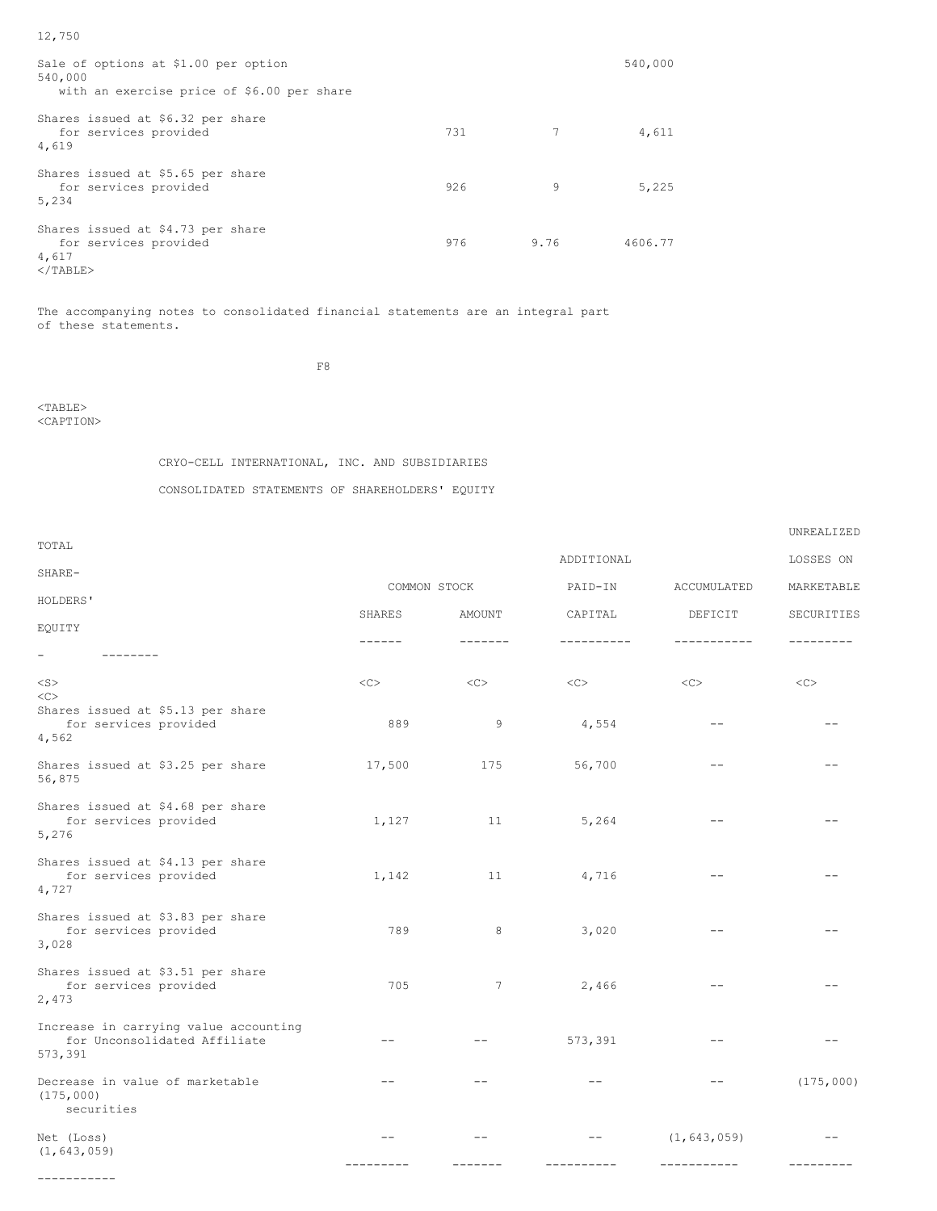| Sale of options at \$1.00 per option<br>540,000<br>with an exercise price of \$6.00 per share |     |      | 540,000 |
|-----------------------------------------------------------------------------------------------|-----|------|---------|
| Shares issued at \$6.32 per share<br>for services provided<br>4,619                           | 731 |      | 4,611   |
| Shares issued at \$5.65 per share<br>for services provided<br>5,234                           | 926 | 9    | 5,225   |
| Shares issued at \$4.73 per share<br>for services provided<br>4,617<br>$<$ /TABLE>            | 976 | 9.76 | 4606.77 |

The accompanying notes to consolidated financial statements are an integral part of these statements.

F8

<TABLE> <CAPTION>

# CRYO-CELL INTERNATIONAL, INC. AND SUBSIDIARIES

CONSOLIDATED STATEMENTS OF SHAREHOLDERS' EQUITY

|                                                                                  |         |                  |              |               | UNREALIZED |
|----------------------------------------------------------------------------------|---------|------------------|--------------|---------------|------------|
| TOTAL                                                                            |         |                  | ADDITIONAL   |               | LOSSES ON  |
| SHARE-                                                                           |         | COMMON STOCK     | PAID-IN      | ACCUMULATED   | MARKETABLE |
| HOLDERS'                                                                         |         |                  |              |               |            |
| EQUITY                                                                           | SHARES  | AMOUNT           | CAPITAL      | DEFICIT       | SECURITIES |
| -                                                                                |         |                  |              |               |            |
| $<$ S $>$<br><<                                                                  | <<      | $<<$ $<$ $<$ $>$ | $<<$ $<$ $>$ | <<            | <<         |
| Shares issued at \$5.13 per share<br>for services provided<br>4,562              | 889     | 9                | 4,554        | $- -$         |            |
| Shares issued at \$3.25 per share<br>56,875                                      | 17,500  | 175              | 56,700       |               |            |
| Shares issued at \$4.68 per share<br>for services provided<br>5,276              | 1,127   | 11               | 5,264        |               |            |
| Shares issued at \$4.13 per share<br>for services provided<br>4,727              | 1,142   | 11               | 4,716        |               |            |
| Shares issued at \$3.83 per share<br>for services provided<br>3,028              | 789     | 8                | 3,020        |               |            |
| Shares issued at \$3.51 per share<br>for services provided<br>2,473              | 705     | 7                | 2,466        |               |            |
| Increase in carrying value accounting<br>for Unconsolidated Affiliate<br>573,391 | --      |                  | 573,391      |               |            |
| Decrease in value of marketable<br>(175,000)<br>securities                       |         |                  |              |               | (175,000)  |
| Net (Loss)<br>(1, 643, 059)                                                      | $ -$    |                  |              | (1, 643, 059) |            |
|                                                                                  | ------- |                  |              | -----------   |            |

-----------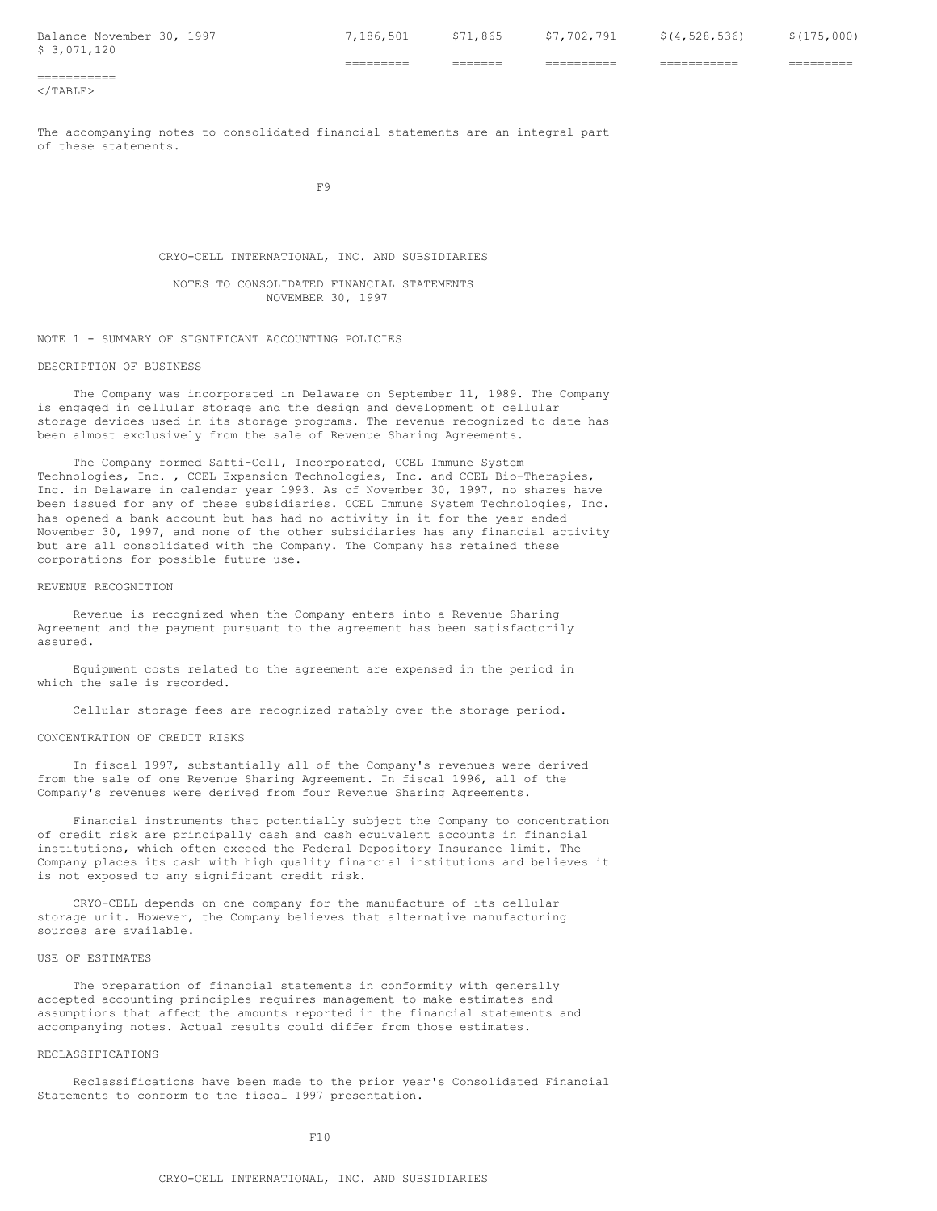Balance November 30, 1997 7,186,501 \$71,865 \$7,702,791 \$(4,528,536) \$(175,000) \$ 3,071,120

========= ======= ========== =========== =========

===========  $\langle$ /TABLE>

The accompanying notes to consolidated financial statements are an integral part of these statements.

F9

CRYO-CELL INTERNATIONAL, INC. AND SUBSIDIARIES

NOTES TO CONSOLIDATED FINANCIAL STATEMENTS NOVEMBER 30, 1997

NOTE 1 - SUMMARY OF SIGNIFICANT ACCOUNTING POLICIES

#### DESCRIPTION OF BUSINESS

The Company was incorporated in Delaware on September 11, 1989. The Company is engaged in cellular storage and the design and development of cellular storage devices used in its storage programs. The revenue recognized to date has been almost exclusively from the sale of Revenue Sharing Agreements.

The Company formed Safti-Cell, Incorporated, CCEL Immune System Technologies, Inc. , CCEL Expansion Technologies, Inc. and CCEL Bio-Therapies, Inc. in Delaware in calendar year 1993. As of November 30, 1997, no shares have been issued for any of these subsidiaries. CCEL Immune System Technologies, Inc. has opened a bank account but has had no activity in it for the year ended November 30, 1997, and none of the other subsidiaries has any financial activity but are all consolidated with the Company. The Company has retained these corporations for possible future use.

## REVENUE RECOGNITION

Revenue is recognized when the Company enters into a Revenue Sharing Agreement and the payment pursuant to the agreement has been satisfactorily assured.

Equipment costs related to the agreement are expensed in the period in which the sale is recorded.

Cellular storage fees are recognized ratably over the storage period.

## CONCENTRATION OF CREDIT RISKS

In fiscal 1997, substantially all of the Company's revenues were derived from the sale of one Revenue Sharing Agreement. In fiscal 1996, all of the Company's revenues were derived from four Revenue Sharing Agreements.

Financial instruments that potentially subject the Company to concentration of credit risk are principally cash and cash equivalent accounts in financial institutions, which often exceed the Federal Depository Insurance limit. The Company places its cash with high quality financial institutions and believes it is not exposed to any significant credit risk.

CRYO-CELL depends on one company for the manufacture of its cellular storage unit. However, the Company believes that alternative manufacturing sources are available.

# USE OF ESTIMATES

The preparation of financial statements in conformity with generally accepted accounting principles requires management to make estimates and assumptions that affect the amounts reported in the financial statements and accompanying notes. Actual results could differ from those estimates.

#### RECLASSIFICATIONS

Reclassifications have been made to the prior year's Consolidated Financial Statements to conform to the fiscal 1997 presentation.

 $F10$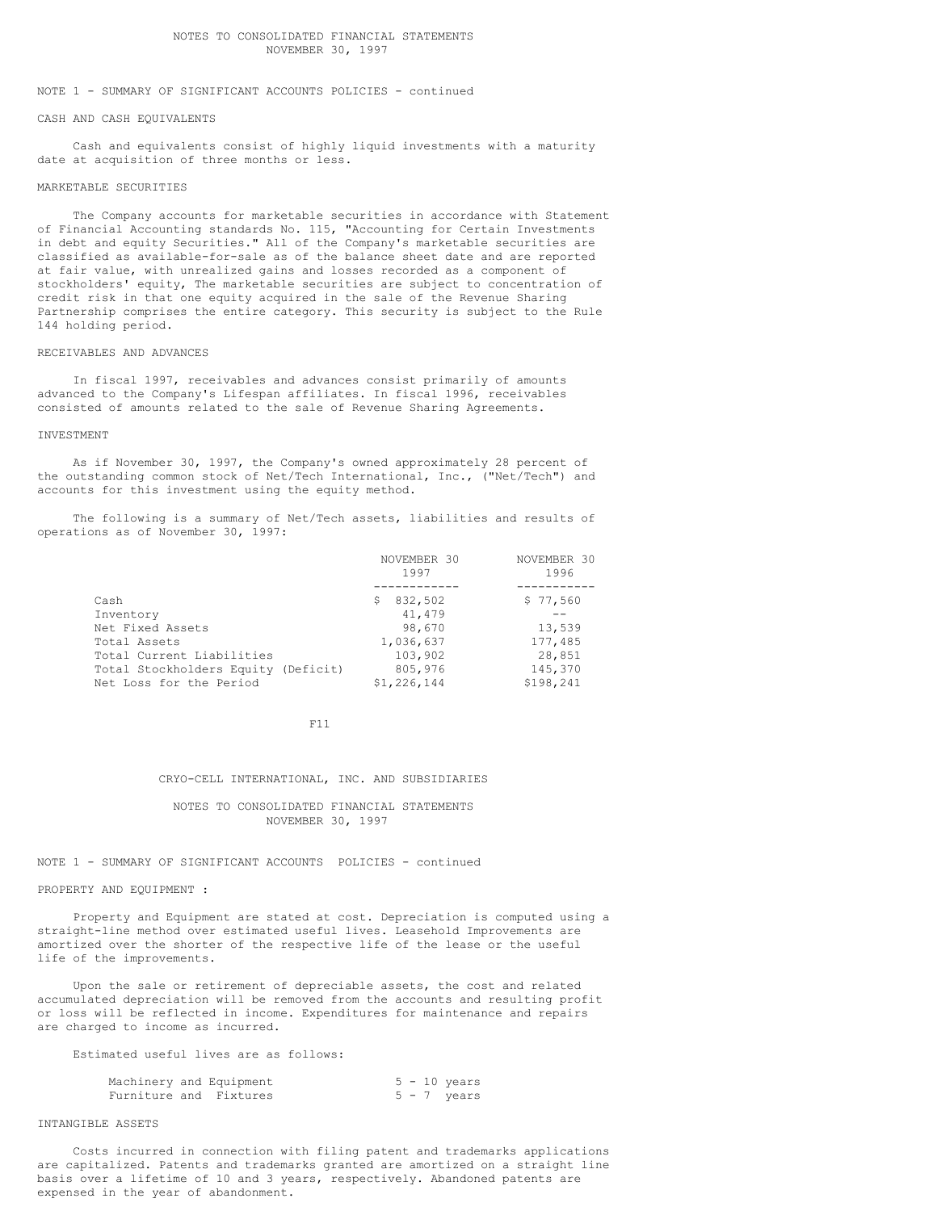## NOTES TO CONSOLIDATED FINANCIAL STATEMENTS NOVEMBER 30, 1997

# NOTE 1 - SUMMARY OF SIGNIFICANT ACCOUNTS POLICIES - continued

### CASH AND CASH EQUIVALENTS

Cash and equivalents consist of highly liquid investments with a maturity date at acquisition of three months or less.

#### MARKETABLE SECURITIES

The Company accounts for marketable securities in accordance with Statement of Financial Accounting standards No. 115, "Accounting for Certain Investments in debt and equity Securities." All of the Company's marketable securities are classified as available-for-sale as of the balance sheet date and are reported at fair value, with unrealized gains and losses recorded as a component of stockholders' equity, The marketable securities are subject to concentration of credit risk in that one equity acquired in the sale of the Revenue Sharing Partnership comprises the entire category. This security is subject to the Rule 144 holding period.

# RECEIVABLES AND ADVANCES

In fiscal 1997, receivables and advances consist primarily of amounts advanced to the Company's Lifespan affiliates. In fiscal 1996, receivables consisted of amounts related to the sale of Revenue Sharing Agreements.

## INVESTMENT

As if November 30, 1997, the Company's owned approximately 28 percent of the outstanding common stock of Net/Tech International, Inc., ("Net/Tech") and accounts for this investment using the equity method.

The following is a summary of Net/Tech assets, liabilities and results of operations as of November 30, 1997:

|                                     | NOVEMBER 30  | NOVEMBER 30 |
|-------------------------------------|--------------|-------------|
|                                     | 1997         | 1996        |
|                                     |              |             |
| Cash                                | 832,502<br>S | \$77,560    |
| Inventory                           | 41,479       |             |
| Net Fixed Assets                    | 98,670       | 13,539      |
| Total Assets                        | 1,036,637    | 177,485     |
| Total Current Liabilities           | 103,902      | 28,851      |
| Total Stockholders Equity (Deficit) | 805,976      | 145,370     |
| Net Loss for the Period             | \$1,226,144  | \$198.241   |

F11

## CRYO-CELL INTERNATIONAL, INC. AND SUBSIDIARIES

NOTES TO CONSOLIDATED FINANCIAL STATEMENTS NOVEMBER 30, 1997

NOTE 1 - SUMMARY OF SIGNIFICANT ACCOUNTS POLICIES - continued

# PROPERTY AND EQUIPMENT :

Property and Equipment are stated at cost. Depreciation is computed using a straight-line method over estimated useful lives. Leasehold Improvements are amortized over the shorter of the respective life of the lease or the useful life of the improvements.

Upon the sale or retirement of depreciable assets, the cost and related accumulated depreciation will be removed from the accounts and resulting profit or loss will be reflected in income. Expenditures for maintenance and repairs are charged to income as incurred.

Estimated useful lives are as follows:

|                        | Machinery and Equipment |  | $5 - 10$ years |
|------------------------|-------------------------|--|----------------|
| Furniture and Fixtures |                         |  | $5 - 7$ years  |

# INTANGIBLE ASSETS

Costs incurred in connection with filing patent and trademarks applications are capitalized. Patents and trademarks granted are amortized on a straight line basis over a lifetime of 10 and 3 years, respectively. Abandoned patents are expensed in the year of abandonment.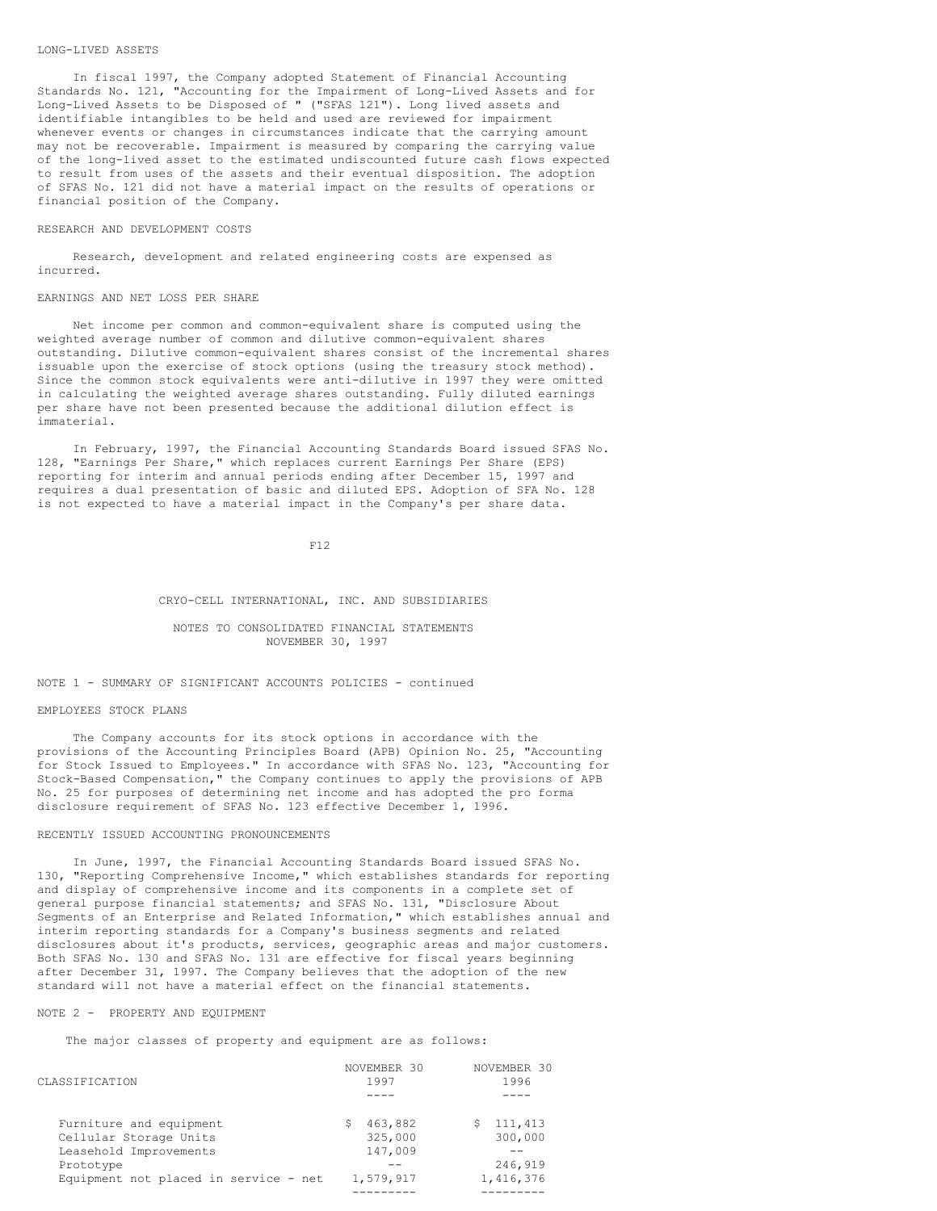#### LONG-LIVED ASSETS

In fiscal 1997, the Company adopted Statement of Financial Accounting Standards No. 121, "Accounting for the Impairment of Long-Lived Assets and for Long-Lived Assets to be Disposed of " ("SFAS 121"). Long lived assets and identifiable intangibles to be held and used are reviewed for impairment whenever events or changes in circumstances indicate that the carrying amount may not be recoverable. Impairment is measured by comparing the carrying value of the long-lived asset to the estimated undiscounted future cash flows expected to result from uses of the assets and their eventual disposition. The adoption of SFAS No. 121 did not have a material impact on the results of operations or financial position of the Company.

#### RESEARCH AND DEVELOPMENT COSTS

Research, development and related engineering costs are expensed as incurred.

#### EARNINGS AND NET LOSS PER SHARE

Net income per common and common-equivalent share is computed using the weighted average number of common and dilutive common-equivalent shares outstanding. Dilutive common-equivalent shares consist of the incremental shares issuable upon the exercise of stock options (using the treasury stock method). Since the common stock equivalents were anti-dilutive in 1997 they were omitted in calculating the weighted average shares outstanding. Fully diluted earnings per share have not been presented because the additional dilution effect is immaterial.

In February, 1997, the Financial Accounting Standards Board issued SFAS No. 128, "Earnings Per Share," which replaces current Earnings Per Share (EPS) reporting for interim and annual periods ending after December 15, 1997 and requires a dual presentation of basic and diluted EPS. Adoption of SFA No. 128 is not expected to have a material impact in the Company's per share data.

F12

#### CRYO-CELL INTERNATIONAL, INC. AND SUBSIDIARIES

## NOTES TO CONSOLIDATED FINANCIAL STATEMENTS NOVEMBER 30, 1997

## NOTE 1 - SUMMARY OF SIGNIFICANT ACCOUNTS POLICIES - continued

#### EMPLOYEES STOCK PLANS

The Company accounts for its stock options in accordance with the provisions of the Accounting Principles Board (APB) Opinion No. 25, "Accounting for Stock Issued to Employees." In accordance with SFAS No. 123, "Accounting for Stock-Based Compensation," the Company continues to apply the provisions of APB No. 25 for purposes of determining net income and has adopted the pro forma disclosure requirement of SFAS No. 123 effective December 1, 1996.

#### RECENTLY ISSUED ACCOUNTING PRONOUNCEMENTS

In June, 1997, the Financial Accounting Standards Board issued SFAS No. 130, "Reporting Comprehensive Income," which establishes standards for reporting and display of comprehensive income and its components in a complete set of general purpose financial statements; and SFAS No. 131, "Disclosure About Segments of an Enterprise and Related Information," which establishes annual and interim reporting standards for a Company's business segments and related disclosures about it's products, services, geographic areas and major customers. Both SFAS No. 130 and SFAS No. 131 are effective for fiscal years beginning after December 31, 1997. The Company believes that the adoption of the new standard will not have a material effect on the financial statements.

### NOTE 2 - PROPERTY AND EQUIPMENT

The major classes of property and equipment are as follows:

| CLASSIFICATION                        | NOVEMBER 30<br>1997 | NOVEMBER 30<br>1996 |
|---------------------------------------|---------------------|---------------------|
|                                       |                     |                     |
| Furniture and equipment               | 463,882<br>S        | 111,413             |
| Cellular Storage Units                | 325,000             | 300,000             |
| Leasehold Improvements                | 147,009             |                     |
| Prototype                             |                     | 246,919             |
| Equipment not placed in service - net | 1,579,917           | 1,416,376           |
|                                       |                     |                     |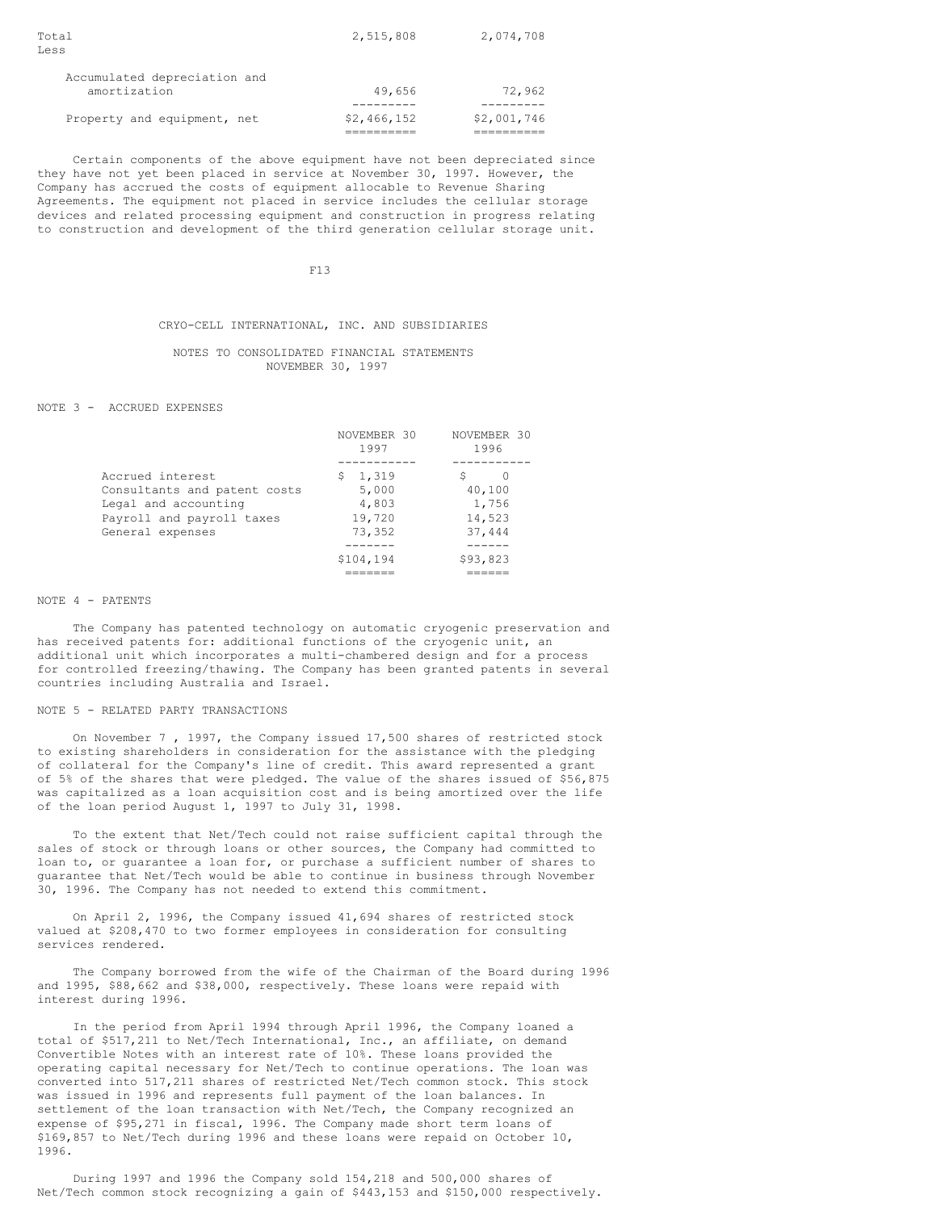| Total<br>Less                                | 2,515,808   | 2,074,708   |
|----------------------------------------------|-------------|-------------|
| Accumulated depreciation and<br>amortization | 49,656      | 72,962      |
| Property and equipment, net                  | \$2,466,152 | \$2,001,746 |

Certain components of the above equipment have not been depreciated since they have not yet been placed in service at November 30, 1997. However, the Company has accrued the costs of equipment allocable to Revenue Sharing Agreements. The equipment not placed in service includes the cellular storage devices and related processing equipment and construction in progress relating to construction and development of the third generation cellular storage unit.

F13

# CRYO-CELL INTERNATIONAL, INC. AND SUBSIDIARIES

# NOTES TO CONSOLIDATED FINANCIAL STATEMENTS NOVEMBER 30, 1997

#### NOTE 3 - ACCRUED EXPENSES

|                              | NOVEMBER 30<br>1997 | NOVEMBER 30<br>1996 |
|------------------------------|---------------------|---------------------|
| Accrued interest             | 1,319<br>S          | S                   |
|                              |                     |                     |
| Consultants and patent costs | 5,000               | 40,100              |
| Legal and accounting         | 4,803               | 1,756               |
| Payroll and payroll taxes    | 19,720              | 14,523              |
| General expenses             | 73,352              | 37,444              |
|                              |                     |                     |
|                              | \$104,194           | \$93,823            |
|                              |                     |                     |

#### NOTE 4 - PATENTS

The Company has patented technology on automatic cryogenic preservation and has received patents for: additional functions of the cryogenic unit, an additional unit which incorporates a multi-chambered design and for a process for controlled freezing/thawing. The Company has been granted patents in several countries including Australia and Israel.

#### NOTE 5 - RELATED PARTY TRANSACTIONS

On November 7 , 1997, the Company issued 17,500 shares of restricted stock to existing shareholders in consideration for the assistance with the pledging of collateral for the Company's line of credit. This award represented a grant of 5% of the shares that were pledged. The value of the shares issued of \$56,875 was capitalized as a loan acquisition cost and is being amortized over the life of the loan period August 1, 1997 to July 31, 1998.

To the extent that Net/Tech could not raise sufficient capital through the sales of stock or through loans or other sources, the Company had committed to loan to, or guarantee a loan for, or purchase a sufficient number of shares to guarantee that Net/Tech would be able to continue in business through November 30, 1996. The Company has not needed to extend this commitment.

On April 2, 1996, the Company issued 41,694 shares of restricted stock valued at \$208,470 to two former employees in consideration for consulting services rendered.

The Company borrowed from the wife of the Chairman of the Board during 1996 and 1995, \$88,662 and \$38,000, respectively. These loans were repaid with interest during 1996.

In the period from April 1994 through April 1996, the Company loaned a total of \$517,211 to Net/Tech International, Inc., an affiliate, on demand Convertible Notes with an interest rate of 10%. These loans provided the operating capital necessary for Net/Tech to continue operations. The loan was converted into 517,211 shares of restricted Net/Tech common stock. This stock was issued in 1996 and represents full payment of the loan balances. In settlement of the loan transaction with Net/Tech, the Company recognized an expense of \$95,271 in fiscal, 1996. The Company made short term loans of \$169,857 to Net/Tech during 1996 and these loans were repaid on October 10, 1996.

During 1997 and 1996 the Company sold 154,218 and 500,000 shares of Net/Tech common stock recognizing a gain of \$443,153 and \$150,000 respectively.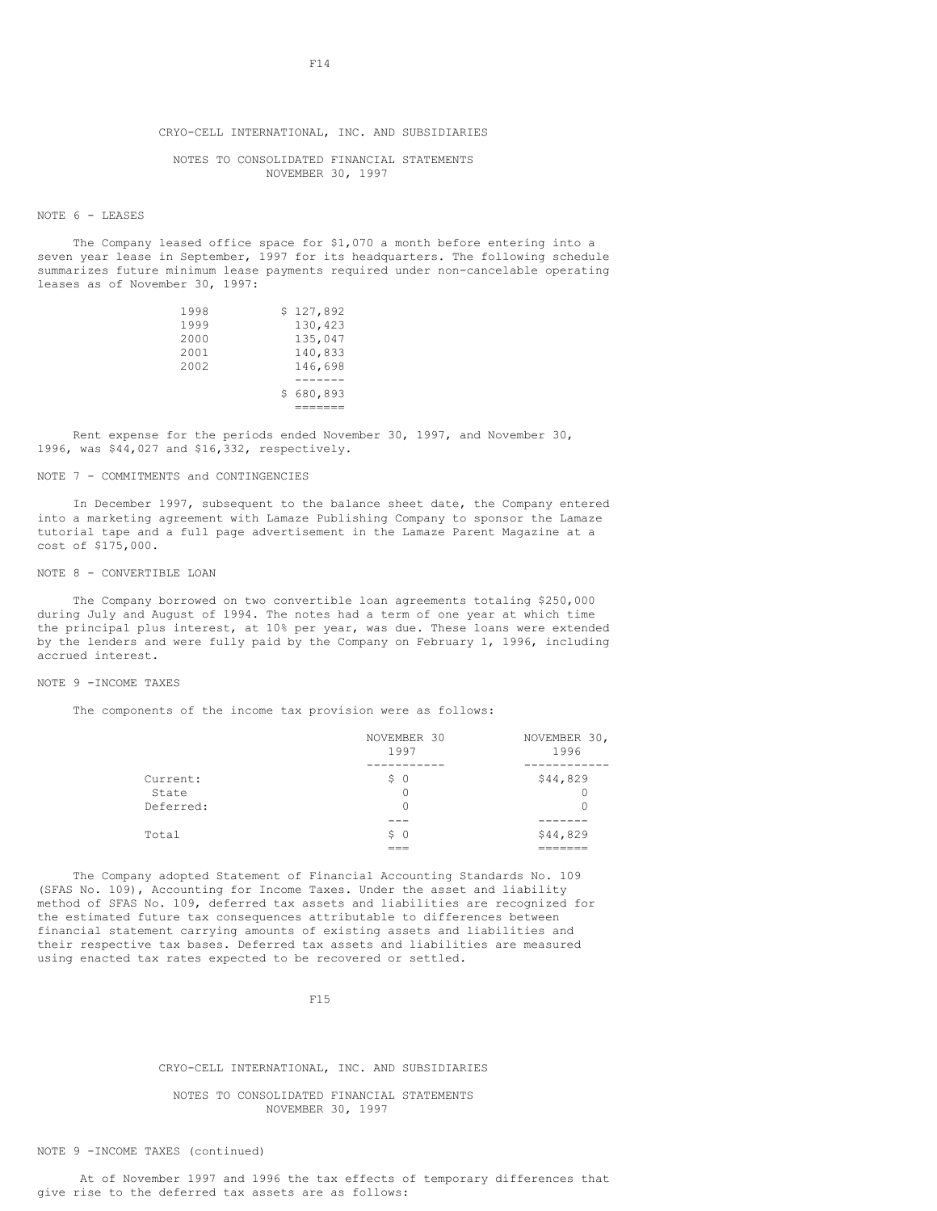NOTES TO CONSOLIDATED FINANCIAL STATEMENTS NOVEMBER 30, 1997

#### NOTE 6 - LEASES

The Company leased office space for \$1,070 a month before entering into a seven year lease in September, 1997 for its headquarters. The following schedule summarizes future minimum lease payments required under non-cancelable operating leases as of November 30, 1997:

| \$127,892 |
|-----------|
| 130,423   |
| 135,047   |
| 140,833   |
| 146,698   |
|           |
| \$680,893 |
|           |
|           |

Rent expense for the periods ended November 30, 1997, and November 30, 1996, was \$44,027 and \$16,332, respectively.

#### NOTE 7 - COMMITMENTS and CONTINGENCIES

In December 1997, subsequent to the balance sheet date, the Company entered into a marketing agreement with Lamaze Publishing Company to sponsor the Lamaze tutorial tape and a full page advertisement in the Lamaze Parent Magazine at a cost of \$175,000.

#### NOTE 8 - CONVERTIBLE LOAN

The Company borrowed on two convertible loan agreements totaling \$250,000 during July and August of 1994. The notes had a term of one year at which time the principal plus interest, at 10% per year, was due. These loans were extended by the lenders and were fully paid by the Company on February 1, 1996, including accrued interest.

## NOTE 9 -INCOME TAXES

The components of the income tax provision were as follows:

| Total     | \$ 0        | \$44,829     |
|-----------|-------------|--------------|
|           |             |              |
| Deferred: |             |              |
| State     |             |              |
| Current:  | \$ 0        | \$44,829     |
|           |             |              |
|           | 1997        | 1996         |
|           | NOVEMBER 30 | NOVEMBER 30, |

The Company adopted Statement of Financial Accounting Standards No. 109 (SFAS No. 109), Accounting for Income Taxes. Under the asset and liability method of SFAS No. 109, deferred tax assets and liabilities are recognized for the estimated future tax consequences attributable to differences between financial statement carrying amounts of existing assets and liabilities and their respective tax bases. Deferred tax assets and liabilities are measured using enacted tax rates expected to be recovered or settled.

F15

#### CRYO-CELL INTERNATIONAL, INC. AND SUBSIDIARIES

## NOTES TO CONSOLIDATED FINANCIAL STATEMENTS NOVEMBER 30, 1997

NOTE 9 -INCOME TAXES (continued)

At of November 1997 and 1996 the tax effects of temporary differences that give rise to the deferred tax assets are as follows: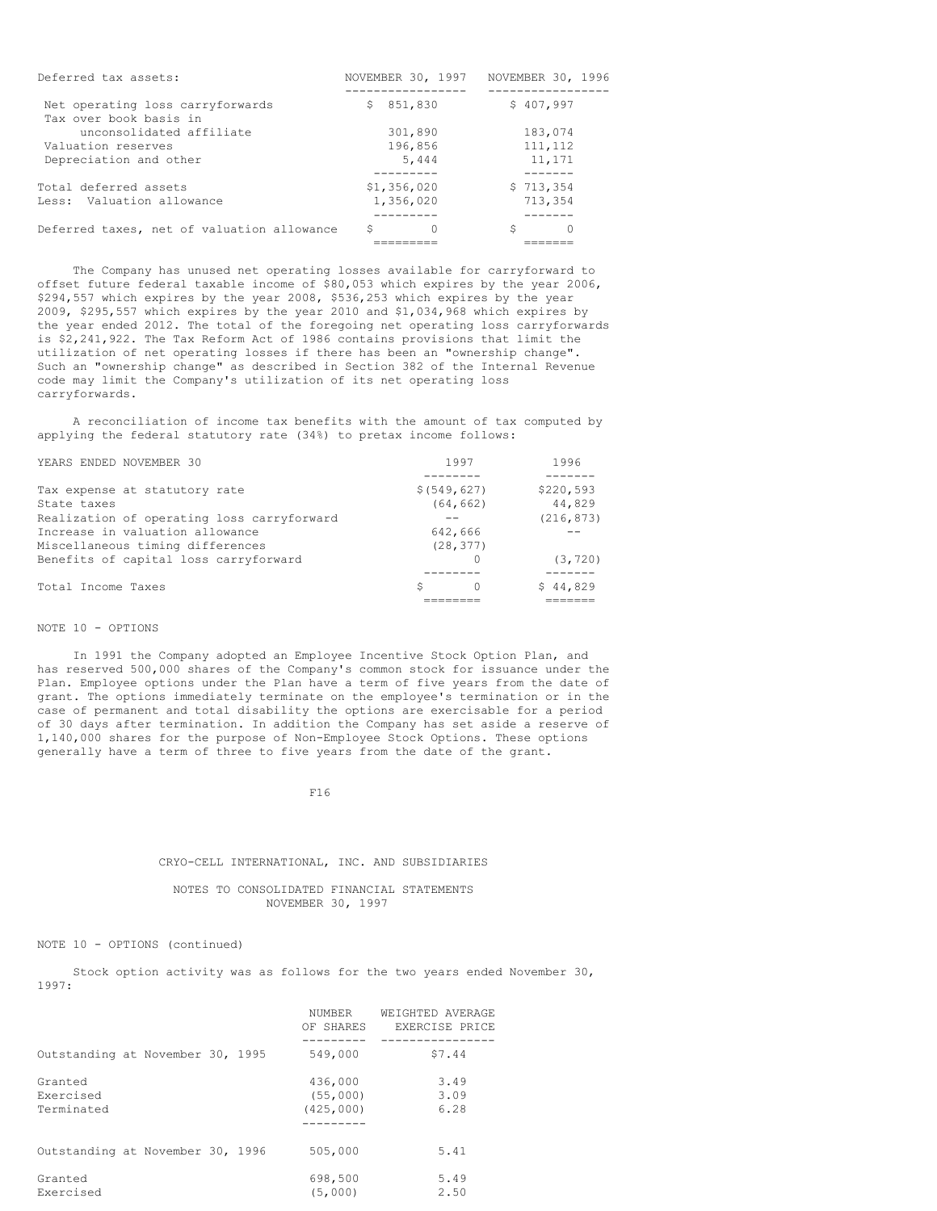| Deferred tax assets:                                       | NOVEMBER 30, 1997 | NOVEMBER 30, 1996 |
|------------------------------------------------------------|-------------------|-------------------|
| Net operating loss carryforwards<br>Tax over book basis in | 851,830<br>S.     | \$407,997         |
| unconsolidated affiliate                                   | 301,890           | 183,074           |
| Valuation reserves                                         | 196,856           | 111, 112          |
| Depreciation and other                                     | 5,444             | 11,171            |
|                                                            |                   |                   |
| Total deferred assets                                      | \$1,356,020       | \$713,354         |
| Less: Valuation allowance                                  | 1,356,020         | 713,354           |
|                                                            |                   |                   |
| Deferred taxes, net of valuation allowance                 | S                 | S                 |
|                                                            |                   |                   |

The Company has unused net operating losses available for carryforward to offset future federal taxable income of \$80,053 which expires by the year 2006, \$294,557 which expires by the year 2008, \$536,253 which expires by the year 2009, \$295,557 which expires by the year 2010 and \$1,034,968 which expires by the year ended 2012. The total of the foregoing net operating loss carryforwards is \$2,241,922. The Tax Reform Act of 1986 contains provisions that limit the utilization of net operating losses if there has been an "ownership change". Such an "ownership change" as described in Section 382 of the Internal Revenue code may limit the Company's utilization of its net operating loss carryforwards.

A reconciliation of income tax benefits with the amount of tax computed by applying the federal statutory rate (34%) to pretax income follows:

| YEARS ENDED NOVEMBER 30                    | 1997          | 1996       |
|--------------------------------------------|---------------|------------|
|                                            |               |            |
| Tax expense at statutory rate              | \$ (549, 627) | \$220,593  |
| State taxes                                | (64, 662)     | 44,829     |
| Realization of operating loss carryforward |               | (216, 873) |
| Increase in valuation allowance            | 642,666       |            |
| Miscellaneous timing differences           | (28, 377)     |            |
| Benefits of capital loss carryforward      |               | (3, 720)   |
|                                            |               |            |
| Total Income Taxes                         | S             | \$44,829   |
|                                            |               |            |

## NOTE 10 - OPTIONS

In 1991 the Company adopted an Employee Incentive Stock Option Plan, and has reserved 500,000 shares of the Company's common stock for issuance under the Plan. Employee options under the Plan have a term of five years from the date of grant. The options immediately terminate on the employee's termination or in the case of permanent and total disability the options are exercisable for a period of 30 days after termination. In addition the Company has set aside a reserve of 1,140,000 shares for the purpose of Non-Employee Stock Options. These options generally have a term of three to five years from the date of the grant.

F16

### CRYO-CELL INTERNATIONAL, INC. AND SUBSIDIARIES

# NOTES TO CONSOLIDATED FINANCIAL STATEMENTS NOVEMBER 30, 1997

NOTE 10 - OPTIONS (continued)

Stock option activity was as follows for the two years ended November 30, 1997:

|                                    | NUMBER<br>OF SHARES              | WEIGHTED AVERAGE<br>EXERCISE PRICE |
|------------------------------------|----------------------------------|------------------------------------|
| Outstanding at November 30, 1995   | 549,000                          | \$7.44                             |
| Granted<br>Exercised<br>Terminated | 436,000<br>(55,000)<br>(425,000) | 3.49<br>3.09<br>6.28               |
| Outstanding at November 30, 1996   | 505,000                          | 5.41                               |
| Granted<br>Exercised               | 698,500<br>(5.000)               | 5.49<br>2.50                       |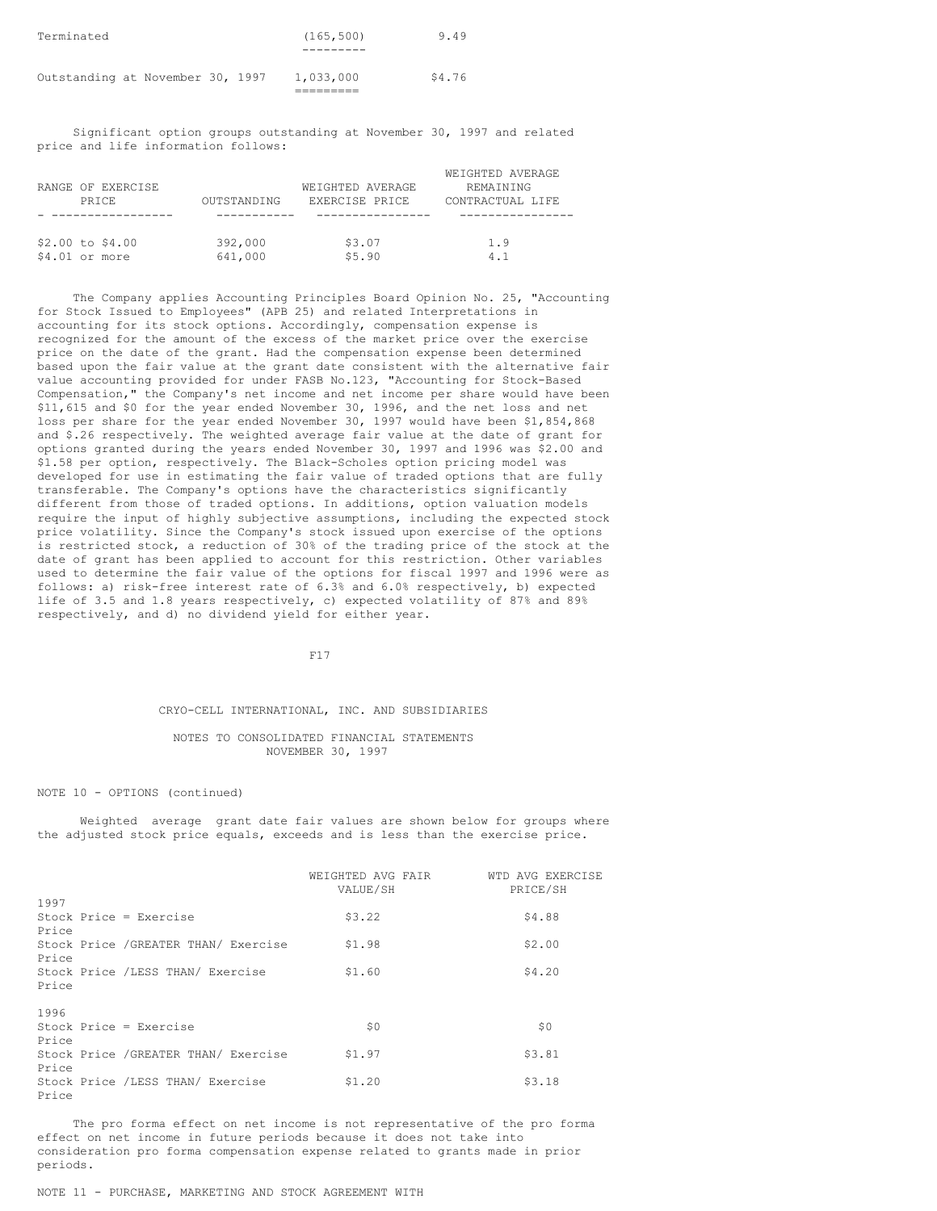| Terminated                       | (165, 500)<br>9.49  |
|----------------------------------|---------------------|
| Outstanding at November 30, 1997 | \$4.76<br>1,033,000 |

Significant option groups outstanding at November 30, 1997 and related price and life information follows:

|                    |                    |                  | WEIGHTED AVERAGE |
|--------------------|--------------------|------------------|------------------|
| RANGE OF EXERCISE  |                    | WEIGHTED AVERAGE | REMAINING        |
| PRTCE.             | <b>OUTSTANDING</b> | EXERCISE PRICE   | CONTRACTUAL LIFE |
|                    |                    |                  |                  |
|                    |                    |                  |                  |
| $$2.00$ to $$4.00$ | 392,000            | \$3.07           | 1.9              |
| $$4.01$ or more    | 641,000            | \$5.90           | 4.1              |

The Company applies Accounting Principles Board Opinion No. 25, "Accounting for Stock Issued to Employees" (APB 25) and related Interpretations in accounting for its stock options. Accordingly, compensation expense is recognized for the amount of the excess of the market price over the exercise price on the date of the grant. Had the compensation expense been determined based upon the fair value at the grant date consistent with the alternative fair value accounting provided for under FASB No.123, "Accounting for Stock-Based Compensation," the Company's net income and net income per share would have been \$11,615 and \$0 for the year ended November 30, 1996, and the net loss and net loss per share for the year ended November 30, 1997 would have been \$1,854,868 and \$.26 respectively. The weighted average fair value at the date of grant for options granted during the years ended November 30, 1997 and 1996 was \$2.00 and \$1.58 per option, respectively. The Black-Scholes option pricing model was developed for use in estimating the fair value of traded options that are fully transferable. The Company's options have the characteristics significantly different from those of traded options. In additions, option valuation models require the input of highly subjective assumptions, including the expected stock price volatility. Since the Company's stock issued upon exercise of the options is restricted stock, a reduction of 30% of the trading price of the stock at the date of grant has been applied to account for this restriction. Other variables used to determine the fair value of the options for fiscal 1997 and 1996 were as follows: a) risk-free interest rate of 6.3% and 6.0% respectively, b) expected life of 3.5 and 1.8 years respectively, c) expected volatility of 87% and 89% respectively, and d) no dividend yield for either year.

F17

# CRYO-CELL INTERNATIONAL, INC. AND SUBSIDIARIES

## NOTES TO CONSOLIDATED FINANCIAL STATEMENTS NOVEMBER 30, 1997

#### NOTE 10 - OPTIONS (continued)

Weighted average grant date fair values are shown below for groups where the adjusted stock price equals, exceeds and is less than the exercise price.

|       |                                      | WEIGHTED AVG FAIR<br>VALUE/SH | WTD AVG EXERCISE<br>PRICE/SH |
|-------|--------------------------------------|-------------------------------|------------------------------|
| 1997  |                                      |                               |                              |
| Price | Stock Price = Exercise               | \$3.22                        | \$4.88                       |
| Price | Stock Price / GREATER THAN/ Exercise | \$1.98                        | \$2.00                       |
| Price | Stock Price /LESS THAN/ Exercise     | \$1.60                        | \$4.20                       |
| 1996  |                                      |                               |                              |
| Price | Stock Price = Exercise               | \$0                           | \$0                          |
| Price | Stock Price / GREATER THAN/ Exercise | \$1.97                        | \$3.81                       |
| Price | Stock Price /LESS THAN/ Exercise     | \$1.20                        | \$3.18                       |

The pro forma effect on net income is not representative of the pro forma effect on net income in future periods because it does not take into consideration pro forma compensation expense related to grants made in prior periods.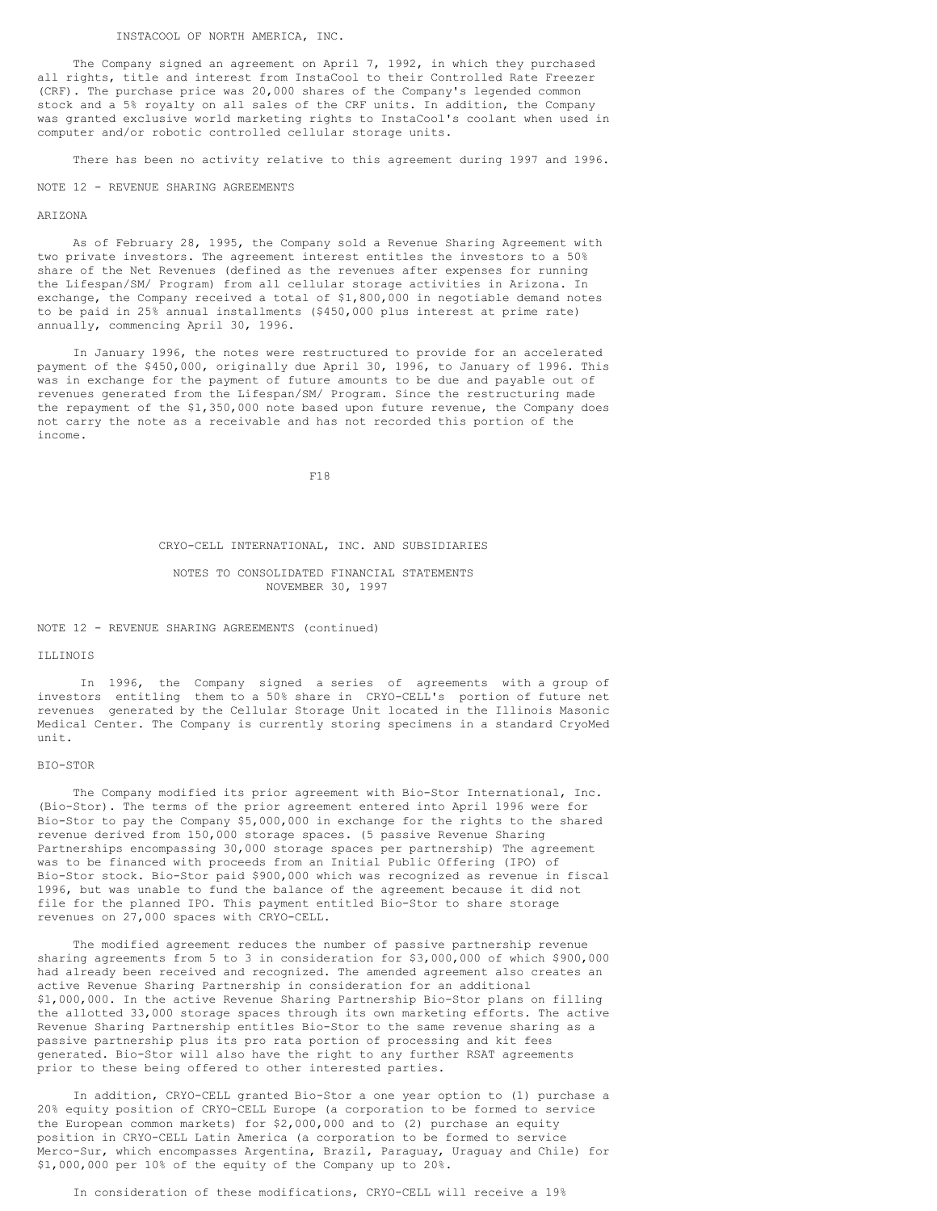The Company signed an agreement on April 7, 1992, in which they purchased all rights, title and interest from InstaCool to their Controlled Rate Freezer (CRF). The purchase price was 20,000 shares of the Company's legended common stock and a 5% royalty on all sales of the CRF units. In addition, the Company was granted exclusive world marketing rights to InstaCool's coolant when used in computer and/or robotic controlled cellular storage units.

There has been no activity relative to this agreement during 1997 and 1996.

#### NOTE 12 - REVENUE SHARING AGREEMENTS

#### ARIZONA

As of February 28, 1995, the Company sold a Revenue Sharing Agreement with two private investors. The agreement interest entitles the investors to a 50% share of the Net Revenues (defined as the revenues after expenses for running the Lifespan/SM/ Program) from all cellular storage activities in Arizona. In exchange, the Company received a total of \$1,800,000 in negotiable demand notes to be paid in 25% annual installments (\$450,000 plus interest at prime rate) annually, commencing April 30, 1996.

In January 1996, the notes were restructured to provide for an accelerated payment of the \$450,000, originally due April 30, 1996, to January of 1996. This was in exchange for the payment of future amounts to be due and payable out of revenues generated from the Lifespan/SM/ Program. Since the restructuring made the repayment of the \$1,350,000 note based upon future revenue, the Company does not carry the note as a receivable and has not recorded this portion of the income.

F18

#### CRYO-CELL INTERNATIONAL, INC. AND SUBSIDIARIES

# NOTES TO CONSOLIDATED FINANCIAL STATEMENTS NOVEMBER 30, 1997

#### NOTE 12 - REVENUE SHARING AGREEMENTS (continued)

# ILLINOIS

In 1996, the Company signed a series of agreements with a group of investors entitling them to a 50% share in CRYO-CELL's portion of future net revenues generated by the Cellular Storage Unit located in the Illinois Masonic Medical Center. The Company is currently storing specimens in a standard CryoMed unit.

#### BIO-STOR

The Company modified its prior agreement with Bio-Stor International, Inc. (Bio-Stor). The terms of the prior agreement entered into April 1996 were for Bio-Stor to pay the Company \$5,000,000 in exchange for the rights to the shared revenue derived from 150,000 storage spaces. (5 passive Revenue Sharing Partnerships encompassing 30,000 storage spaces per partnership) The agreement was to be financed with proceeds from an Initial Public Offering (IPO) of Bio-Stor stock. Bio-Stor paid \$900,000 which was recognized as revenue in fiscal 1996, but was unable to fund the balance of the agreement because it did not file for the planned IPO. This payment entitled Bio-Stor to share storage revenues on 27,000 spaces with CRYO-CELL.

The modified agreement reduces the number of passive partnership revenue sharing agreements from 5 to 3 in consideration for \$3,000,000 of which \$900,000 had already been received and recognized. The amended agreement also creates an active Revenue Sharing Partnership in consideration for an additional \$1,000,000. In the active Revenue Sharing Partnership Bio-Stor plans on filling the allotted 33,000 storage spaces through its own marketing efforts. The active Revenue Sharing Partnership entitles Bio-Stor to the same revenue sharing as a passive partnership plus its pro rata portion of processing and kit fees generated. Bio-Stor will also have the right to any further RSAT agreements prior to these being offered to other interested parties.

In addition, CRYO-CELL granted Bio-Stor a one year option to (1) purchase a 20% equity position of CRYO-CELL Europe (a corporation to be formed to service the European common markets) for \$2,000,000 and to (2) purchase an equity position in CRYO-CELL Latin America (a corporation to be formed to service Merco-Sur, which encompasses Argentina, Brazil, Paraguay, Uraguay and Chile) for \$1,000,000 per 10% of the equity of the Company up to 20%.

In consideration of these modifications, CRYO-CELL will receive a 19%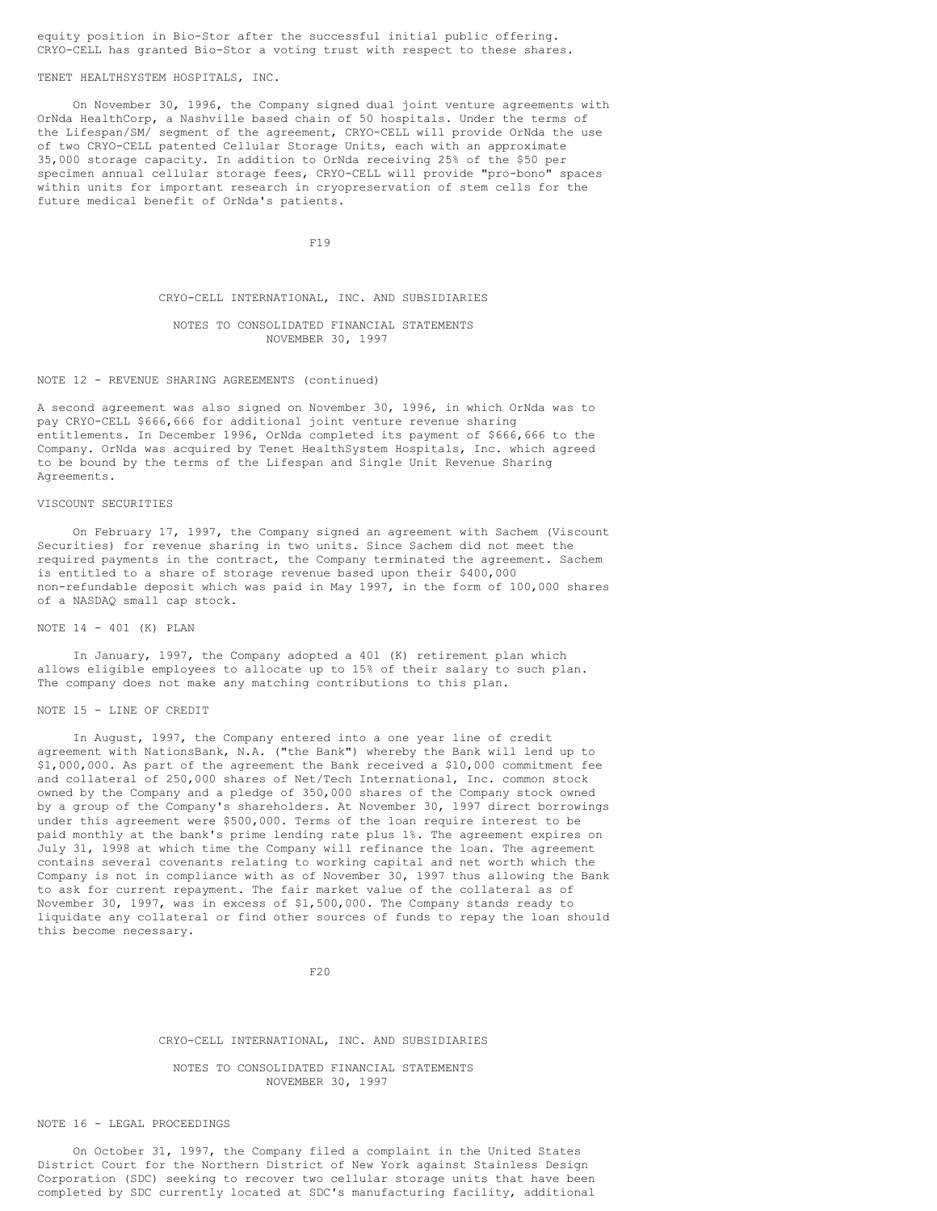# equity position in Bio-Stor after the successful initial public offering. CRYO-CELL has granted Bio-Stor a voting trust with respect to these shares.

# TENET HEALTHSYSTEM HOSPITALS, INC.

On November 30, 1996, the Company signed dual joint venture agreements with OrNda HealthCorp, a Nashville based chain of 50 hospitals. Under the terms of the Lifespan/SM/ segment of the agreement, CRYO-CELL will provide OrNda the use of two CRYO-CELL patented Cellular Storage Units, each with an approximate 35,000 storage capacity. In addition to OrNda receiving 25% of the \$50 per specimen annual cellular storage fees, CRYO-CELL will provide "pro-bono" spaces within units for important research in cryopreservation of stem cells for the future medical benefit of OrNda's patients.

F19

#### CRYO-CELL INTERNATIONAL, INC. AND SUBSIDIARIES

### NOTES TO CONSOLIDATED FINANCIAL STATEMENTS NOVEMBER 30, 1997

NOTE 12 - REVENUE SHARING AGREEMENTS (continued)

A second agreement was also signed on November 30, 1996, in which OrNda was to pay CRYO-CELL \$666,666 for additional joint venture revenue sharing entitlements. In December 1996, OrNda completed its payment of \$666,666 to the Company. OrNda was acquired by Tenet HealthSystem Hospitals, Inc. which agreed to be bound by the terms of the Lifespan and Single Unit Revenue Sharing Agreements.

#### VISCOUNT SECURITIES

On February 17, 1997, the Company signed an agreement with Sachem (Viscount Securities) for revenue sharing in two units. Since Sachem did not meet the required payments in the contract, the Company terminated the agreement. Sachem is entitled to a share of storage revenue based upon their \$400,000 non-refundable deposit which was paid in May 1997, in the form of 100,000 shares of a NASDAQ small cap stock.

#### NOTE 14 - 401 (K) PLAN

In January, 1997, the Company adopted a 401 (K) retirement plan which allows eligible employees to allocate up to 15% of their salary to such plan. The company does not make any matching contributions to this plan.

#### NOTE 15 - LINE OF CREDIT

In August, 1997, the Company entered into a one year line of credit agreement with NationsBank, N.A. ("the Bank") whereby the Bank will lend up to \$1,000,000. As part of the agreement the Bank received a \$10,000 commitment fee and collateral of 250,000 shares of Net/Tech International, Inc. common stock owned by the Company and a pledge of 350,000 shares of the Company stock owned by a group of the Company's shareholders. At November 30, 1997 direct borrowings under this agreement were \$500,000. Terms of the loan require interest to be paid monthly at the bank's prime lending rate plus 1%. The agreement expires on July 31, 1998 at which time the Company will refinance the loan. The agreement contains several covenants relating to working capital and net worth which the Company is not in compliance with as of November 30, 1997 thus allowing the Bank to ask for current repayment. The fair market value of the collateral as of November 30, 1997, was in excess of \$1,500,000. The Company stands ready to liquidate any collateral or find other sources of funds to repay the loan should this become necessary.

 $F20$ 

## CRYO-CELL INTERNATIONAL, INC. AND SUBSIDIARIES

NOTES TO CONSOLIDATED FINANCIAL STATEMENTS NOVEMBER 30, 1997

#### NOTE 16 - LEGAL PROCEEDINGS

On October 31, 1997, the Company filed a complaint in the United States District Court for the Northern District of New York against Stainless Design Corporation (SDC) seeking to recover two cellular storage units that have been completed by SDC currently located at SDC's manufacturing facility, additional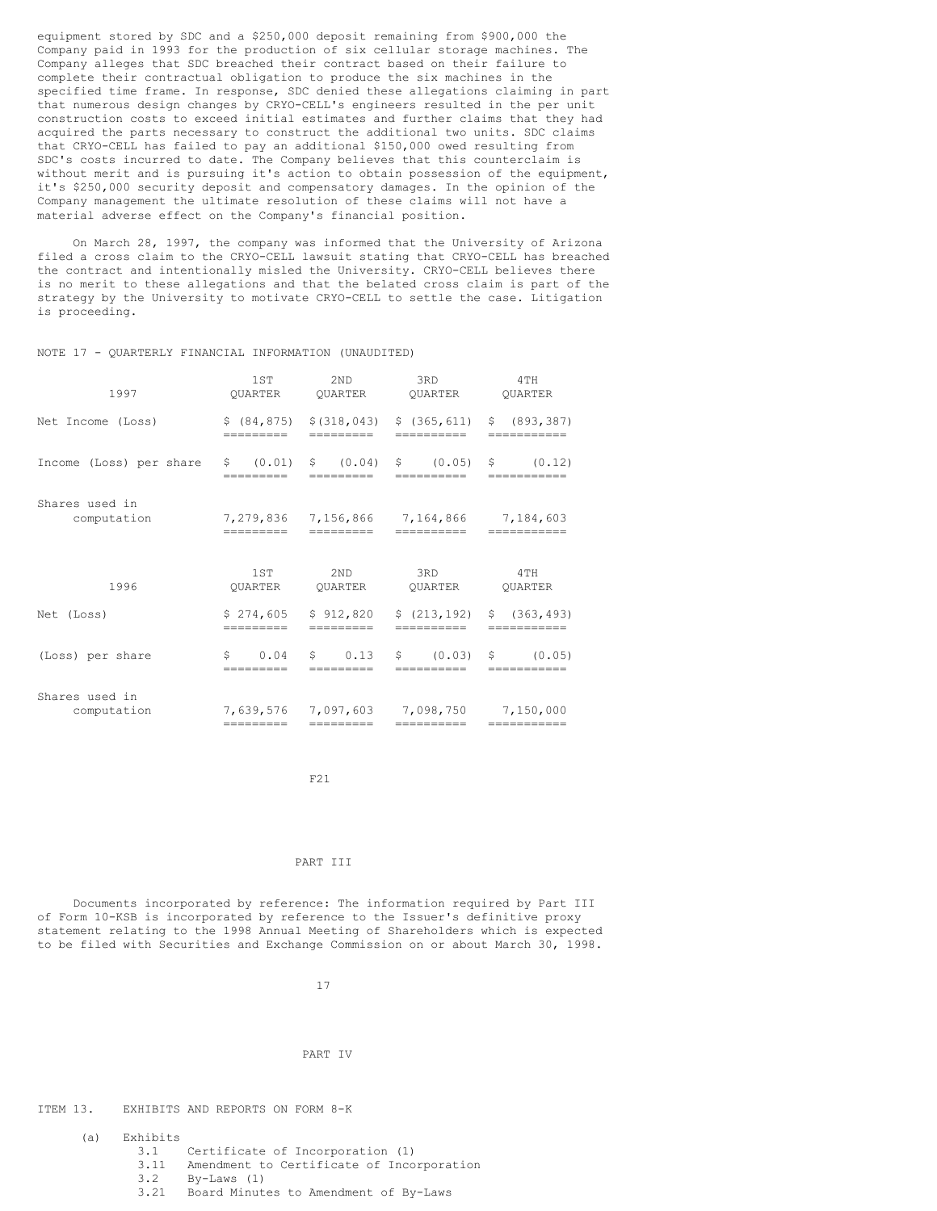equipment stored by SDC and a \$250,000 deposit remaining from \$900,000 the Company paid in 1993 for the production of six cellular storage machines. The Company alleges that SDC breached their contract based on their failure to complete their contractual obligation to produce the six machines in the specified time frame. In response, SDC denied these allegations claiming in part that numerous design changes by CRYO-CELL's engineers resulted in the per unit construction costs to exceed initial estimates and further claims that they had acquired the parts necessary to construct the additional two units. SDC claims that CRYO-CELL has failed to pay an additional \$150,000 owed resulting from SDC's costs incurred to date. The Company believes that this counterclaim is without merit and is pursuing it's action to obtain possession of the equipment, it's \$250,000 security deposit and compensatory damages. In the opinion of the Company management the ultimate resolution of these claims will not have a material adverse effect on the Company's financial position.

On March 28, 1997, the company was informed that the University of Arizona filed a cross claim to the CRYO-CELL lawsuit stating that CRYO-CELL has breached the contract and intentionally misled the University. CRYO-CELL believes there is no merit to these allegations and that the belated cross claim is part of the strategy by the University to motivate CRYO-CELL to settle the case. Litigation is proceeding.

# NOTE 17 - QUARTERLY FINANCIAL INFORMATION (UNAUDITED)

| 1997                          | 1ST                     | 2 <sub>ND</sub>                            | 3RD                                         | 4TH                          |
|-------------------------------|-------------------------|--------------------------------------------|---------------------------------------------|------------------------------|
|                               | OUARTER                 | OUARTER                                    | OUARTER                                     | <b>OUARTER</b>               |
| Net Income (Loss)             | =========               | \$ (84, 875) \$ \$ (318, 043)<br>========= | \$(365, 611)<br>==========                  | \$ (893, 387)<br>=========== |
| Income (Loss) per share       | \$ (0.01)               | \$ (0.04)                                  | \$ (0.05)                                   | $\sin(0.12)$                 |
|                               | ----------              | ---------                                  | -----------                                 | -----------                  |
| Shares used in<br>computation | =========               | =========                                  | 7,279,836 7,156,866 7,164,866<br>========== | 7,184,603<br>===========     |
| 1996                          | 1ST                     | 2 <sub>ND</sub>                            | 3RD                                         | 4TH                          |
|                               | OUARTER                 | OUARTER                                    | <b>OUARTER</b>                              | <b>OUARTER</b>               |
| Net (Loss)                    | \$274,605               | \$912,820                                  | \$(213, 192)                                | \$ (363, 493)                |
|                               | =========               | =========                                  | ==========                                  | ===========                  |
| (Loss) per share              | \$<br>0.04<br>--------- | \$.<br>0.13<br>=========                   | \$ (0.03)<br>==========                     | \$(0.05)<br>-----------      |
| Shares used in                | 7.639.576 7.097.603     | =========                                  | 7,098,750                                   | 7,150,000                    |
| computation                   | =========               |                                            | ==========                                  | ===========                  |

F21

# PART TIT

Documents incorporated by reference: The information required by Part III of Form 10-KSB is incorporated by reference to the Issuer's definitive proxy statement relating to the 1998 Annual Meeting of Shareholders which is expected to be filed with Securities and Exchange Commission on or about March 30, 1998.

17

## PART IV

ITEM 13. EXHIBITS AND REPORTS ON FORM 8-K

- (a)  $\begin{array}{cc} \text{Exhibits} \\ 3.1 \end{array}$ 
	- Certificate of Incorporation (1)
	- 3.11 Amendment to Certificate of Incorporation
	- 3.2 By-Laws (1)
	- Board Minutes to Amendment of By-Laws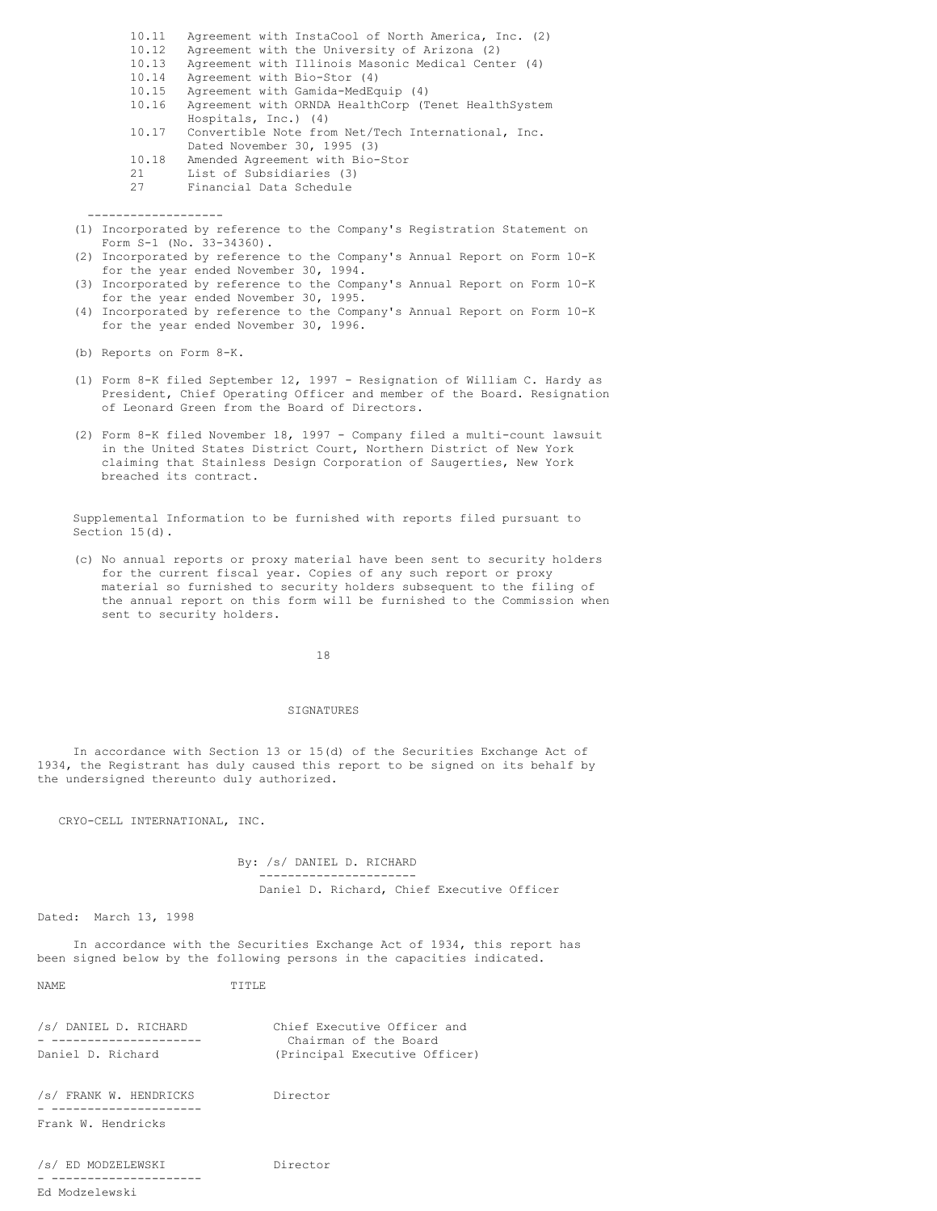- 10.11 Agreement with InstaCool of North America, Inc. (2)<br>10.12 Agreement with the University of Arizona (2) Agreement with the University of Arizona (2) 10.13 Agreement with Illinois Masonic Medical Center (4) 10.14 Agreement with Bio-Stor (4) 10.15 Agreement with Gamida-MedEquip (4) 10.16 Agreement with ORNDA HealthCorp (Tenet HealthSystem Hospitals, Inc.) (4) 10.17 Convertible Note from Net/Tech International, Inc. Dated November 30, 1995 (3)
- 10.18 Amended Agreement with Bio-Stor<br>21 List of Subsidiaries (3)
- List of Subsidiaries (3)
- 27 Financial Data Schedule
- (1) Incorporated by reference to the Company's Registration Statement on Form S-1 (No. 33-34360).
- (2) Incorporated by reference to the Company's Annual Report on Form 10-K for the year ended November 30, 1994.
- (3) Incorporated by reference to the Company's Annual Report on Form 10-K for the year ended November 30, 1995.
- (4) Incorporated by reference to the Company's Annual Report on Form 10-K for the year ended November 30, 1996.

(b) Reports on Form 8-K.

-------------------

- (1) Form 8-K filed September 12, 1997 Resignation of William C. Hardy as President, Chief Operating Officer and member of the Board. Resignation of Leonard Green from the Board of Directors.
- (2) Form 8-K filed November 18, 1997 Company filed a multi-count lawsuit in the United States District Court, Northern District of New York claiming that Stainless Design Corporation of Saugerties, New York breached its contract.

Supplemental Information to be furnished with reports filed pursuant to Section 15(d).

(c) No annual reports or proxy material have been sent to security holders for the current fiscal year. Copies of any such report or proxy material so furnished to security holders subsequent to the filing of the annual report on this form will be furnished to the Commission when sent to security holders.

18

#### SIGNATURES

In accordance with Section 13 or 15(d) of the Securities Exchange Act of 1934, the Registrant has duly caused this report to be signed on its behalf by the undersigned thereunto duly authorized.

CRYO-CELL INTERNATIONAL, INC.

By: /s/ DANIEL D. RICHARD ---------------------- Daniel D. Richard, Chief Executive Officer

Dated: March 13, 1998

In accordance with the Securities Exchange Act of 1934, this report has been signed below by the following persons in the capacities indicated.

NAME TITLE

| /s/ DANIEL D. RICHARD | Chief Executive Officer and   |
|-----------------------|-------------------------------|
|                       | Chairman of the Board         |
| Daniel D. Richard     | (Principal Executive Officer) |

/s/ FRANK W. HENDRICKS Director - --------------------- Frank W. Hendricks

/s/ ED MODZELEWSKI Director - --------------------- Ed Modzelewski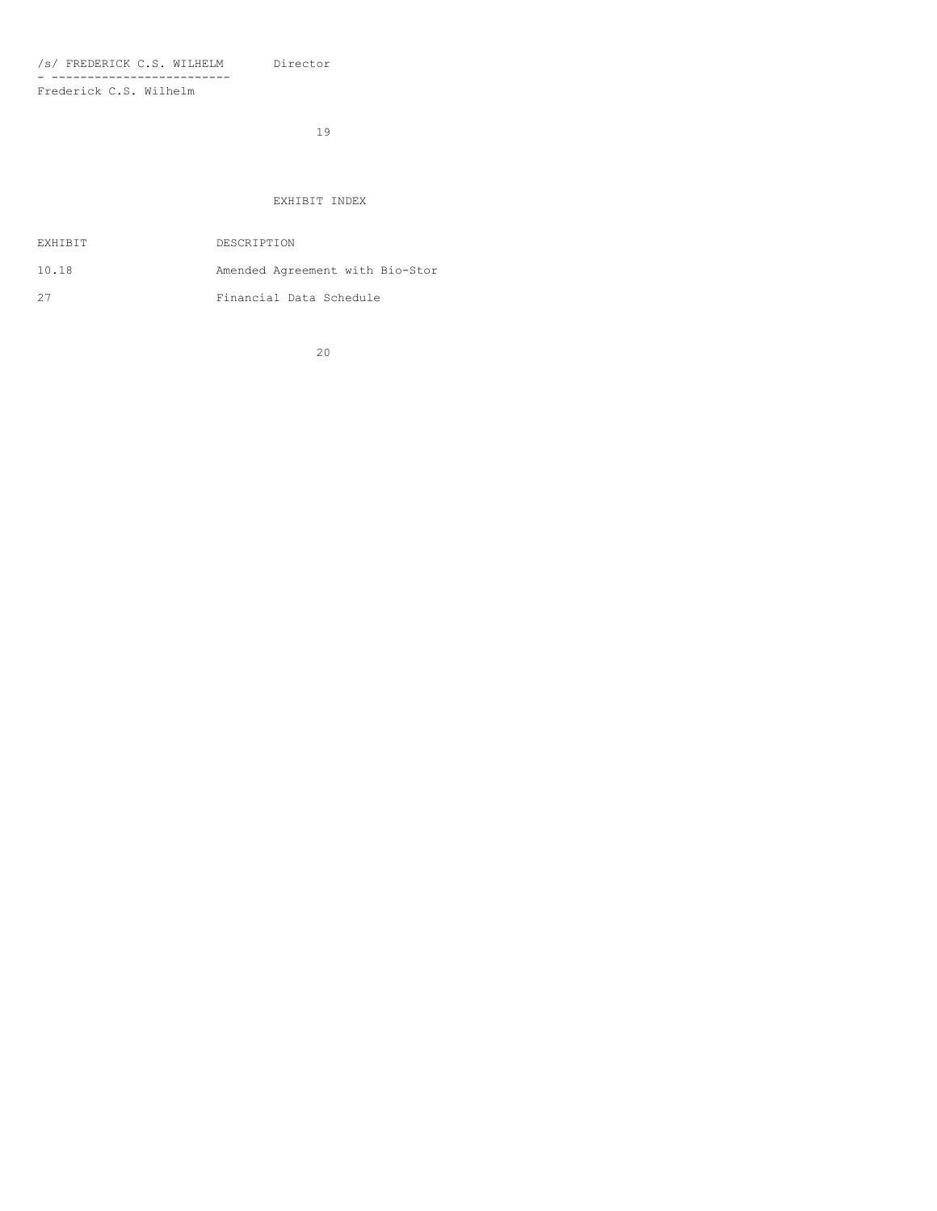/s/ FREDERICK C.S. WILHELM Director - ------------------------- Frederick C.S. Wilhelm

19

# EXHIBIT INDEX

| EXHIBIT | DESCRIPTION                     |
|---------|---------------------------------|
| 10.18   | Amended Agreement with Bio-Stor |
| 27      | Financial Data Schedule         |

20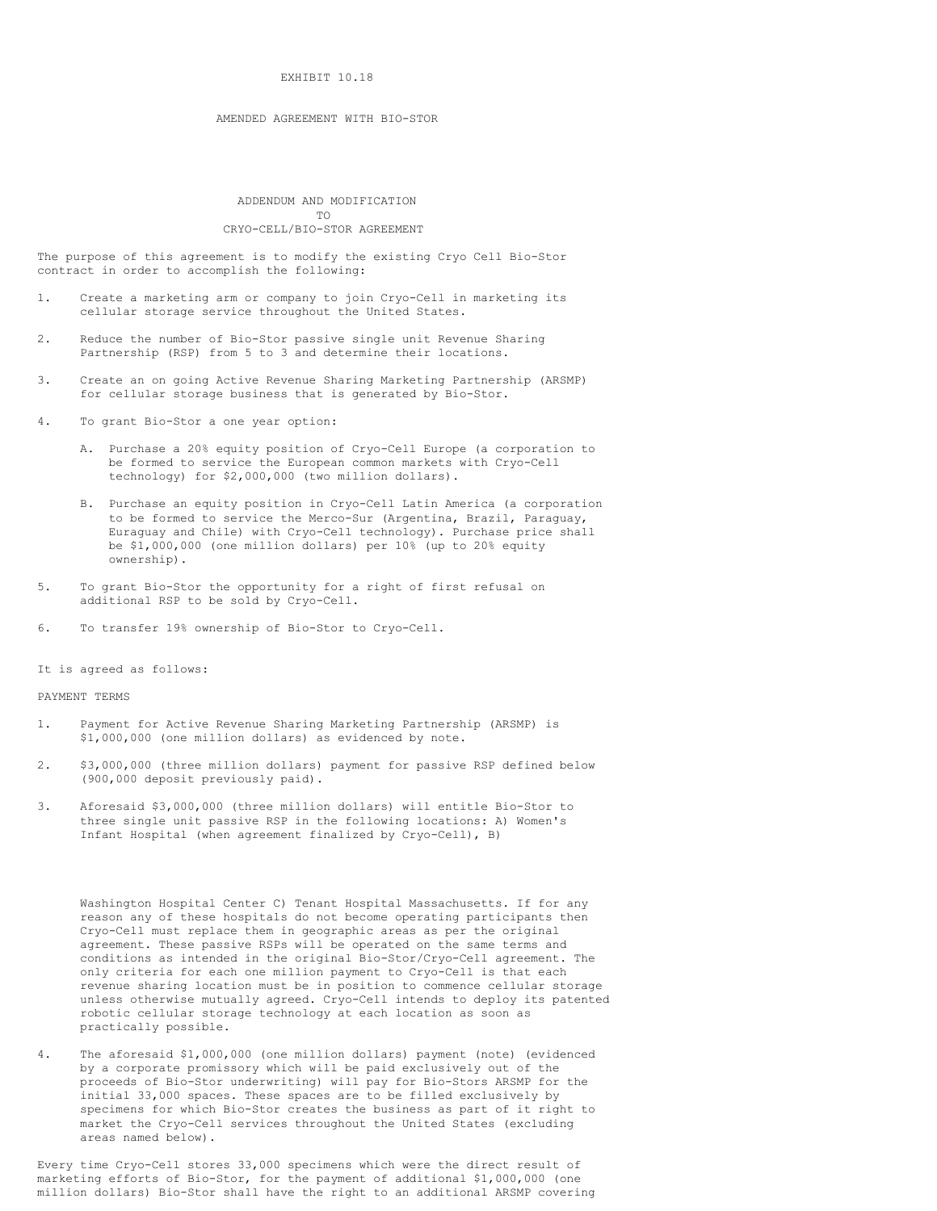## EXHIBIT 10.18

# AMENDED AGREEMENT WITH BIO-STOR

# ADDENDUM AND MODIFICATION TO CRYO-CELL/BIO-STOR AGREEMENT

The purpose of this agreement is to modify the existing Cryo Cell Bio-Stor contract in order to accomplish the following:

- 1. Create a marketing arm or company to join Cryo-Cell in marketing its cellular storage service throughout the United States.
- 2. Reduce the number of Bio-Stor passive single unit Revenue Sharing Partnership (RSP) from 5 to 3 and determine their locations.
- 3. Create an on going Active Revenue Sharing Marketing Partnership (ARSMP) for cellular storage business that is generated by Bio-Stor.
- 4. To grant Bio-Stor a one year option:
	- A. Purchase a 20% equity position of Cryo-Cell Europe (a corporation to be formed to service the European common markets with Cryo-Cell technology) for \$2,000,000 (two million dollars).
	- B. Purchase an equity position in Cryo-Cell Latin America (a corporation to be formed to service the Merco-Sur (Argentina, Brazil, Paraguay, Euraguay and Chile) with Cryo-Cell technology). Purchase price shall be \$1,000,000 (one million dollars) per 10% (up to 20% equity ownership).
- 5. To grant Bio-Stor the opportunity for a right of first refusal on additional RSP to be sold by Cryo-Cell.
- 6. To transfer 19% ownership of Bio-Stor to Cryo-Cell.

It is agreed as follows:

# PAYMENT TERMS

- 1. Payment for Active Revenue Sharing Marketing Partnership (ARSMP) is \$1,000,000 (one million dollars) as evidenced by note.
- 2. \$3,000,000 (three million dollars) payment for passive RSP defined below (900,000 deposit previously paid).
- 3. Aforesaid \$3,000,000 (three million dollars) will entitle Bio-Stor to three single unit passive RSP in the following locations: A) Women's Infant Hospital (when agreement finalized by Cryo-Cell), B)

Washington Hospital Center C) Tenant Hospital Massachusetts. If for any reason any of these hospitals do not become operating participants then Cryo-Cell must replace them in geographic areas as per the original agreement. These passive RSPs will be operated on the same terms and conditions as intended in the original Bio-Stor/Cryo-Cell agreement. The only criteria for each one million payment to Cryo-Cell is that each revenue sharing location must be in position to commence cellular storage unless otherwise mutually agreed. Cryo-Cell intends to deploy its patented robotic cellular storage technology at each location as soon as practically possible.

4. The aforesaid \$1,000,000 (one million dollars) payment (note) (evidenced by a corporate promissory which will be paid exclusively out of the proceeds of Bio-Stor underwriting) will pay for Bio-Stors ARSMP for the initial 33,000 spaces. These spaces are to be filled exclusively by specimens for which Bio-Stor creates the business as part of it right to market the Cryo-Cell services throughout the United States (excluding areas named below).

Every time Cryo-Cell stores 33,000 specimens which were the direct result of marketing efforts of Bio-Stor, for the payment of additional \$1,000,000 (one million dollars) Bio-Stor shall have the right to an additional ARSMP covering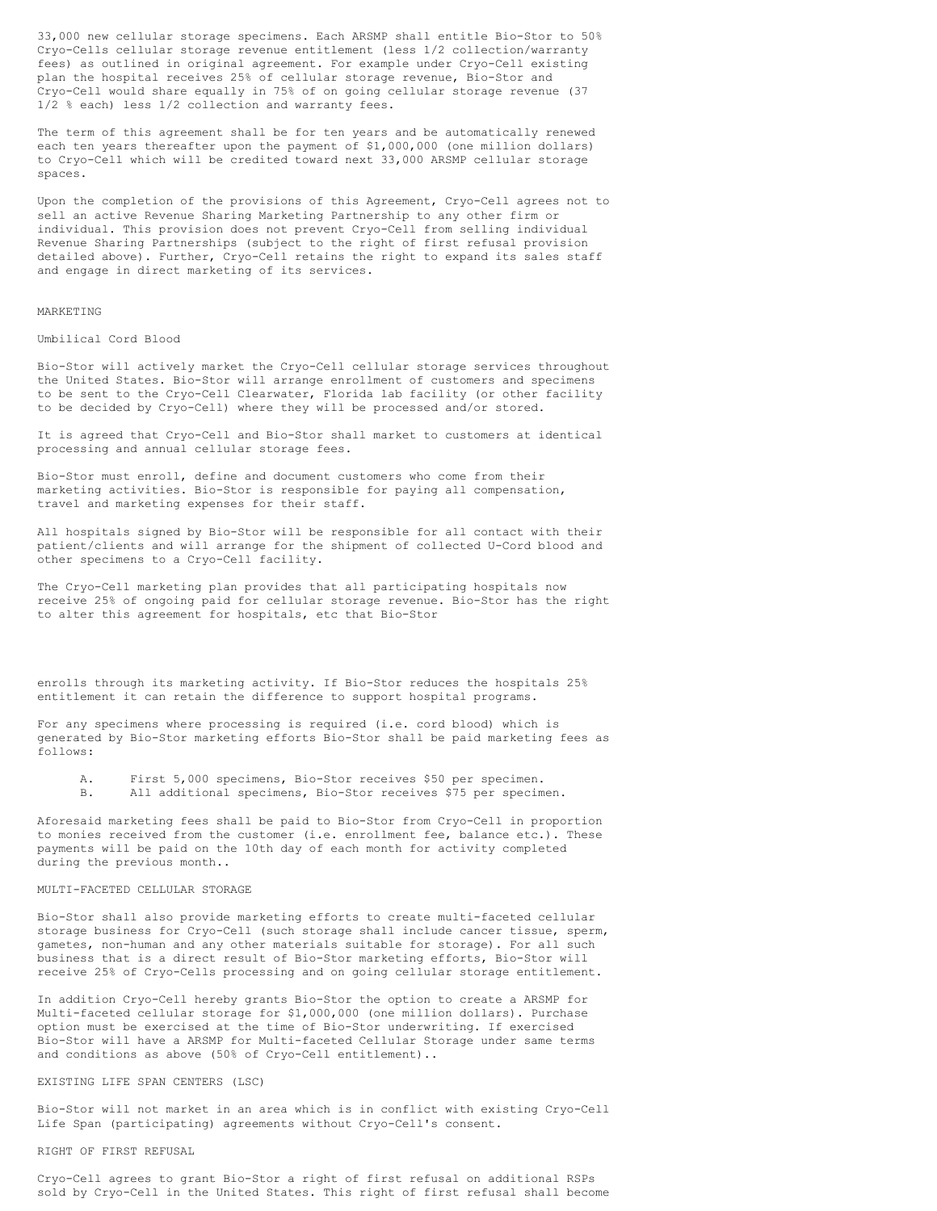33,000 new cellular storage specimens. Each ARSMP shall entitle Bio-Stor to 50% Cryo-Cells cellular storage revenue entitlement (less 1/2 collection/warranty fees) as outlined in original agreement. For example under Cryo-Cell existing plan the hospital receives 25% of cellular storage revenue, Bio-Stor and Cryo-Cell would share equally in 75% of on going cellular storage revenue (37 1/2 % each) less 1/2 collection and warranty fees.

The term of this agreement shall be for ten years and be automatically renewed each ten years thereafter upon the payment of \$1,000,000 (one million dollars) to Cryo-Cell which will be credited toward next 33,000 ARSMP cellular storage spaces.

Upon the completion of the provisions of this Agreement, Cryo-Cell agrees not to sell an active Revenue Sharing Marketing Partnership to any other firm or individual. This provision does not prevent Cryo-Cell from selling individual Revenue Sharing Partnerships (subject to the right of first refusal provision detailed above). Further, Cryo-Cell retains the right to expand its sales staff and engage in direct marketing of its services.

# MARKETING

Umbilical Cord Blood

Bio-Stor will actively market the Cryo-Cell cellular storage services throughout the United States. Bio-Stor will arrange enrollment of customers and specimens to be sent to the Cryo-Cell Clearwater, Florida lab facility (or other facility to be decided by Cryo-Cell) where they will be processed and/or stored.

It is agreed that Cryo-Cell and Bio-Stor shall market to customers at identical processing and annual cellular storage fees.

Bio-Stor must enroll, define and document customers who come from their marketing activities. Bio-Stor is responsible for paying all compensation, travel and marketing expenses for their staff.

All hospitals signed by Bio-Stor will be responsible for all contact with their patient/clients and will arrange for the shipment of collected U-Cord blood and other specimens to a Cryo-Cell facility.

The Cryo-Cell marketing plan provides that all participating hospitals now receive 25% of ongoing paid for cellular storage revenue. Bio-Stor has the right to alter this agreement for hospitals, etc that Bio-Stor

enrolls through its marketing activity. If Bio-Stor reduces the hospitals 25% entitlement it can retain the difference to support hospital programs.

For any specimens where processing is required (i.e. cord blood) which is generated by Bio-Stor marketing efforts Bio-Stor shall be paid marketing fees as follows:

- A. First 5,000 specimens, Bio-Stor receives \$50 per specimen.
- B. All additional specimens, Bio-Stor receives \$75 per specimen.

Aforesaid marketing fees shall be paid to Bio-Stor from Cryo-Cell in proportion to monies received from the customer (i.e. enrollment fee, balance etc.). These payments will be paid on the 10th day of each month for activity completed during the previous month..

## MULTI-FACETED CELLULAR STORAGE

Bio-Stor shall also provide marketing efforts to create multi-faceted cellular storage business for Cryo-Cell (such storage shall include cancer tissue, sperm, gametes, non-human and any other materials suitable for storage). For all such business that is a direct result of Bio-Stor marketing efforts, Bio-Stor will receive 25% of Cryo-Cells processing and on going cellular storage entitlement.

In addition Cryo-Cell hereby grants Bio-Stor the option to create a ARSMP for Multi-faceted cellular storage for \$1,000,000 (one million dollars). Purchase option must be exercised at the time of Bio-Stor underwriting. If exercised Bio-Stor will have a ARSMP for Multi-faceted Cellular Storage under same terms and conditions as above (50% of Cryo-Cell entitlement)..

# EXISTING LIFE SPAN CENTERS (LSC)

Bio-Stor will not market in an area which is in conflict with existing Cryo-Cell Life Span (participating) agreements without Cryo-Cell's consent.

# RIGHT OF FIRST REFUSAL

Cryo-Cell agrees to grant Bio-Stor a right of first refusal on additional RSPs sold by Cryo-Cell in the United States. This right of first refusal shall become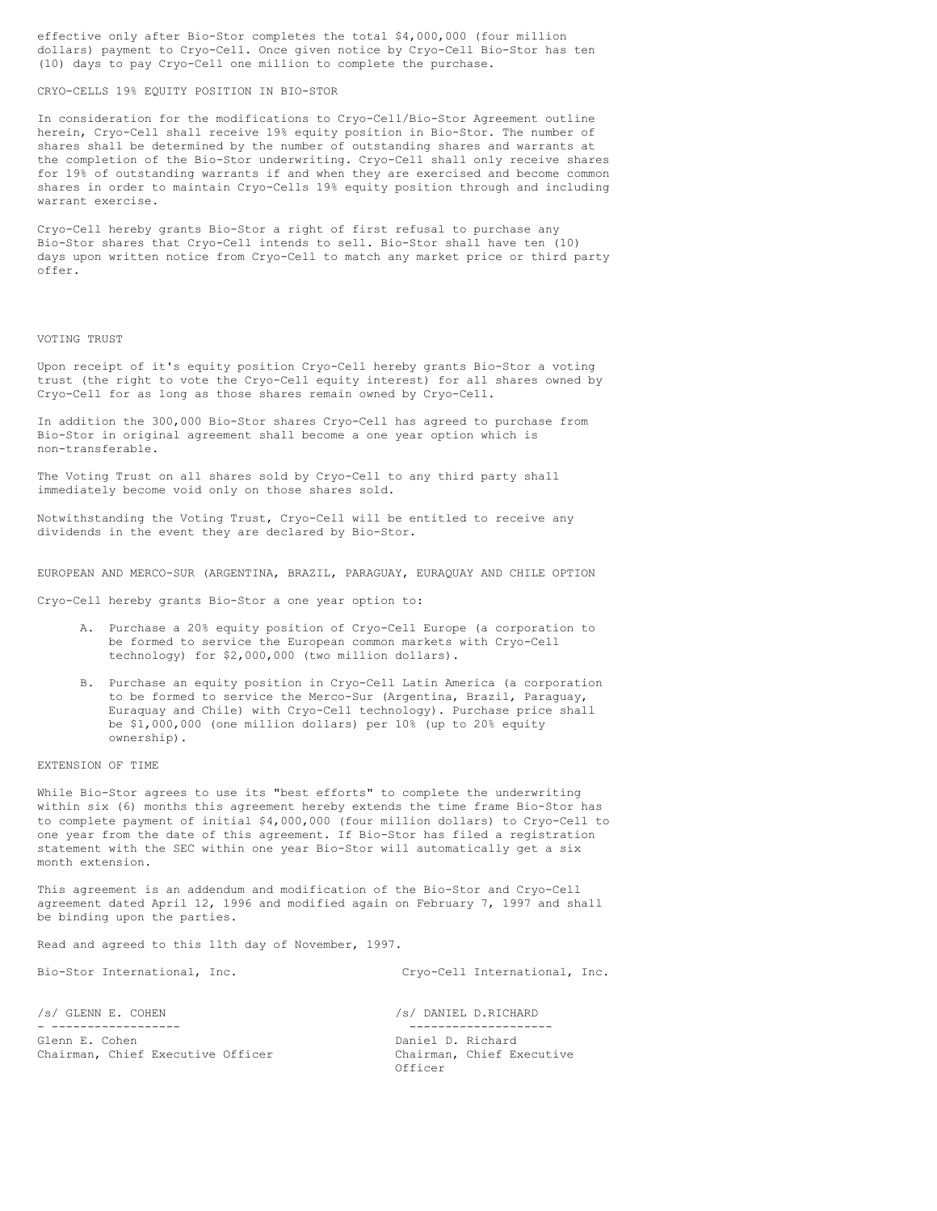effective only after Bio-Stor completes the total \$4,000,000 (four million dollars) payment to Cryo-Cell. Once given notice by Cryo-Cell Bio-Stor has ten (10) days to pay Cryo-Cell one million to complete the purchase.

# CRYO-CELLS 19% EQUITY POSITION IN BIO-STOR

In consideration for the modifications to Cryo-Cell/Bio-Stor Agreement outline herein, Cryo-Cell shall receive 19% equity position in Bio-Stor. The number of shares shall be determined by the number of outstanding shares and warrants at the completion of the Bio-Stor underwriting. Cryo-Cell shall only receive shares for 19% of outstanding warrants if and when they are exercised and become common shares in order to maintain Cryo-Cells 19% equity position through and including warrant exercise.

Cryo-Cell hereby grants Bio-Stor a right of first refusal to purchase any Bio-Stor shares that Cryo-Cell intends to sell. Bio-Stor shall have ten (10) days upon written notice from Cryo-Cell to match any market price or third party offer.

#### VOTING TRUST

Upon receipt of it's equity position Cryo-Cell hereby grants Bio-Stor a voting trust (the right to vote the Cryo-Cell equity interest) for all shares owned by Cryo-Cell for as long as those shares remain owned by Cryo-Cell.

In addition the 300,000 Bio-Stor shares Cryo-Cell has agreed to purchase from Bio-Stor in original agreement shall become a one year option which is non-transferable.

The Voting Trust on all shares sold by Cryo-Cell to any third party shall immediately become void only on those shares sold.

Notwithstanding the Voting Trust, Cryo-Cell will be entitled to receive any dividends in the event they are declared by Bio-Stor.

EUROPEAN AND MERCO-SUR (ARGENTINA, BRAZIL, PARAGUAY, EURAQUAY AND CHILE OPTION

Cryo-Cell hereby grants Bio-Stor a one year option to:

- A. Purchase a 20% equity position of Cryo-Cell Europe (a corporation to be formed to service the European common markets with Cryo-Cell technology) for \$2,000,000 (two million dollars).
- B. Purchase an equity position in Cryo-Cell Latin America (a corporation to be formed to service the Merco-Sur (Argentina, Brazil, Paraguay, Euraquay and Chile) with Cryo-Cell technology). Purchase price shall be \$1,000,000 (one million dollars) per 10% (up to 20% equity ownership).

#### EXTENSION OF TIME

While Bio-Stor agrees to use its "best efforts" to complete the underwriting within six (6) months this agreement hereby extends the time frame Bio-Stor has to complete payment of initial \$4,000,000 (four million dollars) to Cryo-Cell to one year from the date of this agreement. If Bio-Stor has filed a registration statement with the SEC within one year Bio-Stor will automatically get a six month extension.

This agreement is an addendum and modification of the Bio-Stor and Cryo-Cell agreement dated April 12, 1996 and modified again on February 7, 1997 and shall be binding upon the parties.

Read and agreed to this 11th day of November, 1997.

Bio-Stor International, Inc. Cryo-Cell International, Inc.

/s/ GLENN E. COHEN /s/ DANIEL D.RICHARD

Chairman, Chief Executive Officer Chairman, Chief Executive

- ------------------ -------------------- Daniel D. Richard Officer